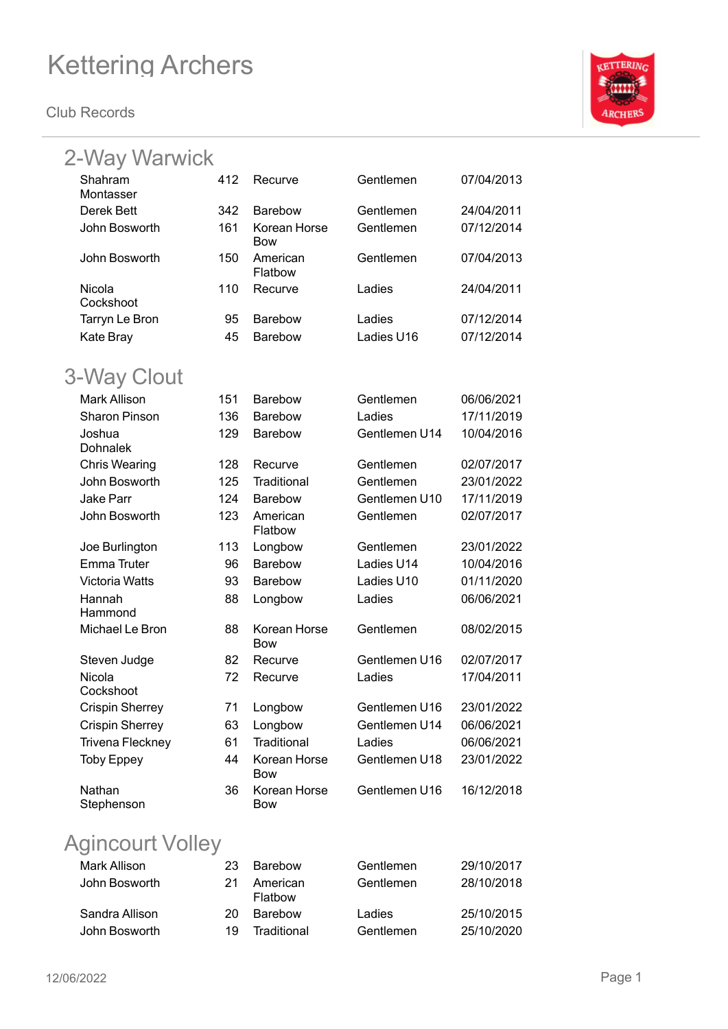**Club Records**



| 2-Way Warwick          |     |                            |               |            |  |
|------------------------|-----|----------------------------|---------------|------------|--|
| Shahram<br>Montasser   | 412 | Recurve                    | Gentlemen     | 07/04/2013 |  |
| Derek Bett             | 342 | <b>Barebow</b>             | Gentlemen     | 24/04/2011 |  |
| John Bosworth          | 161 | Korean Horse               | Gentlemen     | 07/12/2014 |  |
|                        |     | Bow                        |               |            |  |
| John Bosworth          | 150 | American<br>Flatbow        | Gentlemen     | 07/04/2013 |  |
| Nicola<br>Cockshoot    | 110 | Recurve                    | Ladies        | 24/04/2011 |  |
| Tarryn Le Bron         | 95  | <b>Barebow</b>             | Ladies        | 07/12/2014 |  |
| Kate Bray              | 45  | <b>Barebow</b>             | Ladies U16    | 07/12/2014 |  |
|                        |     |                            |               |            |  |
| 3-Way Clout            |     |                            |               |            |  |
| <b>Mark Allison</b>    | 151 | Barebow                    | Gentlemen     | 06/06/2021 |  |
| <b>Sharon Pinson</b>   | 136 | <b>Barebow</b>             | Ladies        | 17/11/2019 |  |
| Joshua<br>Dohnalek     | 129 | <b>Barebow</b>             | Gentlemen U14 | 10/04/2016 |  |
| <b>Chris Wearing</b>   | 128 | Recurve                    | Gentlemen     | 02/07/2017 |  |
| John Bosworth          | 125 | Traditional                | Gentlemen     | 23/01/2022 |  |
| <b>Jake Parr</b>       | 124 | <b>Barebow</b>             | Gentlemen U10 | 17/11/2019 |  |
| John Bosworth          | 123 | American<br>Flatbow        | Gentlemen     | 02/07/2017 |  |
| Joe Burlington         | 113 | Longbow                    | Gentlemen     | 23/01/2022 |  |
| Emma Truter            | 96  | <b>Barebow</b>             | Ladies U14    | 10/04/2016 |  |
| <b>Victoria Watts</b>  | 93  | Barebow                    | Ladies U10    | 01/11/2020 |  |
| Hannah<br>Hammond      | 88  | Longbow                    | Ladies        | 06/06/2021 |  |
| Michael Le Bron        | 88  | Korean Horse<br>Bow        | Gentlemen     | 08/02/2015 |  |
| Steven Judge           | 82  | Recurve                    | Gentlemen U16 | 02/07/2017 |  |
| Nicola                 | 72  | Recurve                    | Ladies        | 17/04/2011 |  |
| Cockshoot              |     |                            |               |            |  |
| <b>Crispin Sherrey</b> | 71  | Longbow                    | Gentlemen U16 | 23/01/2022 |  |
| <b>Crispin Sherrey</b> | 63  | Longbow                    | Gentlemen U14 | 06/06/2021 |  |
| Trivena Fleckney       | 61  | Traditional                | Ladies        | 06/06/2021 |  |
| <b>Toby Eppey</b>      | 44  | Korean Horse<br><b>Bow</b> | Gentlemen U18 | 23/01/2022 |  |
| Nathan<br>Stephenson   | 36  | Korean Horse<br>Bow        | Gentlemen U16 | 16/12/2018 |  |

### Agincourt Volley

| Mark Allison   | 23. | Barebow             | Gentlemen | 29/10/2017 |
|----------------|-----|---------------------|-----------|------------|
| John Bosworth  | 21  | American<br>Flatbow | Gentlemen | 28/10/2018 |
| Sandra Allison | 20. | <b>Barebow</b>      | Ladies    | 25/10/2015 |
| John Bosworth  | 19  | Traditional         | Gentlemen | 25/10/2020 |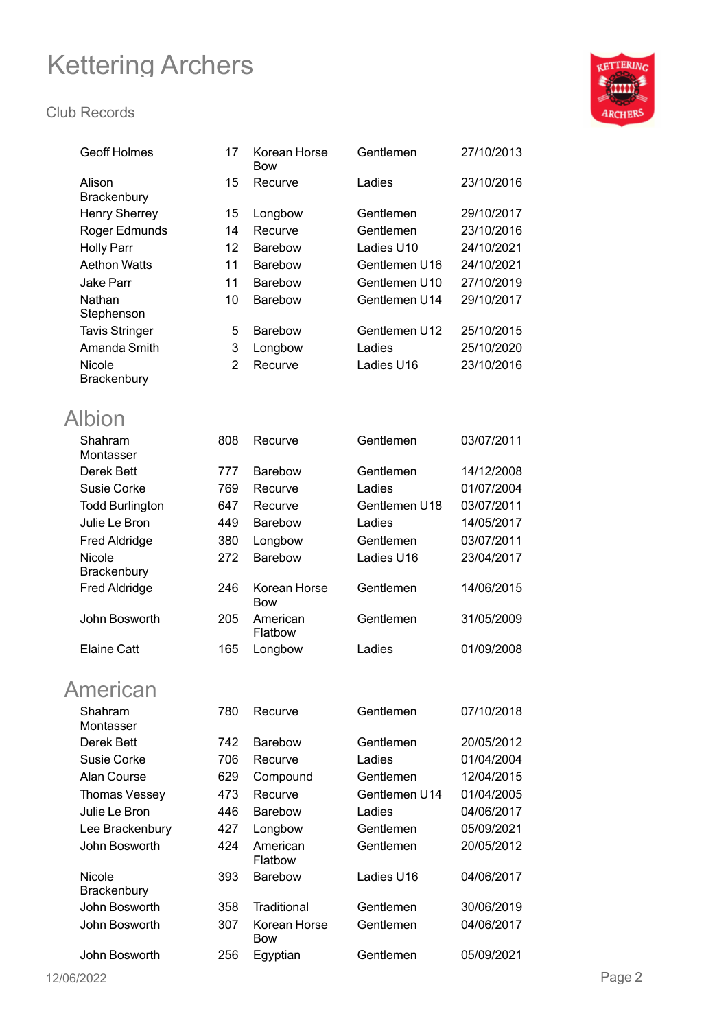

| <b>Geoff Holmes</b>    | 17              | Korean Horse<br><b>Bow</b> | Gentlemen     | 27/10/2013 |
|------------------------|-----------------|----------------------------|---------------|------------|
| Alison<br>Brackenbury  | 15              | Recurve                    | Ladies        | 23/10/2016 |
| <b>Henry Sherrey</b>   | 15              | Longbow                    | Gentlemen     | 29/10/2017 |
| Roger Edmunds          | 14              | Recurve                    | Gentlemen     | 23/10/2016 |
| <b>Holly Parr</b>      | 12 <sub>2</sub> | <b>Barebow</b>             | Ladies U10    | 24/10/2021 |
| <b>Aethon Watts</b>    | 11              | <b>Barebow</b>             | Gentlemen U16 | 24/10/2021 |
| Jake Parr              | 11              | Barebow                    | Gentlemen U10 | 27/10/2019 |
| Nathan                 | 10              | Barebow                    | Gentlemen U14 | 29/10/2017 |
| Stephenson             |                 |                            |               |            |
| <b>Tavis Stringer</b>  | 5               | <b>Barebow</b>             | Gentlemen U12 | 25/10/2015 |
| Amanda Smith           | 3               | Longbow                    | Ladies        | 25/10/2020 |
| Nicole                 | $\overline{2}$  | Recurve                    | Ladies U16    | 23/10/2016 |
| Brackenbury            |                 |                            |               |            |
| Albion                 |                 |                            |               |            |
| Shahram<br>Montasser   | 808             | Recurve                    | Gentlemen     | 03/07/2011 |
| Derek Bett             | 777             | Barebow                    | Gentlemen     | 14/12/2008 |
| Susie Corke            | 769             | Recurve                    | Ladies        | 01/07/2004 |
| <b>Todd Burlington</b> | 647             | Recurve                    | Gentlemen U18 | 03/07/2011 |
| Julie Le Bron          | 449             | Barebow                    | Ladies        | 14/05/2017 |
| <b>Fred Aldridge</b>   | 380             | Longbow                    | Gentlemen     | 03/07/2011 |
| Nicole                 | 272             | Barebow                    | Ladies U16    | 23/04/2017 |
| Brackenbury            |                 |                            |               |            |
| <b>Fred Aldridge</b>   | 246             | Korean Horse<br><b>Bow</b> | Gentlemen     | 14/06/2015 |
| John Bosworth          | 205             | American<br>Flatbow        | Gentlemen     | 31/05/2009 |
| <b>Elaine Catt</b>     | 165             | Longbow                    | Ladies        | 01/09/2008 |
| <b>American</b>        |                 |                            |               |            |
| Shahram<br>Montasser   | 780             | Recurve                    | Gentlemen     | 07/10/2018 |
| Derek Bett             | 742             | Barebow                    | Gentlemen     | 20/05/2012 |
| Susie Corke            | 706             | Recurve                    | Ladies        | 01/04/2004 |
| Alan Course            | 629             | Compound                   | Gentlemen     | 12/04/2015 |
| Thomas Vessey          | 473             | Recurve                    | Gentlemen U14 | 01/04/2005 |
| Julie Le Bron          | 446             | Barebow                    | Ladies        | 04/06/2017 |
| Lee Brackenbury        | 427             | Longbow                    | Gentlemen     | 05/09/2021 |
| John Bosworth          | 424             | American                   | Gentlemen     | 20/05/2012 |
|                        |                 | Flatbow                    |               |            |
| Nicole<br>Brackenbury  | 393             | <b>Barebow</b>             | Ladies U16    | 04/06/2017 |
| John Bosworth          | 358             | Traditional                | Gentlemen     | 30/06/2019 |
| John Bosworth          | 307             | Korean Horse<br><b>Bow</b> | Gentlemen     | 04/06/2017 |
| John Bosworth          | 256             | Egyptian                   | Gentlemen     | 05/09/2021 |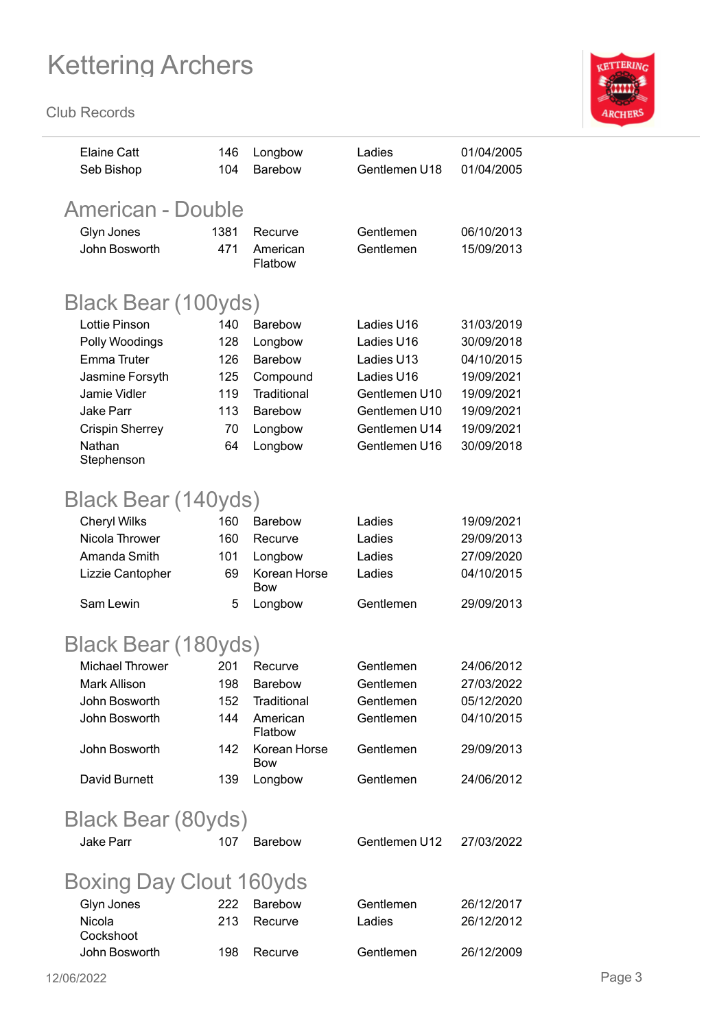

| <b>Elaine Catt</b><br>Seb Bishop | 146<br>104 | Longbow<br><b>Barebow</b> | Ladies<br>Gentlemen U18 | 01/04/2005<br>01/04/2005 |
|----------------------------------|------------|---------------------------|-------------------------|--------------------------|
| <b>American - Double</b>         |            |                           |                         |                          |
| Glyn Jones                       | 1381       | Recurve                   | Gentlemen               | 06/10/2013               |
| John Bosworth                    | 471        | American<br>Flatbow       | Gentlemen               | 15/09/2013               |
| Black Bear (100yds)              |            |                           |                         |                          |
| <b>Lottie Pinson</b>             | 140        | Barebow                   | Ladies U16              | 31/03/2019               |
| Polly Woodings                   | 128        | Longbow                   | Ladies U16              | 30/09/2018               |
| <b>Emma Truter</b>               | 126        | Barebow                   | Ladies U13              | 04/10/2015               |
| Jasmine Forsyth                  | 125        | Compound                  | Ladies U16              | 19/09/2021               |
| Jamie Vidler                     | 119        | Traditional               | Gentlemen U10           | 19/09/2021               |
| <b>Jake Parr</b>                 | 113        | Barebow                   | Gentlemen U10           | 19/09/2021               |
| <b>Crispin Sherrey</b>           | 70         | Longbow                   | Gentlemen U14           | 19/09/2021               |
| Nathan<br>Stephenson             | 64         | Longbow                   | Gentlemen U16           | 30/09/2018               |
|                                  |            |                           |                         |                          |
| Black Bear (140yds)              |            |                           |                         |                          |
| <b>Cheryl Wilks</b>              | 160        | <b>Barebow</b>            | Ladies                  | 19/09/2021               |
| Nicola Thrower                   | 160        | Recurve                   | Ladies                  | 29/09/2013               |
| Amanda Smith                     | 101        | Longbow                   | Ladies                  | 27/09/2020               |
| Lizzie Cantopher                 | 69         | Korean Horse<br>Bow       | Ladies                  | 04/10/2015               |
| Sam Lewin                        | 5          | Longbow                   | Gentlemen               | 29/09/2013               |
| Black Bear (180yds)              |            |                           |                         |                          |
| <b>Michael Thrower</b>           | 201        | Recurve                   | Gentlemen               | 24/06/2012               |
| Mark Allison                     | 198        | Barebow                   | Gentlemen               | 27/03/2022               |
| John Bosworth                    | 152        | Traditional               | Gentlemen               | 05/12/2020               |
| John Bosworth                    | 144        | American<br>Flatbow       | Gentlemen               | 04/10/2015               |
| John Bosworth                    | 142        | Korean Horse<br>Bow       | Gentlemen               | 29/09/2013               |
| David Burnett                    | 139        | Longbow                   | Gentlemen               | 24/06/2012               |
| <b>Black Bear (80yds)</b>        |            |                           |                         |                          |
| <b>Jake Parr</b>                 | 107        | <b>Barebow</b>            | Gentlemen U12           | 27/03/2022               |
| Boxing Day Clout 160yds          |            |                           |                         |                          |
| Glyn Jones                       | 222        | Barebow                   | Gentlemen               | 26/12/2017               |
| Nicola                           | 213        | Recurve                   | Ladies                  | 26/12/2012               |
| Cockshoot<br>John Bosworth       | 198        | Recurve                   | Gentlemen               | 26/12/2009               |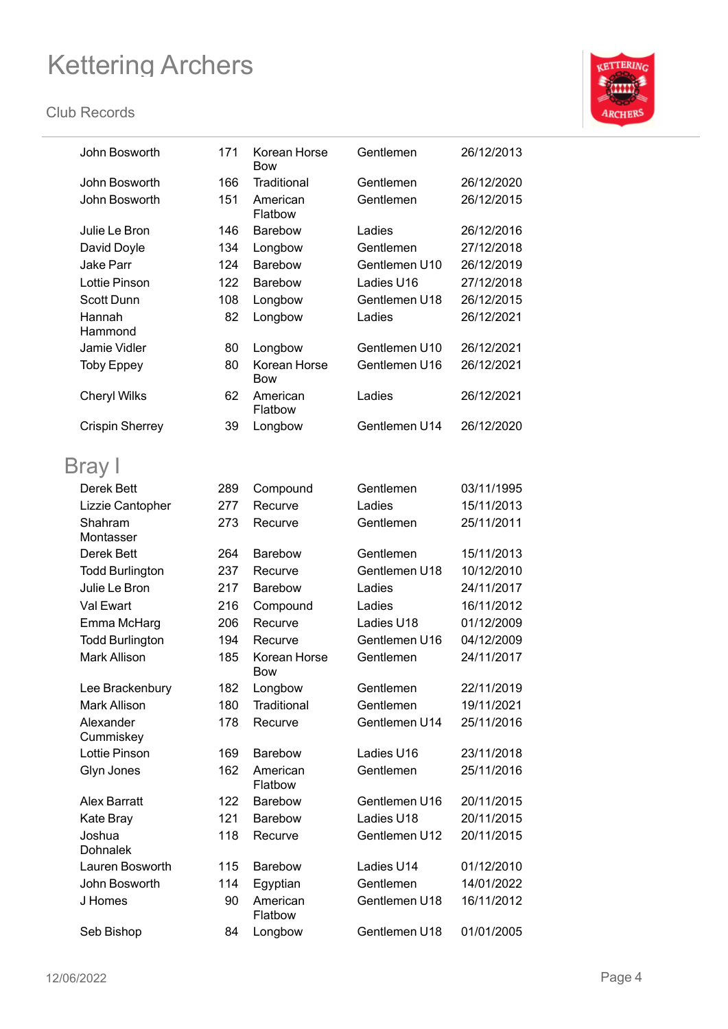

| John Bosworth             | 171 | Korean Horse<br>Bow        | Gentlemen     | 26/12/2013 |
|---------------------------|-----|----------------------------|---------------|------------|
| John Bosworth             | 166 | Traditional                | Gentlemen     | 26/12/2020 |
| John Bosworth             | 151 | American<br>Flatbow        | Gentlemen     | 26/12/2015 |
| Julie Le Bron             | 146 | <b>Barebow</b>             | Ladies        | 26/12/2016 |
| David Doyle               | 134 | Longbow                    | Gentlemen     | 27/12/2018 |
| Jake Parr                 | 124 | Barebow                    | Gentlemen U10 | 26/12/2019 |
| <b>Lottie Pinson</b>      | 122 | Barebow                    | Ladies U16    | 27/12/2018 |
| <b>Scott Dunn</b>         | 108 | Longbow                    | Gentlemen U18 | 26/12/2015 |
| Hannah<br>Hammond         | 82  | Longbow                    | Ladies        | 26/12/2021 |
| Jamie Vidler              | 80  | Longbow                    | Gentlemen U10 | 26/12/2021 |
| <b>Toby Eppey</b>         | 80  | Korean Horse<br><b>Bow</b> | Gentlemen U16 | 26/12/2021 |
| <b>Cheryl Wilks</b>       | 62  | American<br>Flatbow        | Ladies        | 26/12/2021 |
| <b>Crispin Sherrey</b>    | 39  | Longbow                    | Gentlemen U14 | 26/12/2020 |
| Bray I                    |     |                            |               |            |
| Derek Bett                | 289 | Compound                   | Gentlemen     | 03/11/1995 |
| Lizzie Cantopher          | 277 | Recurve                    | Ladies        | 15/11/2013 |
| Shahram<br>Montasser      | 273 | Recurve                    | Gentlemen     | 25/11/2011 |
| Derek Bett                | 264 | <b>Barebow</b>             | Gentlemen     | 15/11/2013 |
| <b>Todd Burlington</b>    | 237 | Recurve                    | Gentlemen U18 | 10/12/2010 |
| Julie Le Bron             | 217 | <b>Barebow</b>             | Ladies        | 24/11/2017 |
| Val Ewart                 | 216 | Compound                   | Ladies        | 16/11/2012 |
| Emma McHarg               | 206 | Recurve                    | Ladies U18    | 01/12/2009 |
| <b>Todd Burlington</b>    | 194 | Recurve                    | Gentlemen U16 | 04/12/2009 |
| <b>Mark Allison</b>       | 185 | Korean Horse<br>Bow        | Gentlemen     | 24/11/2017 |
| Lee Brackenbury           | 182 | Longbow                    | Gentlemen     | 22/11/2019 |
| Mark Allison              | 180 | Traditional                | Gentlemen     | 19/11/2021 |
| Alexander<br>Cummiskey    | 178 | Recurve                    | Gentlemen U14 | 25/11/2016 |
| <b>Lottie Pinson</b>      | 169 | <b>Barebow</b>             | Ladies U16    | 23/11/2018 |
| Glyn Jones                | 162 | American<br>Flatbow        | Gentlemen     | 25/11/2016 |
| <b>Alex Barratt</b>       | 122 | <b>Barebow</b>             | Gentlemen U16 | 20/11/2015 |
| Kate Bray                 | 121 | Barebow                    | Ladies U18    | 20/11/2015 |
| Joshua<br><b>Dohnalek</b> | 118 | Recurve                    | Gentlemen U12 | 20/11/2015 |
| Lauren Bosworth           | 115 | <b>Barebow</b>             | Ladies U14    | 01/12/2010 |
| John Bosworth             | 114 | Egyptian                   | Gentlemen     | 14/01/2022 |
| J Homes                   | 90  | American<br>Flatbow        | Gentlemen U18 | 16/11/2012 |
| Seb Bishop                | 84  | Longbow                    | Gentlemen U18 | 01/01/2005 |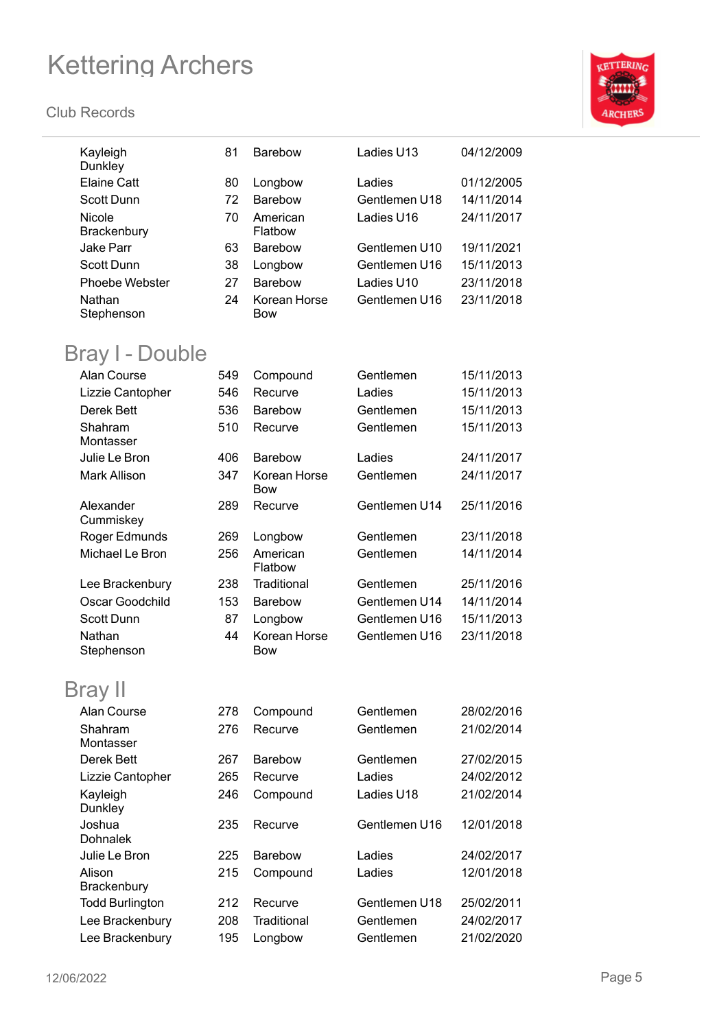

| Kayleigh<br>Dunkley       | 81  | <b>Barebow</b>      | Ladies U13    | 04/12/2009 |
|---------------------------|-----|---------------------|---------------|------------|
| <b>Elaine Catt</b>        | 80  | Longbow             | Ladies        | 01/12/2005 |
| Scott Dunn                | 72  | <b>Barebow</b>      | Gentlemen U18 | 14/11/2014 |
| Nicole<br>Brackenbury     | 70  | American<br>Flatbow | Ladies U16    | 24/11/2017 |
| <b>Jake Parr</b>          | 63  | Barebow             | Gentlemen U10 | 19/11/2021 |
| <b>Scott Dunn</b>         | 38  | Longbow             | Gentlemen U16 | 15/11/2013 |
| Phoebe Webster            | 27  | <b>Barebow</b>      | Ladies U10    | 23/11/2018 |
| Nathan<br>Stephenson      | 24  | Korean Horse<br>Bow | Gentlemen U16 | 23/11/2018 |
| Bray I - Double           |     |                     |               |            |
| Alan Course               | 549 | Compound            | Gentlemen     | 15/11/2013 |
| Lizzie Cantopher          | 546 | Recurve             | Ladies        | 15/11/2013 |
| Derek Bett                | 536 | <b>Barebow</b>      | Gentlemen     | 15/11/2013 |
| Shahram<br>Montasser      | 510 | Recurve             | Gentlemen     | 15/11/2013 |
| Julie Le Bron             | 406 | <b>Barebow</b>      | Ladies        | 24/11/2017 |
| Mark Allison              | 347 | Korean Horse<br>Bow | Gentlemen     | 24/11/2017 |
| Alexander<br>Cummiskey    | 289 | Recurve             | Gentlemen U14 | 25/11/2016 |
| Roger Edmunds             | 269 | Longbow             | Gentlemen     | 23/11/2018 |
| Michael Le Bron           | 256 | American<br>Flatbow | Gentlemen     | 14/11/2014 |
| Lee Brackenbury           | 238 | Traditional         | Gentlemen     | 25/11/2016 |
| Oscar Goodchild           | 153 | <b>Barebow</b>      | Gentlemen U14 | 14/11/2014 |
| Scott Dunn                | 87  | Longbow             | Gentlemen U16 | 15/11/2013 |
| Nathan<br>Stephenson      | 44  | Korean Horse<br>Bow | Gentlemen U16 | 23/11/2018 |
| <b>Bray II</b>            |     |                     |               |            |
| Alan Course               | 278 | Compound            | Gentlemen     | 28/02/2016 |
| Shahram<br>Montasser      | 276 | Recurve             | Gentlemen     | 21/02/2014 |
| Derek Bett                | 267 | <b>Barebow</b>      | Gentlemen     | 27/02/2015 |
| Lizzie Cantopher          | 265 | Recurve             | Ladies        | 24/02/2012 |
| Kayleigh<br>Dunkley       | 246 | Compound            | Ladies U18    | 21/02/2014 |
| Joshua<br><b>Dohnalek</b> | 235 | Recurve             | Gentlemen U16 | 12/01/2018 |
| Julie Le Bron             | 225 | <b>Barebow</b>      | Ladies        | 24/02/2017 |
| Alison<br>Brackenbury     | 215 | Compound            | Ladies        | 12/01/2018 |
| <b>Todd Burlington</b>    | 212 | Recurve             | Gentlemen U18 | 25/02/2011 |
| Lee Brackenbury           | 208 | <b>Traditional</b>  | Gentlemen     | 24/02/2017 |
| Lee Brackenbury           | 195 | Longbow             | Gentlemen     | 21/02/2020 |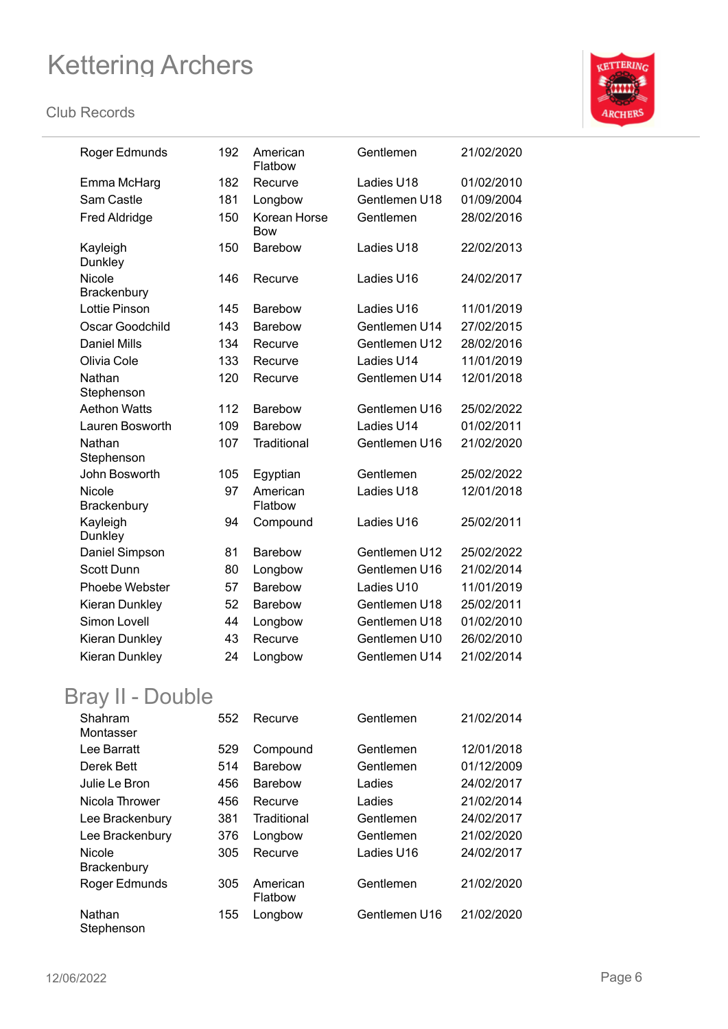#### **Club Records**



| Roger Edmunds          | 192 | American<br>Flatbow        | Gentlemen     | 21/02/2020 |
|------------------------|-----|----------------------------|---------------|------------|
| Emma McHarg            | 182 | Recurve                    | Ladies U18    | 01/02/2010 |
| Sam Castle             | 181 | Longbow                    | Gentlemen U18 | 01/09/2004 |
| <b>Fred Aldridge</b>   | 150 | Korean Horse<br><b>Bow</b> | Gentlemen     | 28/02/2016 |
| Kayleigh<br>Dunkley    | 150 | Barebow                    | Ladies U18    | 22/02/2013 |
| Nicole<br>Brackenbury  | 146 | Recurve                    | Ladies U16    | 24/02/2017 |
| <b>Lottie Pinson</b>   | 145 | <b>Barebow</b>             | Ladies U16    | 11/01/2019 |
| Oscar Goodchild        | 143 | <b>Barebow</b>             | Gentlemen U14 | 27/02/2015 |
| <b>Daniel Mills</b>    | 134 | Recurve                    | Gentlemen U12 | 28/02/2016 |
| Olivia Cole            | 133 | Recurve                    | Ladies U14    | 11/01/2019 |
| Nathan<br>Stephenson   | 120 | Recurve                    | Gentlemen U14 | 12/01/2018 |
| <b>Aethon Watts</b>    | 112 | <b>Barebow</b>             | Gentlemen U16 | 25/02/2022 |
| <b>Lauren Bosworth</b> | 109 | <b>Barebow</b>             | Ladies U14    | 01/02/2011 |
| Nathan<br>Stephenson   | 107 | Traditional                | Gentlemen U16 | 21/02/2020 |
| John Bosworth          | 105 | Egyptian                   | Gentlemen     | 25/02/2022 |
| Nicole<br>Brackenbury  | 97  | American<br>Flatbow        | Ladies U18    | 12/01/2018 |
| Kayleigh<br>Dunkley    | 94  | Compound                   | Ladies U16    | 25/02/2011 |
| Daniel Simpson         | 81  | Barebow                    | Gentlemen U12 | 25/02/2022 |
| <b>Scott Dunn</b>      | 80  | Longbow                    | Gentlemen U16 | 21/02/2014 |
| Phoebe Webster         | 57  | <b>Barebow</b>             | Ladies U10    | 11/01/2019 |
| Kieran Dunkley         | 52  | <b>Barebow</b>             | Gentlemen U18 | 25/02/2011 |
| Simon Lovell           | 44  | Longbow                    | Gentlemen U18 | 01/02/2010 |
| Kieran Dunkley         | 43  | Recurve                    | Gentlemen U10 | 26/02/2010 |
| Kieran Dunkley         | 24  | Longbow                    | Gentlemen U14 | 21/02/2014 |

### Bray II - Double

| Shahram<br>Montasser                | 552 | Recurve             | Gentlemen     | 21/02/2014 |
|-------------------------------------|-----|---------------------|---------------|------------|
| Lee Barratt                         | 529 | Compound            | Gentlemen     | 12/01/2018 |
| Derek Bett                          | 514 | <b>Barebow</b>      | Gentlemen     | 01/12/2009 |
| Julie Le Bron                       | 456 | <b>Barebow</b>      | Ladies        | 24/02/2017 |
| Nicola Thrower                      | 456 | Recurve             | Ladies        | 21/02/2014 |
| Lee Brackenbury                     | 381 | Traditional         | Gentlemen     | 24/02/2017 |
| Lee Brackenbury                     | 376 | Longbow             | Gentlemen     | 21/02/2020 |
| <b>Nicole</b><br><b>Brackenbury</b> | 305 | Recurve             | Ladies U16    | 24/02/2017 |
| Roger Edmunds                       | 305 | American<br>Flatbow | Gentlemen     | 21/02/2020 |
| Nathan<br>Stephenson                | 155 | Longbow             | Gentlemen U16 | 21/02/2020 |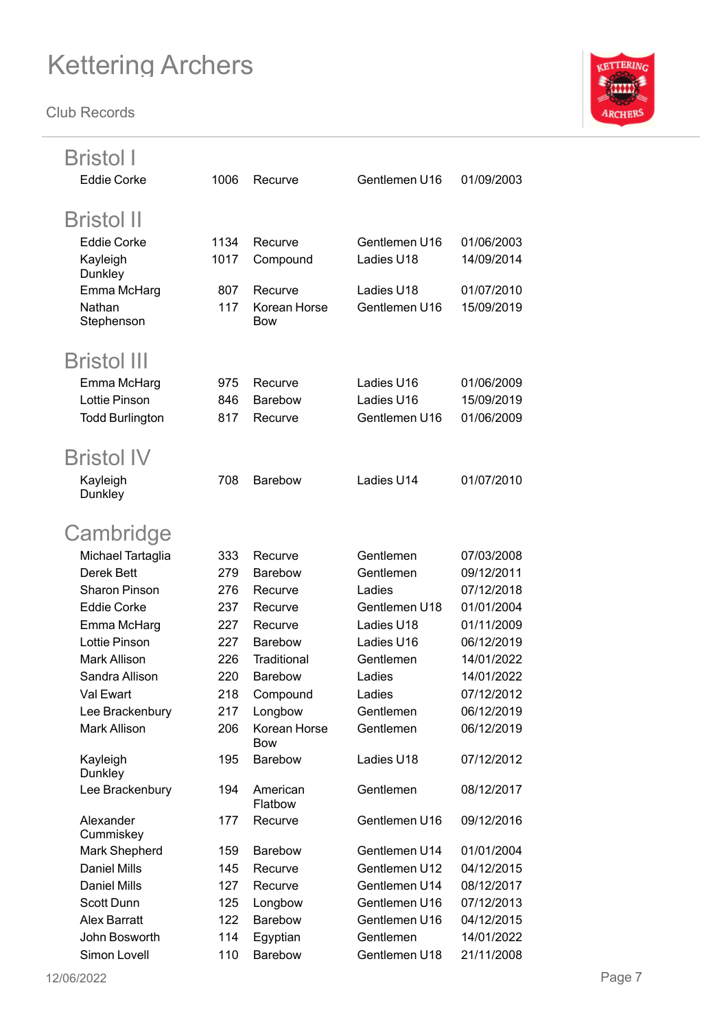

| Bristol I                    |            |                            |                             |                          |        |
|------------------------------|------------|----------------------------|-----------------------------|--------------------------|--------|
| <b>Eddie Corke</b>           | 1006       | Recurve                    | Gentlemen U16               | 01/09/2003               |        |
|                              |            |                            |                             |                          |        |
| <b>Bristol II</b>            |            |                            |                             |                          |        |
| <b>Eddie Corke</b>           | 1134       | Recurve                    | Gentlemen U16               | 01/06/2003               |        |
| Kayleigh                     | 1017       | Compound                   | Ladies U18                  | 14/09/2014               |        |
| Dunkley                      |            |                            |                             |                          |        |
| Emma McHarg                  | 807        | Recurve                    | Ladies U18                  | 01/07/2010               |        |
| Nathan<br>Stephenson         | 117        | Korean Horse<br><b>Bow</b> | Gentlemen U16               | 15/09/2019               |        |
|                              |            |                            |                             |                          |        |
| <b>Bristol III</b>           |            |                            |                             |                          |        |
| Emma McHarg                  | 975        | Recurve                    | Ladies U16                  | 01/06/2009               |        |
| <b>Lottie Pinson</b>         | 846        | <b>Barebow</b>             | Ladies U16                  | 15/09/2019               |        |
| <b>Todd Burlington</b>       | 817        | Recurve                    | Gentlemen U16               | 01/06/2009               |        |
|                              |            |                            |                             |                          |        |
| <b>Bristol IV</b>            |            |                            |                             |                          |        |
| Kayleigh                     | 708        | <b>Barebow</b>             | Ladies U14                  | 01/07/2010               |        |
| Dunkley                      |            |                            |                             |                          |        |
|                              |            |                            |                             |                          |        |
| Cambridge                    |            |                            |                             |                          |        |
| Michael Tartaglia            | 333        | Recurve                    | Gentlemen                   | 07/03/2008               |        |
| Derek Bett                   | 279        | <b>Barebow</b>             | Gentlemen                   | 09/12/2011               |        |
| <b>Sharon Pinson</b>         | 276        | Recurve                    | Ladies                      | 07/12/2018               |        |
| <b>Eddie Corke</b>           | 237        | Recurve<br>Recurve         | Gentlemen U18<br>Ladies U18 | 01/01/2004<br>01/11/2009 |        |
| Emma McHarg<br>Lottie Pinson | 227<br>227 | <b>Barebow</b>             | Ladies U16                  | 06/12/2019               |        |
| <b>Mark Allison</b>          | 226        | Traditional                | Gentlemen                   | 14/01/2022               |        |
| Sandra Allison               | 220        | Barebow                    | Ladies                      | 14/01/2022               |        |
| Val Ewart                    | 218        | Compound                   | Ladies                      | 07/12/2012               |        |
| Lee Brackenbury              | 217        | Longbow                    | Gentlemen                   | 06/12/2019               |        |
| Mark Allison                 | 206        | Korean Horse               | Gentlemen                   | 06/12/2019               |        |
|                              |            | <b>Bow</b>                 |                             |                          |        |
| Kayleigh                     | 195        | Barebow                    | Ladies U18                  | 07/12/2012               |        |
| Dunkley                      |            |                            |                             |                          |        |
| Lee Brackenbury              | 194        | American<br>Flatbow        | Gentlemen                   | 08/12/2017               |        |
| Alexander                    | 177        | Recurve                    | Gentlemen U16               | 09/12/2016               |        |
| Cummiskey                    |            |                            |                             |                          |        |
| Mark Shepherd                | 159        | Barebow                    | Gentlemen U14               | 01/01/2004               |        |
| <b>Daniel Mills</b>          | 145        | Recurve                    | Gentlemen U12               | 04/12/2015               |        |
| <b>Daniel Mills</b>          | 127        | Recurve                    | Gentlemen U14               | 08/12/2017               |        |
| Scott Dunn                   | 125        | Longbow                    | Gentlemen U16               | 07/12/2013               |        |
| <b>Alex Barratt</b>          | 122        | Barebow                    | Gentlemen U16               | 04/12/2015               |        |
| John Bosworth                | 114        | Egyptian                   | Gentlemen                   | 14/01/2022               |        |
| Simon Lovell                 | 110        | Barebow                    | Gentlemen U18               | 21/11/2008               |        |
| 12/06/2022                   |            |                            |                             |                          | Page 7 |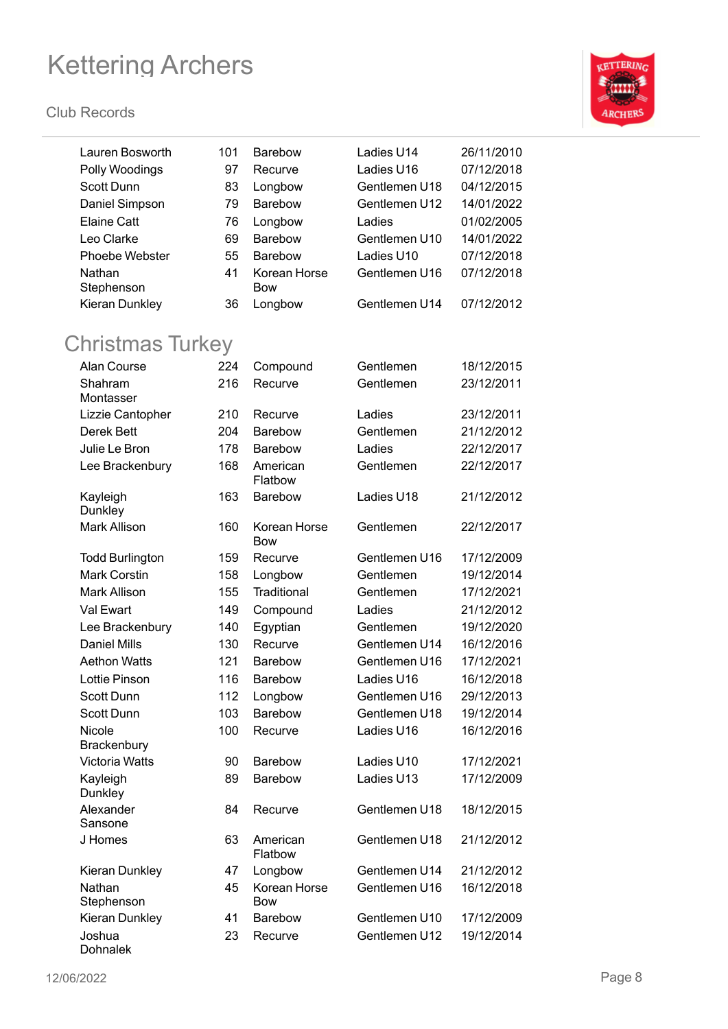

| Lauren Bosworth                | 101 | <b>Barebow</b> | Ladies U14    | 26/11/2010 |
|--------------------------------|-----|----------------|---------------|------------|
| Polly Woodings                 | 97  | Recurve        | Ladies U16    | 07/12/2018 |
| Scott Dunn                     | 83  | Longbow        | Gentlemen U18 | 04/12/2015 |
| Daniel Simpson                 | 79  | Barebow        | Gentlemen U12 | 14/01/2022 |
| <b>Elaine Catt</b>             | 76  | Longbow        | Ladies        | 01/02/2005 |
| Leo Clarke                     | 69  | Barebow        | Gentlemen U10 | 14/01/2022 |
| Phoebe Webster                 | 55  | Barebow        | Ladies U10    | 07/12/2018 |
| Nathan                         | 41  | Korean Horse   | Gentlemen U16 | 07/12/2018 |
| Stephenson                     |     | <b>Bow</b>     |               |            |
| Kieran Dunkley                 | 36  | Longbow        | Gentlemen U14 | 07/12/2012 |
|                                |     |                |               |            |
| <b>Christmas Turkey</b>        |     |                |               |            |
| Alan Course                    | 224 | Compound       | Gentlemen     | 18/12/2015 |
| Shahram                        | 216 | Recurve        | Gentlemen     | 23/12/2011 |
| Montasser                      |     |                |               |            |
| Lizzie Cantopher               | 210 | Recurve        | Ladies        | 23/12/2011 |
| Derek Bett                     | 204 | Barebow        | Gentlemen     | 21/12/2012 |
| Julie Le Bron                  | 178 | Barebow        | Ladies        | 22/12/2017 |
| Lee Brackenbury                | 168 | American       | Gentlemen     | 22/12/2017 |
|                                |     | Flatbow        |               |            |
| Kayleigh                       | 163 | Barebow        | Ladies U18    | 21/12/2012 |
| Dunkley<br><b>Mark Allison</b> | 160 | Korean Horse   | Gentlemen     | 22/12/2017 |
|                                |     | <b>Bow</b>     |               |            |
| <b>Todd Burlington</b>         | 159 | Recurve        | Gentlemen U16 | 17/12/2009 |
| <b>Mark Corstin</b>            | 158 | Longbow        | Gentlemen     | 19/12/2014 |
| <b>Mark Allison</b>            | 155 | Traditional    | Gentlemen     | 17/12/2021 |
| Val Ewart                      | 149 | Compound       | Ladies        | 21/12/2012 |
| Lee Brackenbury                | 140 | Egyptian       | Gentlemen     | 19/12/2020 |
| <b>Daniel Mills</b>            | 130 | Recurve        | Gentlemen U14 | 16/12/2016 |
| <b>Aethon Watts</b>            | 121 | <b>Barebow</b> | Gentlemen U16 | 17/12/2021 |
| <b>Lottie Pinson</b>           | 116 | <b>Barebow</b> | Ladies U16    | 16/12/2018 |
| Scott Dunn                     | 112 | Longbow        | Gentlemen U16 | 29/12/2013 |
| Scott Dunn                     | 103 | <b>Barebow</b> | Gentlemen U18 | 19/12/2014 |
| Nicole                         | 100 | Recurve        | Ladies U16    | 16/12/2016 |
| Brackenbury                    |     |                |               |            |
| <b>Victoria Watts</b>          | 90  | Barebow        | Ladies U10    | 17/12/2021 |
| Kayleigh                       | 89  | Barebow        | Ladies U13    | 17/12/2009 |
| Dunkley<br>Alexander           |     | Recurve        | Gentlemen U18 |            |
| Sansone                        | 84  |                |               | 18/12/2015 |
| J Homes                        | 63  | American       | Gentlemen U18 | 21/12/2012 |
|                                |     | Flatbow        |               |            |
| Kieran Dunkley                 | 47  | Longbow        | Gentlemen U14 | 21/12/2012 |
| Nathan                         | 45  | Korean Horse   | Gentlemen U16 | 16/12/2018 |
| Stephenson                     |     | <b>Bow</b>     |               |            |
| Kieran Dunkley                 | 41  | <b>Barebow</b> | Gentlemen U10 | 17/12/2009 |
| Joshua<br>Dohnalek             | 23  | Recurve        | Gentlemen U12 | 19/12/2014 |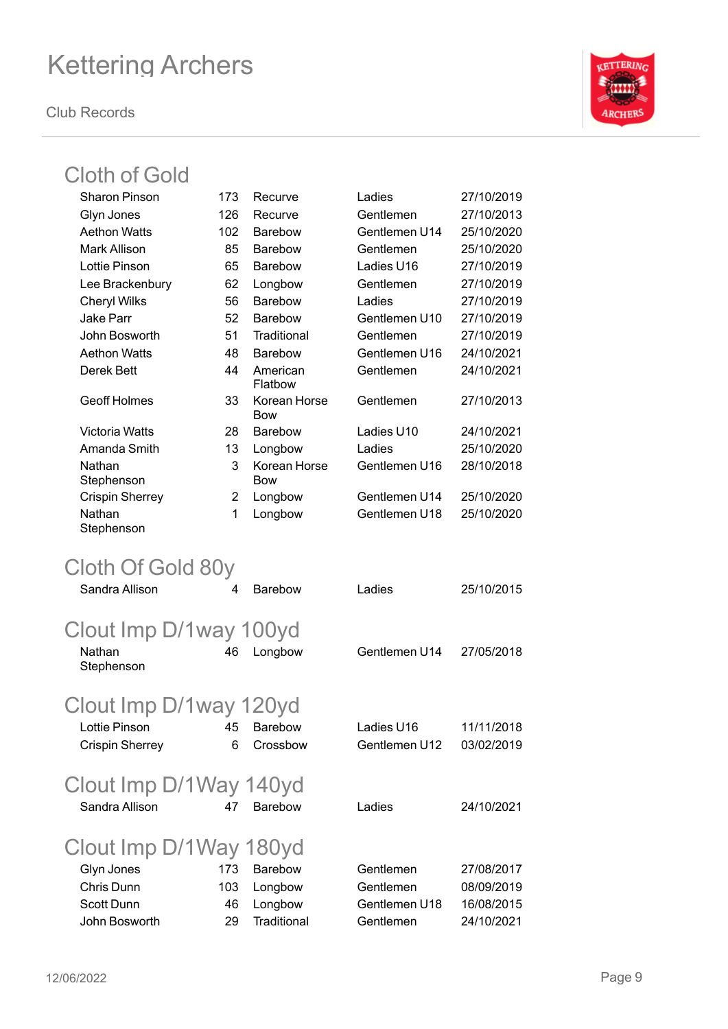**Club Records**



### Cloth of Gold

| 173 | Recurve                                           | Ladies                                                                                                                                                                    | 27/10/2019                                                             |
|-----|---------------------------------------------------|---------------------------------------------------------------------------------------------------------------------------------------------------------------------------|------------------------------------------------------------------------|
| 126 | Recurve                                           | Gentlemen                                                                                                                                                                 | 27/10/2013                                                             |
| 102 | Barebow                                           | Gentlemen U14                                                                                                                                                             | 25/10/2020                                                             |
| 85  | <b>Barebow</b>                                    | Gentlemen                                                                                                                                                                 | 25/10/2020                                                             |
| 65  | <b>Barebow</b>                                    | Ladies U16                                                                                                                                                                | 27/10/2019                                                             |
| 62  | Longbow                                           | Gentlemen                                                                                                                                                                 | 27/10/2019                                                             |
| 56  | Barebow                                           | Ladies                                                                                                                                                                    | 27/10/2019                                                             |
| 52  | Barebow                                           | Gentlemen U10                                                                                                                                                             | 27/10/2019                                                             |
| 51  | Traditional                                       | Gentlemen                                                                                                                                                                 | 27/10/2019                                                             |
| 48  | Barebow                                           | Gentlemen U16                                                                                                                                                             | 24/10/2021                                                             |
| 44  | American<br>Flatbow                               | Gentlemen                                                                                                                                                                 | 24/10/2021                                                             |
| 33  | Korean Horse<br>Bow                               | Gentlemen                                                                                                                                                                 | 27/10/2013                                                             |
| 28  | <b>Barebow</b>                                    | Ladies U10                                                                                                                                                                | 24/10/2021                                                             |
| 13  | Longbow                                           | Ladies                                                                                                                                                                    | 25/10/2020                                                             |
| 3   | Korean Horse<br><b>Bow</b>                        | Gentlemen U16                                                                                                                                                             | 28/10/2018                                                             |
| 2   | Longbow                                           | Gentlemen U14                                                                                                                                                             | 25/10/2020                                                             |
| 1   | Longbow                                           | Gentlemen U18                                                                                                                                                             | 25/10/2020                                                             |
|     |                                                   |                                                                                                                                                                           |                                                                        |
| 4   | <b>Barebow</b>                                    | Ladies                                                                                                                                                                    | 25/10/2015                                                             |
|     |                                                   |                                                                                                                                                                           |                                                                        |
|     |                                                   |                                                                                                                                                                           | 27/05/2018                                                             |
|     |                                                   |                                                                                                                                                                           |                                                                        |
|     |                                                   |                                                                                                                                                                           |                                                                        |
|     |                                                   |                                                                                                                                                                           | 11/11/2018                                                             |
| 6   | Crossbow                                          | Gentlemen U12                                                                                                                                                             | 03/02/2019                                                             |
|     |                                                   |                                                                                                                                                                           |                                                                        |
| 47  | <b>Barebow</b>                                    | Ladies                                                                                                                                                                    | 24/10/2021                                                             |
|     |                                                   |                                                                                                                                                                           |                                                                        |
|     |                                                   |                                                                                                                                                                           | 27/08/2017                                                             |
|     |                                                   |                                                                                                                                                                           | 08/09/2019                                                             |
|     |                                                   |                                                                                                                                                                           | 16/08/2015                                                             |
| 29  | Traditional                                       | Gentlemen                                                                                                                                                                 | 24/10/2021                                                             |
|     | Cloth Of Gold 80y<br>46<br>45<br>173<br>103<br>46 | Clout Imp D/1way 100yd<br>Longbow<br>Clout Imp D/1way 120yd<br><b>Barebow</b><br>Clout Imp D/1Way 140yd<br>Clout Imp D/1Way 180yd<br><b>Barebow</b><br>Longbow<br>Longbow | Gentlemen U14<br>Ladies U16<br>Gentlemen<br>Gentlemen<br>Gentlemen U18 |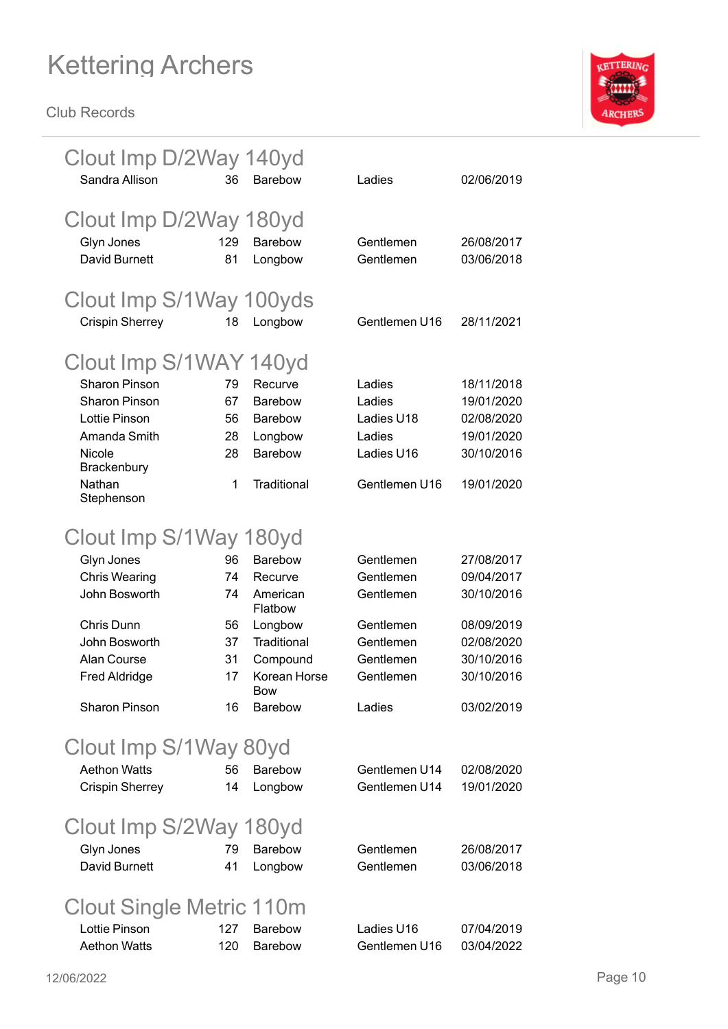

| Clout Imp D/2Way 140yd<br>Sandra Allison | 36  | <b>Barebow</b>      | Ladies        | 02/06/2019 |
|------------------------------------------|-----|---------------------|---------------|------------|
| Clout Imp D/2Way 180yd                   |     |                     |               |            |
| Glyn Jones                               | 129 | <b>Barebow</b>      | Gentlemen     | 26/08/2017 |
| <b>David Burnett</b>                     | 81  | Longbow             | Gentlemen     | 03/06/2018 |
|                                          |     |                     |               |            |
| Clout Imp S/1Way 100yds                  |     |                     |               |            |
| <b>Crispin Sherrey</b>                   | 18  | Longbow             | Gentlemen U16 | 28/11/2021 |
|                                          |     |                     |               |            |
| Clout Imp S/1WAY 140yd                   |     |                     |               |            |
| <b>Sharon Pinson</b>                     | 79  | Recurve             | Ladies        | 18/11/2018 |
| <b>Sharon Pinson</b>                     | 67  | Barebow             | Ladies        | 19/01/2020 |
| <b>Lottie Pinson</b>                     | 56  | <b>Barebow</b>      | Ladies U18    | 02/08/2020 |
| Amanda Smith                             | 28  | Longbow             | Ladies        | 19/01/2020 |
| Nicole                                   | 28  | Barebow             | Ladies U16    | 30/10/2016 |
| Brackenbury                              |     |                     |               |            |
| Nathan<br>Stephenson                     | 1   | Traditional         | Gentlemen U16 | 19/01/2020 |
|                                          |     |                     |               |            |
| Clout Imp S/1Way 180yd                   |     |                     |               |            |
| Glyn Jones                               | 96  | <b>Barebow</b>      | Gentlemen     | 27/08/2017 |
| <b>Chris Wearing</b>                     | 74  | Recurve             | Gentlemen     | 09/04/2017 |
| John Bosworth                            | 74  | American            | Gentlemen     | 30/10/2016 |
|                                          |     | Flatbow             |               |            |
| Chris Dunn                               | 56  | Longbow             | Gentlemen     | 08/09/2019 |
| John Bosworth                            | 37  | Traditional         | Gentlemen     | 02/08/2020 |
| Alan Course                              | 31  | Compound            | Gentlemen     | 30/10/2016 |
| <b>Fred Aldridge</b>                     | 17  | Korean Horse<br>Bow | Gentlemen     | 30/10/2016 |
| <b>Sharon Pinson</b>                     | 16  | <b>Barebow</b>      | Ladies        | 03/02/2019 |
|                                          |     |                     |               |            |
| Clout Imp S/1Way 80yd                    |     |                     |               |            |
| <b>Aethon Watts</b>                      | 56  | <b>Barebow</b>      | Gentlemen U14 | 02/08/2020 |
| <b>Crispin Sherrey</b>                   | 14  | Longbow             | Gentlemen U14 | 19/01/2020 |
|                                          |     |                     |               |            |
| Clout Imp S/2Way 180yd                   |     |                     |               |            |
| Glyn Jones                               | 79  | Barebow             | Gentlemen     | 26/08/2017 |
| David Burnett                            | 41  | Longbow             | Gentlemen     | 03/06/2018 |
|                                          |     |                     |               |            |
| Clout Single Metric 110m                 |     |                     |               |            |
| Lottie Pinson                            | 127 | Barebow             | Ladies U16    | 07/04/2019 |
| <b>Aethon Watts</b>                      | 120 | Barebow             | Gentlemen U16 | 03/04/2022 |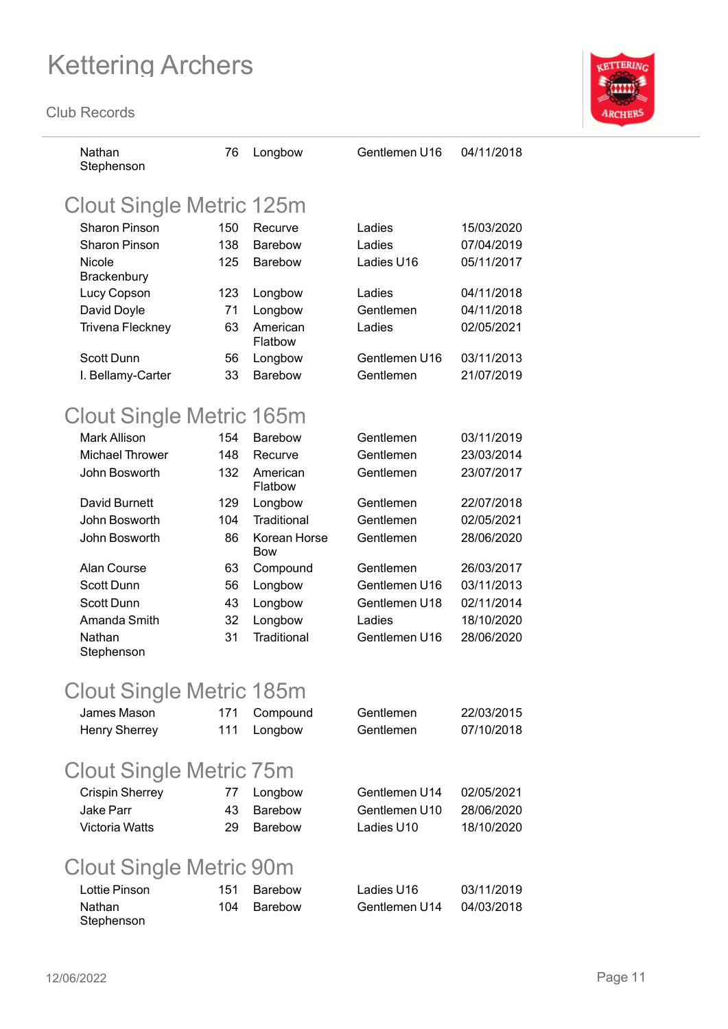**Club Records**



| Nathan<br>Stephenson            | 76  | Longbow             | Gentlemen U16 | 04/11/2018 |
|---------------------------------|-----|---------------------|---------------|------------|
| <b>Clout Single Metric 125m</b> |     |                     |               |            |
| <b>Sharon Pinson</b>            | 150 | Recurve             | Ladies        | 15/03/2020 |
| <b>Sharon Pinson</b>            | 138 | <b>Barebow</b>      | Ladies        | 07/04/2019 |
| Nicole                          | 125 | <b>Barebow</b>      | Ladies U16    | 05/11/2017 |
| Brackenbury                     |     |                     |               |            |
| Lucy Copson                     | 123 | Longbow             | Ladies        | 04/11/2018 |
| David Doyle                     | 71  | Longbow             | Gentlemen     | 04/11/2018 |
| Trivena Fleckney                | 63  | American<br>Flatbow | Ladies        | 02/05/2021 |
| Scott Dunn                      | 56  | Longbow             | Gentlemen U16 | 03/11/2013 |
| I. Bellamy-Carter               | 33  | <b>Barebow</b>      | Gentlemen     | 21/07/2019 |
| Clout Single Metric 165m        |     |                     |               |            |
| Mark Allison                    | 154 | <b>Barebow</b>      | Gentlemen     | 03/11/2019 |
| <b>Michael Thrower</b>          | 148 | Recurve             | Gentlemen     | 23/03/2014 |
| John Bosworth                   | 132 | American<br>Flatbow | Gentlemen     | 23/07/2017 |
| David Burnett                   | 129 | Longbow             | Gentlemen     | 22/07/2018 |
| John Bosworth                   | 104 | Traditional         | Gentlemen     | 02/05/2021 |
| John Bosworth                   | 86  | Korean Horse<br>Bow | Gentlemen     | 28/06/2020 |
| Alan Course                     | 63  | Compound            | Gentlemen     | 26/03/2017 |
| <b>Scott Dunn</b>               | 56  | Longbow             | Gentlemen U16 | 03/11/2013 |
| <b>Scott Dunn</b>               | 43  | Longbow             | Gentlemen U18 | 02/11/2014 |
| Amanda Smith                    | 32  | Longbow             | Ladies        | 18/10/2020 |
| Nathan<br>Stephenson            | 31  | Traditional         | Gentlemen U16 | 28/06/2020 |
| Clout Single Metric 185m        |     |                     |               |            |
| James Mason                     | 171 |                     | Gentlemen     | 22/03/2015 |
| <b>Henry Sherrey</b>            | 111 | Compound<br>Longbow | Gentlemen     | 07/10/2018 |
|                                 |     |                     |               |            |
| <b>Clout Single Metric 75m</b>  |     |                     |               |            |
| <b>Crispin Sherrey</b>          | 77  | Longbow             | Gentlemen U14 | 02/05/2021 |
| Jake Parr                       | 43  | <b>Barebow</b>      | Gentlemen U10 | 28/06/2020 |
| <b>Victoria Watts</b>           | 29  | Barebow             | Ladies U10    | 18/10/2020 |
| <b>Clout Single Metric 90m</b>  |     |                     |               |            |
| Lottie Pinson                   | 151 | <b>Barebow</b>      | Ladies U16    | 03/11/2019 |
| Nathan                          | 104 | Barebow             | Gentlemen U14 | 04/03/2018 |

Stephenson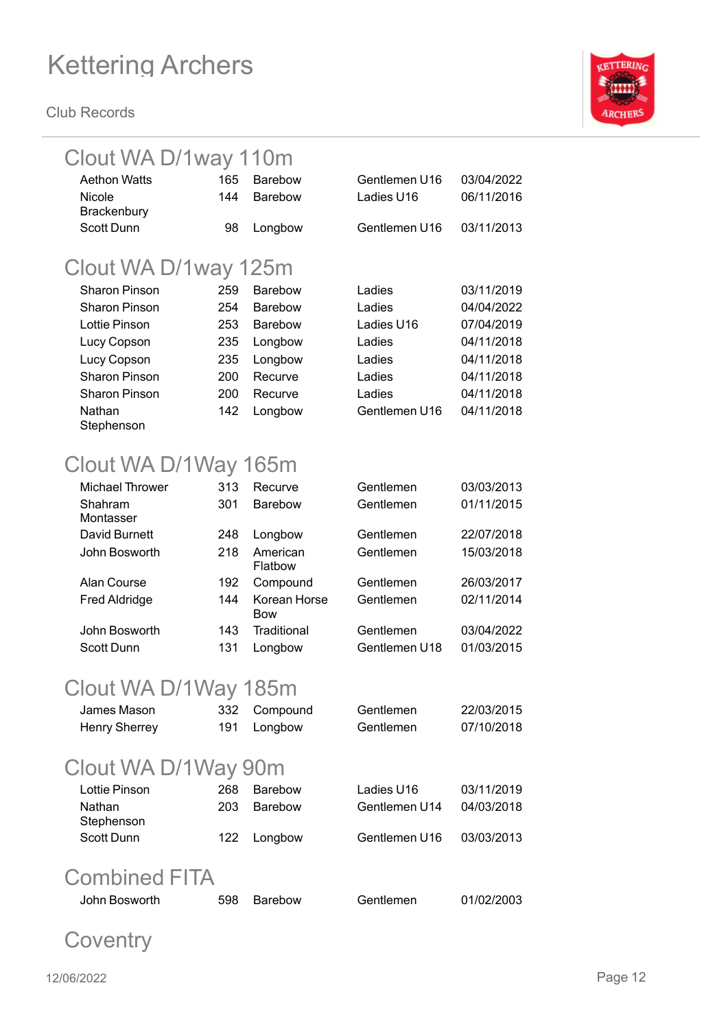**Club Records**



### Clout WA D/1way 110m

| <b>Aethon Watts</b>    | 165 | <b>Barebow</b>      | Gentlemen U16 | 03/04/2022 |
|------------------------|-----|---------------------|---------------|------------|
| Nicole                 | 144 | <b>Barebow</b>      | Ladies U16    | 06/11/2016 |
| Brackenbury            |     |                     |               |            |
| <b>Scott Dunn</b>      | 98  | Longbow             | Gentlemen U16 | 03/11/2013 |
|                        |     |                     |               |            |
| Clout WA D/1way 125m   |     |                     |               |            |
| <b>Sharon Pinson</b>   | 259 | Barebow             | Ladies        | 03/11/2019 |
| <b>Sharon Pinson</b>   | 254 | <b>Barebow</b>      | Ladies        | 04/04/2022 |
| Lottie Pinson          | 253 | Barebow             | Ladies U16    | 07/04/2019 |
| Lucy Copson            | 235 | Longbow             | Ladies        | 04/11/2018 |
| Lucy Copson            | 235 | Longbow             | Ladies        | 04/11/2018 |
| <b>Sharon Pinson</b>   | 200 | Recurve             | Ladies        | 04/11/2018 |
| <b>Sharon Pinson</b>   | 200 | Recurve             | Ladies        | 04/11/2018 |
| Nathan                 | 142 | Longbow             | Gentlemen U16 | 04/11/2018 |
| Stephenson             |     |                     |               |            |
|                        |     |                     |               |            |
| Clout WA D/1Way 165m   |     |                     |               |            |
| <b>Michael Thrower</b> | 313 | Recurve             | Gentlemen     | 03/03/2013 |
| Shahram                | 301 | <b>Barebow</b>      | Gentlemen     | 01/11/2015 |
| Montasser              |     |                     |               |            |
| David Burnett          | 248 | Longbow             | Gentlemen     | 22/07/2018 |
| John Bosworth          | 218 | American            | Gentlemen     | 15/03/2018 |
| Alan Course            | 192 | Flatbow<br>Compound | Gentlemen     | 26/03/2017 |
| <b>Fred Aldridge</b>   | 144 | Korean Horse        | Gentlemen     | 02/11/2014 |
|                        |     | <b>Bow</b>          |               |            |
| John Bosworth          | 143 | <b>Traditional</b>  | Gentlemen     | 03/04/2022 |
| Scott Dunn             | 131 | Longbow             | Gentlemen U18 | 01/03/2015 |
|                        |     |                     |               |            |
| Clout WA D/1Way 185m   |     |                     |               |            |
|                        |     |                     |               |            |

| James Mason<br><b>Henry Sherrey</b> | 332<br>191 | Compound<br>Longbow | Gentlemen<br>Gentlemen | 22/03/2015<br>07/10/2018 |
|-------------------------------------|------------|---------------------|------------------------|--------------------------|
| Clout WA D/1Way 90m                 |            |                     |                        |                          |
| Lottie Pinson                       | 268        | <b>Barebow</b>      | Ladies U16             | 03/11/2019               |
| Nathan<br>Stephenson                | 203        | <b>Barebow</b>      | Gentlemen U14          | 04/03/2018               |
| Scott Dunn                          | 122        | Longbow             | Gentlemen U16          | 03/03/2013               |
|                                     |            |                     |                        |                          |

### Combined FITA

| John Bosworth | 598 Barebow | Gentlemen | 01/02/2003 |
|---------------|-------------|-----------|------------|
|---------------|-------------|-----------|------------|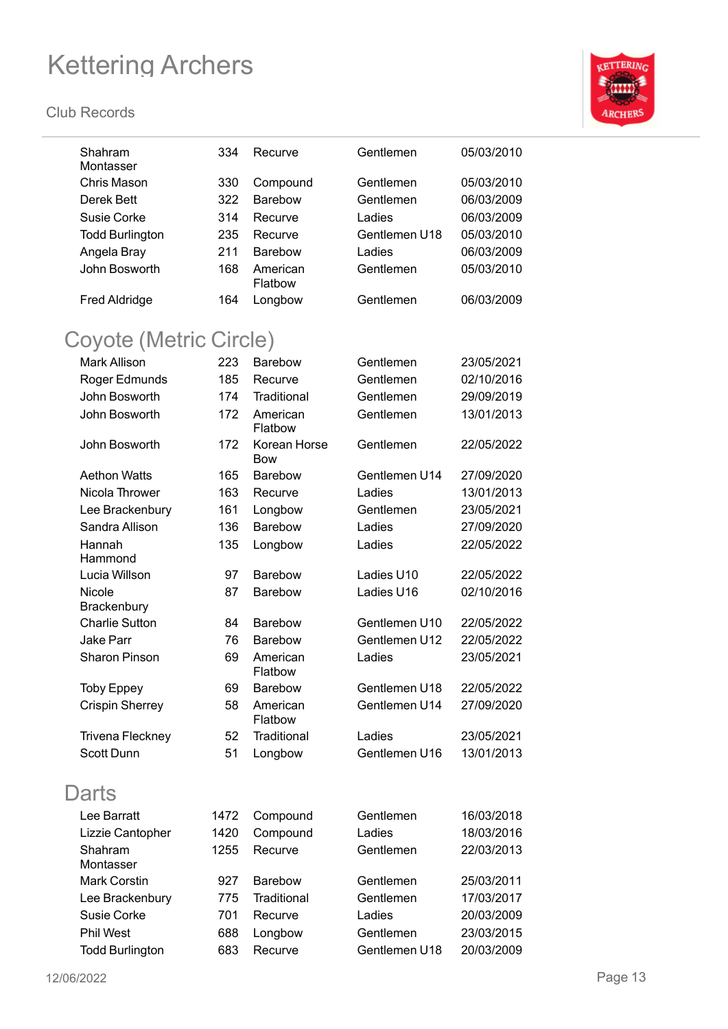

| Shahram<br>Montasser    | 334  | Recurve                    | Gentlemen     | 05/03/2010 |
|-------------------------|------|----------------------------|---------------|------------|
| Chris Mason             | 330  | Compound                   | Gentlemen     | 05/03/2010 |
| Derek Bett              | 322  | Barebow                    | Gentlemen     | 06/03/2009 |
| Susie Corke             | 314  | Recurve                    | Ladies        | 06/03/2009 |
| <b>Todd Burlington</b>  | 235  | Recurve                    | Gentlemen U18 | 05/03/2010 |
| Angela Bray             | 211  | <b>Barebow</b>             | Ladies        | 06/03/2009 |
| John Bosworth           | 168  | American                   | Gentlemen     | 05/03/2010 |
|                         |      | Flatbow                    |               |            |
| <b>Fred Aldridge</b>    | 164  | Longbow                    | Gentlemen     | 06/03/2009 |
| Coyote (Metric Circle)  |      |                            |               |            |
| <b>Mark Allison</b>     | 223  | <b>Barebow</b>             | Gentlemen     | 23/05/2021 |
| Roger Edmunds           | 185  | Recurve                    | Gentlemen     | 02/10/2016 |
| John Bosworth           | 174  | Traditional                | Gentlemen     | 29/09/2019 |
| John Bosworth           | 172  | American                   | Gentlemen     | 13/01/2013 |
|                         |      | Flatbow                    |               |            |
| John Bosworth           | 172  | Korean Horse<br><b>Bow</b> | Gentlemen     | 22/05/2022 |
| <b>Aethon Watts</b>     | 165  | <b>Barebow</b>             | Gentlemen U14 | 27/09/2020 |
| Nicola Thrower          | 163  | Recurve                    | Ladies        | 13/01/2013 |
| Lee Brackenbury         | 161  | Longbow                    | Gentlemen     | 23/05/2021 |
| Sandra Allison          | 136  | <b>Barebow</b>             | Ladies        | 27/09/2020 |
| Hannah                  | 135  | Longbow                    | Ladies        | 22/05/2022 |
| Hammond                 |      |                            |               |            |
| Lucia Willson           | 97   | <b>Barebow</b>             | Ladies U10    | 22/05/2022 |
| Nicole<br>Brackenbury   | 87   | Barebow                    | Ladies U16    | 02/10/2016 |
| <b>Charlie Sutton</b>   | 84   | <b>Barebow</b>             | Gentlemen U10 | 22/05/2022 |
| <b>Jake Parr</b>        | 76   | Barebow                    | Gentlemen U12 | 22/05/2022 |
| Sharon Pinson           | 69   | American<br>Flatbow        | Ladies        | 23/05/2021 |
| <b>Toby Eppey</b>       | 69   | Barebow                    | Gentlemen U18 | 22/05/2022 |
| <b>Crispin Sherrey</b>  | 58   | American<br>Flatbow        | Gentlemen U14 | 27/09/2020 |
| <b>Trivena Fleckney</b> | 52   | Traditional                | Ladies        | 23/05/2021 |
| Scott Dunn              | 51   | Longbow                    | Gentlemen U16 | 13/01/2013 |
| <b>Darts</b>            |      |                            |               |            |
| Lee Barratt             | 1472 | Compound                   | Gentlemen     | 16/03/2018 |
| Lizzie Cantopher        | 1420 | Compound                   | Ladies        | 18/03/2016 |
| Shahram                 | 1255 | Recurve                    | Gentlemen     | 22/03/2013 |
| Montasser               |      |                            |               |            |
| <b>Mark Corstin</b>     | 927  | <b>Barebow</b>             | Gentlemen     | 25/03/2011 |
| Lee Brackenbury         | 775  | Traditional                | Gentlemen     | 17/03/2017 |
| Susie Corke             | 701  | Recurve                    | Ladies        | 20/03/2009 |
| <b>Phil West</b>        | 688  | Longbow                    | Gentlemen     | 23/03/2015 |
| <b>Todd Burlington</b>  | 683  | Recurve                    | Gentlemen U18 | 20/03/2009 |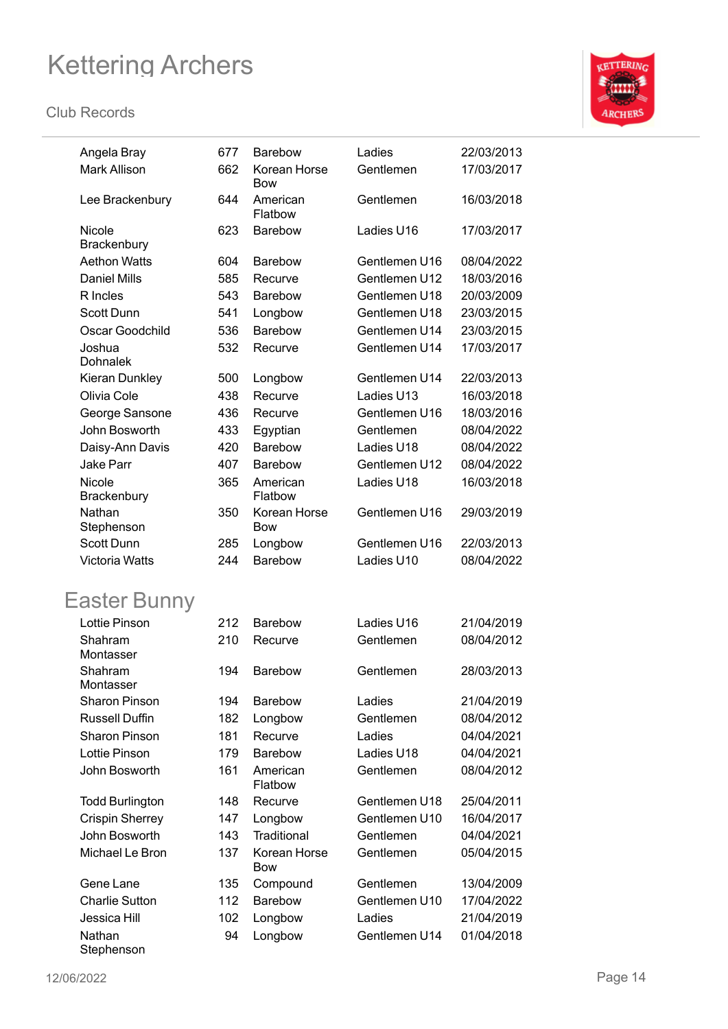

| Angela Bray               | 677 | <b>Barebow</b>      | Ladies        | 22/03/2013 |
|---------------------------|-----|---------------------|---------------|------------|
| <b>Mark Allison</b>       | 662 | Korean Horse        | Gentlemen     | 17/03/2017 |
|                           |     | Bow                 |               |            |
| Lee Brackenbury           | 644 | American<br>Flatbow | Gentlemen     | 16/03/2018 |
| Nicole<br>Brackenbury     | 623 | Barebow             | Ladies U16    | 17/03/2017 |
| <b>Aethon Watts</b>       | 604 | <b>Barebow</b>      | Gentlemen U16 | 08/04/2022 |
| <b>Daniel Mills</b>       | 585 | Recurve             | Gentlemen U12 | 18/03/2016 |
| R Incles                  | 543 | <b>Barebow</b>      | Gentlemen U18 | 20/03/2009 |
| Scott Dunn                | 541 | Longbow             | Gentlemen U18 | 23/03/2015 |
| Oscar Goodchild           | 536 | <b>Barebow</b>      | Gentlemen U14 | 23/03/2015 |
| Joshua<br><b>Dohnalek</b> | 532 | Recurve             | Gentlemen U14 | 17/03/2017 |
| Kieran Dunkley            | 500 | Longbow             | Gentlemen U14 | 22/03/2013 |
| Olivia Cole               | 438 | Recurve             | Ladies U13    | 16/03/2018 |
| George Sansone            | 436 | Recurve             | Gentlemen U16 | 18/03/2016 |
| John Bosworth             | 433 | Egyptian            | Gentlemen     | 08/04/2022 |
| Daisy-Ann Davis           | 420 | <b>Barebow</b>      | Ladies U18    | 08/04/2022 |
| <b>Jake Parr</b>          | 407 | <b>Barebow</b>      | Gentlemen U12 | 08/04/2022 |
| Nicole<br>Brackenbury     | 365 | American<br>Flatbow | Ladies U18    | 16/03/2018 |
| Nathan<br>Stephenson      | 350 | Korean Horse<br>Bow | Gentlemen U16 | 29/03/2019 |
| <b>Scott Dunn</b>         | 285 | Longbow             | Gentlemen U16 | 22/03/2013 |
| <b>Victoria Watts</b>     | 244 | <b>Barebow</b>      | Ladies U10    | 08/04/2022 |
| Easter Bunny              |     |                     |               |            |
| Lottie Pinson             | 212 | <b>Barebow</b>      | Ladies U16    | 21/04/2019 |
| Shahram                   | 210 | Recurve             | Gentlemen     | 08/04/2012 |
| Montasser                 |     |                     |               |            |
| Shahram<br>Montasser      | 194 | <b>Barebow</b>      | Gentlemen     | 28/03/2013 |
| <b>Sharon Pinson</b>      | 194 | <b>Barebow</b>      | Ladies        | 21/04/2019 |
| <b>Russell Duffin</b>     | 182 | Longbow             | Gentlemen     | 08/04/2012 |
| <b>Sharon Pinson</b>      | 181 | Recurve             | Ladies        | 04/04/2021 |
| <b>Lottie Pinson</b>      | 179 | Barebow             | Ladies U18    | 04/04/2021 |
| John Bosworth             | 161 | American<br>Flatbow | Gentlemen     | 08/04/2012 |
| <b>Todd Burlington</b>    | 148 | Recurve             | Gentlemen U18 | 25/04/2011 |
| <b>Crispin Sherrey</b>    | 147 | Longbow             | Gentlemen U10 | 16/04/2017 |
| John Bosworth             | 143 | Traditional         | Gentlemen     | 04/04/2021 |
| Michael Le Bron           | 137 | Korean Horse<br>Bow | Gentlemen     | 05/04/2015 |
| Gene Lane                 | 135 | Compound            | Gentlemen     | 13/04/2009 |
| <b>Charlie Sutton</b>     | 112 | Barebow             | Gentlemen U10 | 17/04/2022 |
| Jessica Hill              | 102 | Longbow             | Ladies        | 21/04/2019 |
| Nathan<br>Stephenson      | 94  | Longbow             | Gentlemen U14 | 01/04/2018 |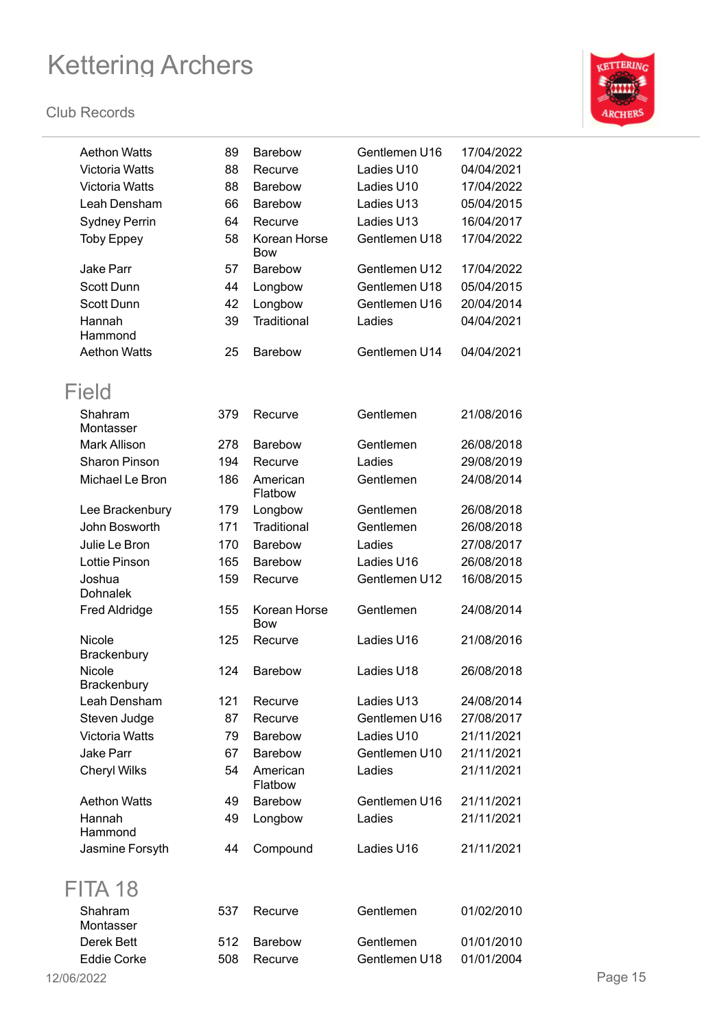

| <b>Aethon Watts</b>       | 89  | <b>Barebow</b>             | Gentlemen U16 | 17/04/2022 |         |
|---------------------------|-----|----------------------------|---------------|------------|---------|
| <b>Victoria Watts</b>     | 88  | Recurve                    | Ladies U10    | 04/04/2021 |         |
| <b>Victoria Watts</b>     | 88  | <b>Barebow</b>             | Ladies U10    | 17/04/2022 |         |
| Leah Densham              | 66  | Barebow                    | Ladies U13    | 05/04/2015 |         |
| <b>Sydney Perrin</b>      | 64  | Recurve                    | Ladies U13    | 16/04/2017 |         |
| <b>Toby Eppey</b>         | 58  | Korean Horse<br><b>Bow</b> | Gentlemen U18 | 17/04/2022 |         |
| <b>Jake Parr</b>          | 57  | <b>Barebow</b>             | Gentlemen U12 | 17/04/2022 |         |
| <b>Scott Dunn</b>         | 44  | Longbow                    | Gentlemen U18 | 05/04/2015 |         |
| Scott Dunn                | 42  | Longbow                    | Gentlemen U16 | 20/04/2014 |         |
| Hannah<br>Hammond         | 39  | Traditional                | Ladies        | 04/04/2021 |         |
| <b>Aethon Watts</b>       | 25  | Barebow                    | Gentlemen U14 | 04/04/2021 |         |
| Field                     |     |                            |               |            |         |
| Shahram<br>Montasser      | 379 | Recurve                    | Gentlemen     | 21/08/2016 |         |
| Mark Allison              | 278 | Barebow                    | Gentlemen     | 26/08/2018 |         |
| <b>Sharon Pinson</b>      | 194 | Recurve                    | Ladies        | 29/08/2019 |         |
| Michael Le Bron           | 186 | American<br>Flatbow        | Gentlemen     | 24/08/2014 |         |
| Lee Brackenbury           | 179 | Longbow                    | Gentlemen     | 26/08/2018 |         |
| John Bosworth             | 171 | Traditional                | Gentlemen     | 26/08/2018 |         |
| Julie Le Bron             | 170 | <b>Barebow</b>             | Ladies        | 27/08/2017 |         |
| Lottie Pinson             | 165 | Barebow                    | Ladies U16    | 26/08/2018 |         |
| Joshua<br><b>Dohnalek</b> | 159 | Recurve                    | Gentlemen U12 | 16/08/2015 |         |
| <b>Fred Aldridge</b>      | 155 | Korean Horse<br><b>Bow</b> | Gentlemen     | 24/08/2014 |         |
| Nicole<br>Brackenbury     | 125 | Recurve                    | Ladies U16    | 21/08/2016 |         |
| Nicole<br>Brackenbury     | 124 | <b>Barebow</b>             | Ladies U18    | 26/08/2018 |         |
| Leah Densham              | 121 | Recurve                    | Ladies U13    | 24/08/2014 |         |
| Steven Judge              | 87  | Recurve                    | Gentlemen U16 | 27/08/2017 |         |
| Victoria Watts            | 79  | <b>Barebow</b>             | Ladies U10    | 21/11/2021 |         |
| <b>Jake Parr</b>          | 67  | Barebow                    | Gentlemen U10 | 21/11/2021 |         |
| <b>Cheryl Wilks</b>       | 54  | American<br>Flatbow        | Ladies        | 21/11/2021 |         |
| <b>Aethon Watts</b>       | 49  | <b>Barebow</b>             | Gentlemen U16 | 21/11/2021 |         |
| Hannah<br>Hammond         | 49  | Longbow                    | Ladies        | 21/11/2021 |         |
| Jasmine Forsyth           | 44  | Compound                   | Ladies U16    | 21/11/2021 |         |
| FITA 18                   |     |                            |               |            |         |
| Shahram<br>Montasser      | 537 | Recurve                    | Gentlemen     | 01/02/2010 |         |
| Derek Bett                | 512 | <b>Barebow</b>             | Gentlemen     | 01/01/2010 |         |
| <b>Eddie Corke</b>        | 508 | Recurve                    | Gentlemen U18 | 01/01/2004 |         |
| 12/06/2022                |     |                            |               |            | Page 15 |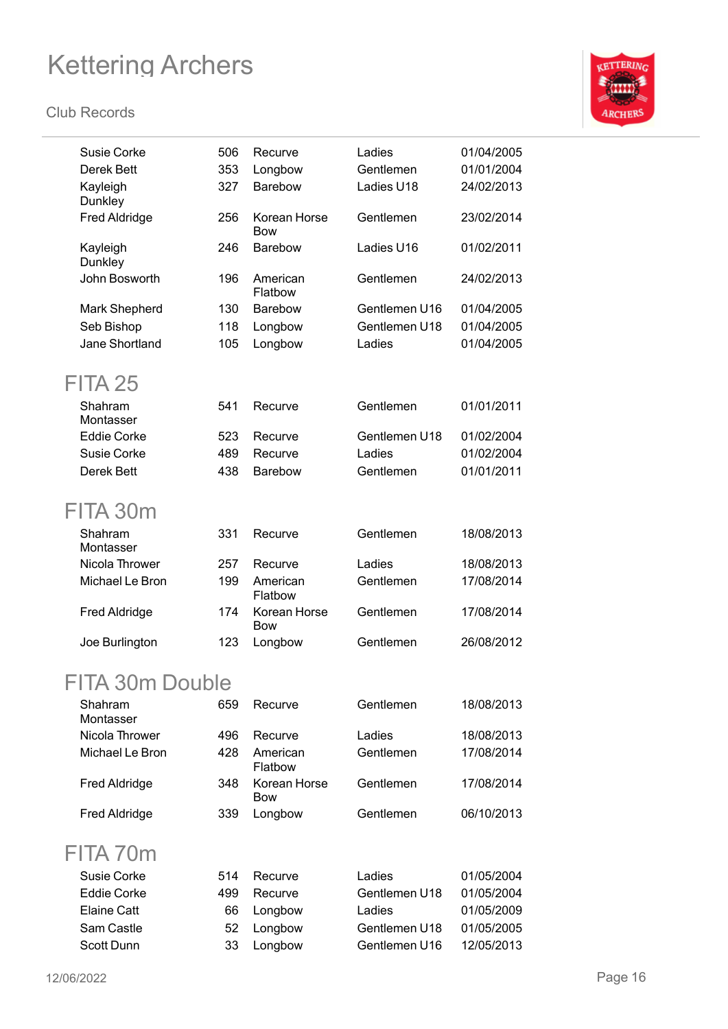

| Recurve<br>Longbow         | Ladies<br>Gentlemen | 01/04/2005 |
|----------------------------|---------------------|------------|
|                            |                     |            |
|                            |                     | 01/01/2004 |
| <b>Barebow</b>             | Ladies U18          | 24/02/2013 |
| Korean Horse<br><b>Bow</b> | Gentlemen           | 23/02/2014 |
| <b>Barebow</b>             | Ladies U16          | 01/02/2011 |
| American<br>Flatbow        | Gentlemen           | 24/02/2013 |
| <b>Barebow</b>             | Gentlemen U16       | 01/04/2005 |
| Longbow                    | Gentlemen U18       | 01/04/2005 |
| Longbow                    | Ladies              | 01/04/2005 |
|                            |                     |            |
| Recurve                    | Gentlemen           | 01/01/2011 |
| Recurve                    | Gentlemen U18       | 01/02/2004 |
| Recurve                    | Ladies              | 01/02/2004 |
| <b>Barebow</b>             | Gentlemen           | 01/01/2011 |
|                            |                     |            |
|                            |                     |            |
| Recurve                    | Gentlemen           | 18/08/2013 |
| Recurve                    | Ladies              | 18/08/2013 |
| American<br>Flatbow        | Gentlemen           | 17/08/2014 |
| Korean Horse<br>Bow        | Gentlemen           | 17/08/2014 |
| Longbow                    | Gentlemen           | 26/08/2012 |
|                            |                     |            |
| Recurve                    | Gentlemen           | 18/08/2013 |
| Recurve                    | Ladies              | 18/08/2013 |
| American<br>Flatbow        | Gentlemen           | 17/08/2014 |
| Korean Horse<br><b>Bow</b> | Gentlemen           | 17/08/2014 |
| Longbow                    | Gentlemen           | 06/10/2013 |
|                            |                     |            |
| Recurve                    | Ladies              | 01/05/2004 |
| Recurve                    | Gentlemen U18       | 01/05/2004 |
| Longbow                    | Ladies              | 01/05/2009 |
| Longbow                    | Gentlemen U18       | 01/05/2005 |
| Longbow                    | Gentlemen U16       | 12/05/2013 |
|                            |                     |            |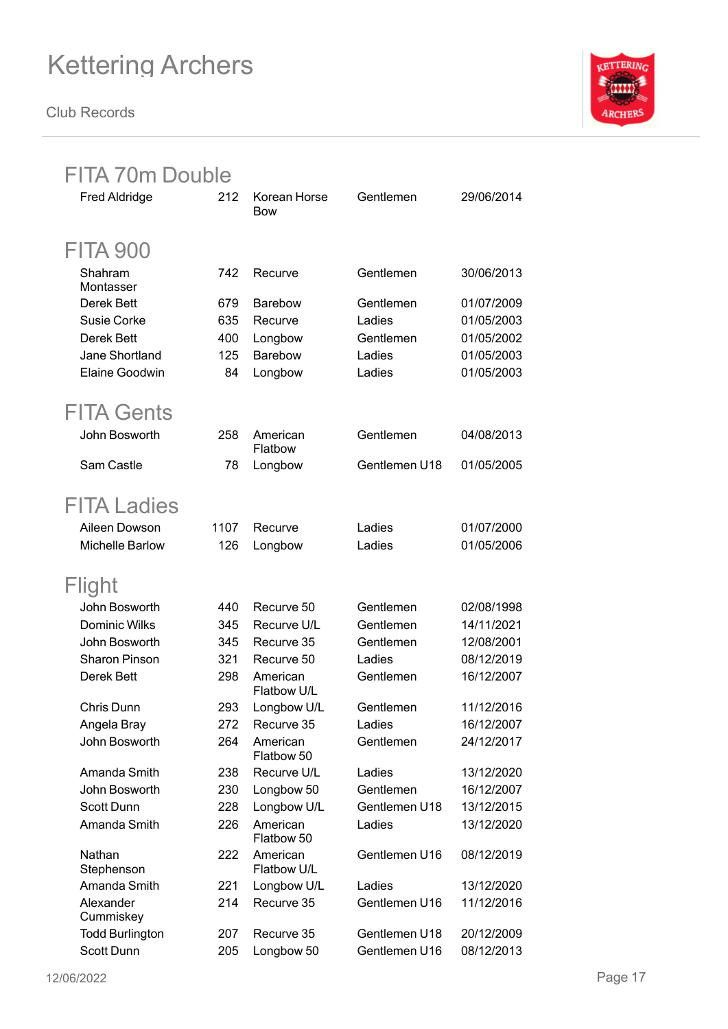

| <b>FITA 70m Double</b> |      |                         |               |            |
|------------------------|------|-------------------------|---------------|------------|
| <b>Fred Aldridge</b>   | 212  | Korean Horse<br>Bow     | Gentlemen     | 29/06/2014 |
| <b>FITA 900</b>        |      |                         |               |            |
| Shahram<br>Montasser   | 742  | Recurve                 | Gentlemen     | 30/06/2013 |
| <b>Derek Bett</b>      | 679  | <b>Barebow</b>          | Gentlemen     | 01/07/2009 |
| Susie Corke            | 635  | Recurve                 | Ladies        | 01/05/2003 |
| Derek Bett             | 400  | Longbow                 | Gentlemen     | 01/05/2002 |
| Jane Shortland         | 125  | Barebow                 | Ladies        | 01/05/2003 |
| Elaine Goodwin         | 84   | Longbow                 | Ladies        | 01/05/2003 |
| <b>FITA Gents</b>      |      |                         |               |            |
| John Bosworth          | 258  | American<br>Flatbow     | Gentlemen     | 04/08/2013 |
| Sam Castle             | 78   | Longbow                 | Gentlemen U18 | 01/05/2005 |
| <b>FITA Ladies</b>     |      |                         |               |            |
| Aileen Dowson          | 1107 | Recurve                 | Ladies        | 01/07/2000 |
| <b>Michelle Barlow</b> | 126  | Longbow                 | Ladies        | 01/05/2006 |
| Flight                 |      |                         |               |            |
| John Bosworth          | 440  | Recurve 50              | Gentlemen     | 02/08/1998 |
| <b>Dominic Wilks</b>   | 345  | Recurve U/L             | Gentlemen     | 14/11/2021 |
| John Bosworth          | 345  | Recurve 35              | Gentlemen     | 12/08/2001 |
| <b>Sharon Pinson</b>   | 321  | Recurve 50              | Ladies        | 08/12/2019 |
| Derek Bett             | 298  | American<br>Flatbow U/L | Gentlemen     | 16/12/2007 |
| Chris Dunn             | 293  | Longbow U/L             | Gentlemen     | 11/12/2016 |
| Angela Bray            | 272  | Recurve 35              | Ladies        | 16/12/2007 |
| John Bosworth          | 264  | American<br>Flatbow 50  | Gentlemen     | 24/12/2017 |
| Amanda Smith           | 238  | Recurve U/L             | Ladies        | 13/12/2020 |
| John Bosworth          | 230  | Longbow 50              | Gentlemen     | 16/12/2007 |
| Scott Dunn             | 228  | Longbow U/L             | Gentlemen U18 | 13/12/2015 |
| Amanda Smith           | 226  | American<br>Flatbow 50  | Ladies        | 13/12/2020 |
| Nathan<br>Stephenson   | 222  | American<br>Flatbow U/L | Gentlemen U16 | 08/12/2019 |
| Amanda Smith           | 221  | Longbow U/L             | Ladies        | 13/12/2020 |
| Alexander<br>Cummiskey | 214  | Recurve 35              | Gentlemen U16 | 11/12/2016 |
| <b>Todd Burlington</b> | 207  | Recurve 35              | Gentlemen U18 | 20/12/2009 |
| Scott Dunn             | 205  | Longbow 50              | Gentlemen U16 | 08/12/2013 |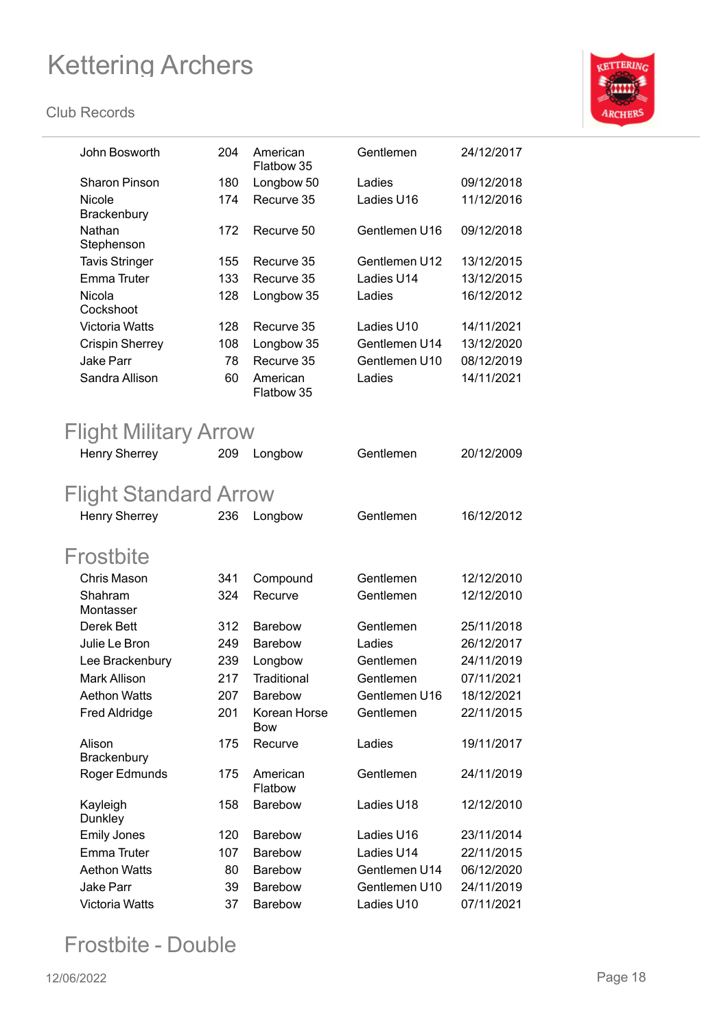#### **Club Records**



| John Bosworth                       | 204 | American<br>Flatbow 35     | Gentlemen     | 24/12/2017 |
|-------------------------------------|-----|----------------------------|---------------|------------|
| <b>Sharon Pinson</b>                | 180 | Longbow 50                 | Ladies        | 09/12/2018 |
| Nicole                              | 174 | Recurve 35                 | Ladies U16    | 11/12/2016 |
| Brackenbury<br>Nathan<br>Stephenson | 172 | Recurve 50                 | Gentlemen U16 | 09/12/2018 |
| <b>Tavis Stringer</b>               | 155 | Recurve 35                 | Gentlemen U12 | 13/12/2015 |
| <b>Emma Truter</b>                  | 133 | Recurve 35                 | Ladies U14    | 13/12/2015 |
| Nicola                              | 128 | Longbow 35                 | Ladies        | 16/12/2012 |
| Cockshoot                           |     |                            |               |            |
| <b>Victoria Watts</b>               | 128 | Recurve 35                 | Ladies U10    | 14/11/2021 |
| <b>Crispin Sherrey</b>              | 108 | Longbow 35                 | Gentlemen U14 | 13/12/2020 |
| <b>Jake Parr</b>                    | 78  | Recurve 35                 | Gentlemen U10 | 08/12/2019 |
| Sandra Allison                      | 60  | American<br>Flatbow 35     | Ladies        | 14/11/2021 |
| <b>Flight Military Arrow</b>        |     |                            |               |            |
| <b>Henry Sherrey</b>                | 209 | Longbow                    | Gentlemen     | 20/12/2009 |
|                                     |     |                            |               |            |
| <b>Flight Standard Arrow</b>        |     |                            |               |            |
| <b>Henry Sherrey</b>                | 236 | Longbow                    | Gentlemen     | 16/12/2012 |
| Frostbite                           |     |                            |               |            |
| <b>Chris Mason</b>                  | 341 | Compound                   | Gentlemen     | 12/12/2010 |
| Shahram                             | 324 | Recurve                    | Gentlemen     | 12/12/2010 |
| Montasser                           |     |                            |               |            |
| Derek Bett                          | 312 | <b>Barebow</b>             | Gentlemen     | 25/11/2018 |
| Julie Le Bron                       | 249 | Barebow                    | Ladies        | 26/12/2017 |
| Lee Brackenbury                     | 239 | Longbow                    | Gentlemen     | 24/11/2019 |
| <b>Mark Allison</b>                 | 217 | Traditional                | Gentlemen     | 07/11/2021 |
| <b>Aethon Watts</b>                 | 207 | <b>Barebow</b>             | Gentlemen U16 | 18/12/2021 |
| <b>Fred Aldridge</b>                | 201 | Korean Horse<br><b>Bow</b> | Gentlemen     | 22/11/2015 |
| Alison<br>Brackenbury               | 175 | Recurve                    | Ladies        | 19/11/2017 |
| Roger Edmunds                       | 175 | American<br>Flatbow        | Gentlemen     | 24/11/2019 |
| Kayleigh<br>Dunkley                 | 158 | Barebow                    | Ladies U18    | 12/12/2010 |
| <b>Emily Jones</b>                  | 120 | <b>Barebow</b>             | Ladies U16    | 23/11/2014 |
| Emma Truter                         | 107 | <b>Barebow</b>             | Ladies U14    | 22/11/2015 |
| <b>Aethon Watts</b>                 | 80  | Barebow                    | Gentlemen U14 | 06/12/2020 |
| <b>Jake Parr</b>                    | 39  | Barebow                    | Gentlemen U10 | 24/11/2019 |
| Victoria Watts                      | 37  | Barebow                    | Ladies U10    | 07/11/2021 |

### Frostbite - Double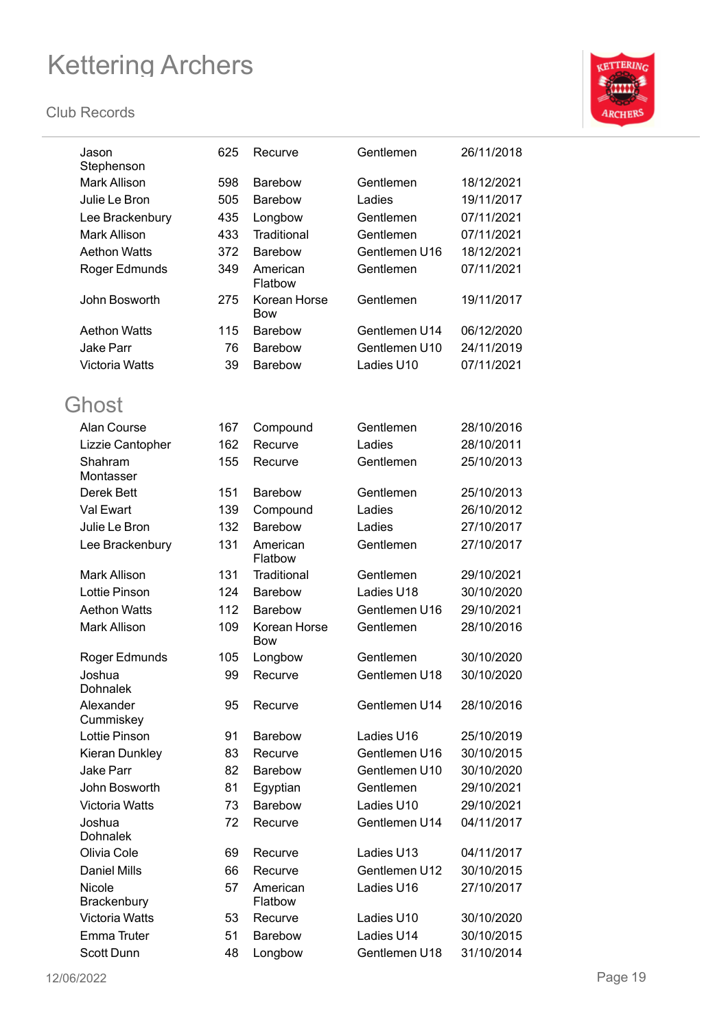

| Jason<br>Stephenson       | 625 | Recurve                    | Gentlemen     | 26/11/2018 |
|---------------------------|-----|----------------------------|---------------|------------|
| <b>Mark Allison</b>       | 598 | <b>Barebow</b>             | Gentlemen     | 18/12/2021 |
| Julie Le Bron             | 505 | <b>Barebow</b>             | Ladies        | 19/11/2017 |
| Lee Brackenbury           | 435 | Longbow                    | Gentlemen     | 07/11/2021 |
| <b>Mark Allison</b>       | 433 | Traditional                | Gentlemen     | 07/11/2021 |
| <b>Aethon Watts</b>       | 372 | Barebow                    | Gentlemen U16 | 18/12/2021 |
| Roger Edmunds             | 349 | American<br>Flatbow        | Gentlemen     | 07/11/2021 |
| John Bosworth             | 275 | Korean Horse<br><b>Bow</b> | Gentlemen     | 19/11/2017 |
| <b>Aethon Watts</b>       | 115 | <b>Barebow</b>             | Gentlemen U14 | 06/12/2020 |
| <b>Jake Parr</b>          | 76  | <b>Barebow</b>             | Gentlemen U10 | 24/11/2019 |
| <b>Victoria Watts</b>     | 39  | Barebow                    | Ladies U10    | 07/11/2021 |
| Ghost                     |     |                            |               |            |
| Alan Course               | 167 | Compound                   | Gentlemen     | 28/10/2016 |
| Lizzie Cantopher          | 162 | Recurve                    | Ladies        | 28/10/2011 |
| Shahram<br>Montasser      | 155 | Recurve                    | Gentlemen     | 25/10/2013 |
| Derek Bett                | 151 | <b>Barebow</b>             | Gentlemen     | 25/10/2013 |
| Val Ewart                 | 139 | Compound                   | Ladies        | 26/10/2012 |
| Julie Le Bron             | 132 | <b>Barebow</b>             | Ladies        | 27/10/2017 |
| Lee Brackenbury           | 131 | American<br>Flatbow        | Gentlemen     | 27/10/2017 |
| Mark Allison              | 131 | Traditional                | Gentlemen     | 29/10/2021 |
| Lottie Pinson             | 124 | Barebow                    | Ladies U18    | 30/10/2020 |
| <b>Aethon Watts</b>       | 112 | <b>Barebow</b>             | Gentlemen U16 | 29/10/2021 |
| <b>Mark Allison</b>       | 109 | Korean Horse<br><b>Bow</b> | Gentlemen     | 28/10/2016 |
| Roger Edmunds             | 105 | Longbow                    | Gentlemen     | 30/10/2020 |
| Joshua<br><b>Dohnalek</b> | 99  | Recurve                    | Gentlemen U18 | 30/10/2020 |
| Alexander<br>Cummiskey    | 95  | Recurve                    | Gentlemen U14 | 28/10/2016 |
| Lottie Pinson             | 91  | <b>Barebow</b>             | Ladies U16    | 25/10/2019 |
| Kieran Dunkley            | 83  | Recurve                    | Gentlemen U16 | 30/10/2015 |
| <b>Jake Parr</b>          | 82  | Barebow                    | Gentlemen U10 | 30/10/2020 |
| John Bosworth             | 81  | Egyptian                   | Gentlemen     | 29/10/2021 |
| <b>Victoria Watts</b>     | 73  | <b>Barebow</b>             | Ladies U10    | 29/10/2021 |
| Joshua<br><b>Dohnalek</b> | 72  | Recurve                    | Gentlemen U14 | 04/11/2017 |
| Olivia Cole               | 69  | Recurve                    | Ladies U13    | 04/11/2017 |
| <b>Daniel Mills</b>       | 66  | Recurve                    | Gentlemen U12 | 30/10/2015 |
| Nicole                    | 57  | American                   | Ladies U16    | 27/10/2017 |
| Brackenbury               |     | Flatbow                    |               |            |
| <b>Victoria Watts</b>     | 53  | Recurve                    | Ladies U10    | 30/10/2020 |
| Emma Truter               | 51  | Barebow                    | Ladies U14    | 30/10/2015 |
| Scott Dunn                | 48  | Longbow                    | Gentlemen U18 | 31/10/2014 |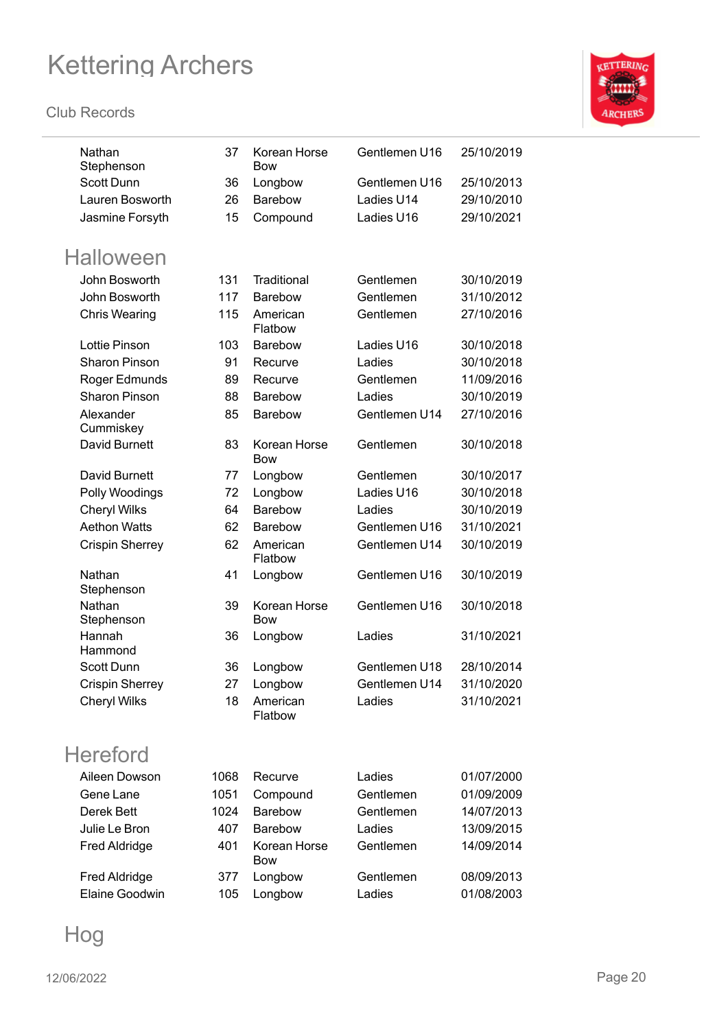#### **Club Records**



| Nathan<br>Stephenson   | 37   | Korean Horse<br><b>Bow</b> | Gentlemen U16 | 25/10/2019 |
|------------------------|------|----------------------------|---------------|------------|
| <b>Scott Dunn</b>      | 36   | Longbow                    | Gentlemen U16 | 25/10/2013 |
| Lauren Bosworth        | 26   | Barebow                    | Ladies U14    | 29/10/2010 |
| Jasmine Forsyth        | 15   | Compound                   | Ladies U16    | 29/10/2021 |
|                        |      |                            |               |            |
| <b>Halloween</b>       |      |                            |               |            |
| John Bosworth          | 131  | Traditional                | Gentlemen     | 30/10/2019 |
| John Bosworth          | 117  | <b>Barebow</b>             | Gentlemen     | 31/10/2012 |
| <b>Chris Wearing</b>   | 115  | American<br>Flatbow        | Gentlemen     | 27/10/2016 |
| Lottie Pinson          | 103  | <b>Barebow</b>             | Ladies U16    | 30/10/2018 |
| <b>Sharon Pinson</b>   | 91   | Recurve                    | Ladies        | 30/10/2018 |
| Roger Edmunds          | 89   | Recurve                    | Gentlemen     | 11/09/2016 |
| <b>Sharon Pinson</b>   | 88   | Barebow                    | Ladies        | 30/10/2019 |
| Alexander<br>Cummiskey | 85   | Barebow                    | Gentlemen U14 | 27/10/2016 |
| David Burnett          | 83   | Korean Horse<br><b>Bow</b> | Gentlemen     | 30/10/2018 |
| David Burnett          | 77   | Longbow                    | Gentlemen     | 30/10/2017 |
| Polly Woodings         | 72   | Longbow                    | Ladies U16    | 30/10/2018 |
| Cheryl Wilks           | 64   | <b>Barebow</b>             | Ladies        | 30/10/2019 |
| <b>Aethon Watts</b>    | 62   | Barebow                    | Gentlemen U16 | 31/10/2021 |
| <b>Crispin Sherrey</b> | 62   | American<br>Flatbow        | Gentlemen U14 | 30/10/2019 |
| Nathan<br>Stephenson   | 41   | Longbow                    | Gentlemen U16 | 30/10/2019 |
| Nathan<br>Stephenson   | 39   | Korean Horse<br><b>Bow</b> | Gentlemen U16 | 30/10/2018 |
| Hannah<br>Hammond      | 36   | Longbow                    | Ladies        | 31/10/2021 |
| Scott Dunn             | 36   | Longbow                    | Gentlemen U18 | 28/10/2014 |
| <b>Crispin Sherrey</b> | 27   | Longbow                    | Gentlemen U14 | 31/10/2020 |
| <b>Cheryl Wilks</b>    | 18   | American<br>Flatbow        | Ladies        | 31/10/2021 |
| <b>Hereford</b>        |      |                            |               |            |
| Aileen Dowson          | 1068 | Recurve                    | Ladies        | 01/07/2000 |
| Gene Lane              | 1051 | Compound                   | Gentlemen     | 01/09/2009 |
| Derek Bett             | 1024 | Barebow                    | Gentlemen     | 14/07/2013 |
| Julie Le Bron          | 407  | Barebow                    | Ladies        | 13/09/2015 |
| <b>Fred Aldridge</b>   | 401  | Korean Horse<br>Bow        | Gentlemen     | 14/09/2014 |
| <b>Fred Aldridge</b>   | 377  | Longbow                    | Gentlemen     | 08/09/2013 |
| Elaine Goodwin         | 105  | Longbow                    | Ladies        | 01/08/2003 |
|                        |      |                            |               |            |

Hog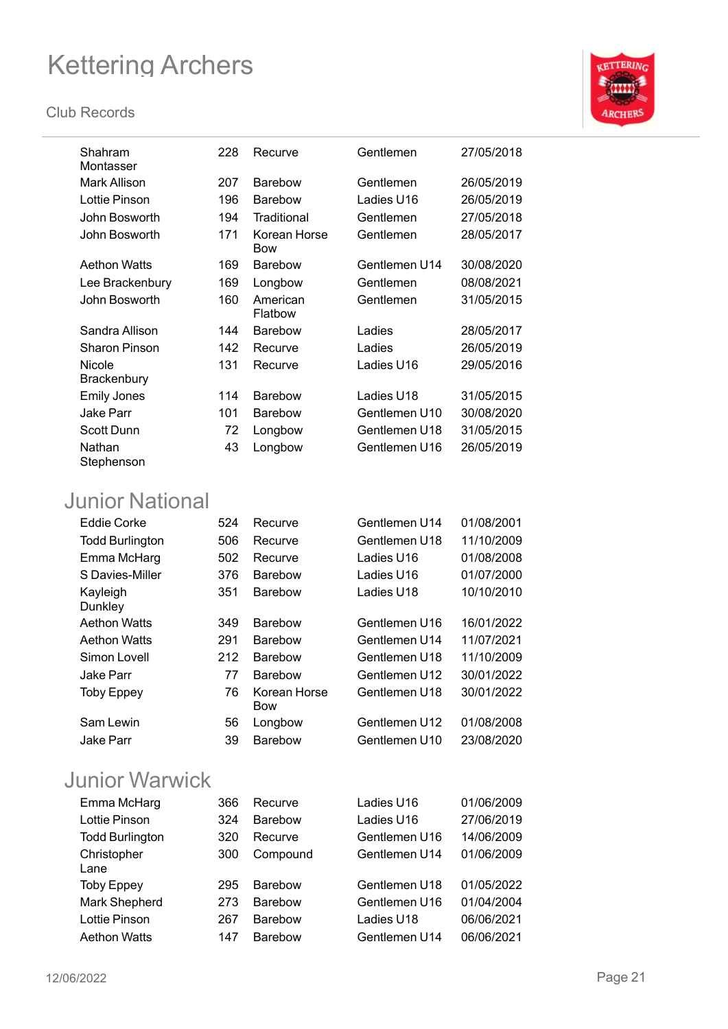#### **Club Records**



| Shahram<br>Montasser | 228 | Recurve                    | Gentlemen     | 27/05/2018 |
|----------------------|-----|----------------------------|---------------|------------|
| Mark Allison         | 207 | <b>Barebow</b>             | Gentlemen     | 26/05/2019 |
| Lottie Pinson        | 196 | <b>Barebow</b>             | Ladies U16    | 26/05/2019 |
| John Bosworth        | 194 | Traditional                | Gentlemen     | 27/05/2018 |
| John Bosworth        | 171 | Korean Horse<br><b>Bow</b> | Gentlemen     | 28/05/2017 |
| <b>Aethon Watts</b>  | 169 | <b>Barebow</b>             | Gentlemen U14 | 30/08/2020 |
| Lee Brackenbury      | 169 | Longbow                    | Gentlemen     | 08/08/2021 |
| John Bosworth        | 160 | American<br>Flatbow        | Gentlemen     | 31/05/2015 |
| Sandra Allison       | 144 | <b>Barebow</b>             | Ladies        | 28/05/2017 |
| <b>Sharon Pinson</b> | 142 | Recurve                    | Ladies        | 26/05/2019 |
| Nicole               | 131 | Recurve                    | Ladies U16    | 29/05/2016 |
| <b>Brackenbury</b>   |     |                            |               |            |
| <b>Emily Jones</b>   | 114 | <b>Barebow</b>             | Ladies U18    | 31/05/2015 |
| <b>Jake Parr</b>     | 101 | <b>Barebow</b>             | Gentlemen U10 | 30/08/2020 |
| Scott Dunn           | 72  | Longbow                    | Gentlemen U18 | 31/05/2015 |
| Nathan<br>Stephenson | 43  | Longbow                    | Gentlemen U16 | 26/05/2019 |

### Junior National

| <b>Eddie Corke</b>     | 524 | Recurve                    | Gentlemen U14 | 01/08/2001 |
|------------------------|-----|----------------------------|---------------|------------|
| <b>Todd Burlington</b> | 506 | Recurve                    | Gentlemen U18 | 11/10/2009 |
| Emma McHarg            | 502 | Recurve                    | Ladies U16    | 01/08/2008 |
| S Davies-Miller        | 376 | <b>Barebow</b>             | Ladies U16    | 01/07/2000 |
| Kayleigh<br>Dunkley    | 351 | <b>Barebow</b>             | Ladies U18    | 10/10/2010 |
| <b>Aethon Watts</b>    | 349 | <b>Barebow</b>             | Gentlemen U16 | 16/01/2022 |
| <b>Aethon Watts</b>    | 291 | <b>Barebow</b>             | Gentlemen U14 | 11/07/2021 |
| Simon Lovell           | 212 | <b>Barebow</b>             | Gentlemen U18 | 11/10/2009 |
| Jake Parr              | 77  | <b>Barebow</b>             | Gentlemen U12 | 30/01/2022 |
| <b>Toby Eppey</b>      | 76  | Korean Horse<br><b>Bow</b> | Gentlemen U18 | 30/01/2022 |
| Sam Lewin              | 56  | Longbow                    | Gentlemen U12 | 01/08/2008 |
| Jake Parr              | 39  | <b>Barebow</b>             | Gentlemen U10 | 23/08/2020 |
|                        |     |                            |               |            |

### Junior Warwick

| Emma McHarg            | 366 | Recurve        | Ladies U16    | 01/06/2009 |
|------------------------|-----|----------------|---------------|------------|
| Lottie Pinson          | 324 | <b>Barebow</b> | Ladies U16    | 27/06/2019 |
| <b>Todd Burlington</b> | 320 | Recurve        | Gentlemen U16 | 14/06/2009 |
| Christopher<br>Lane    | 300 | Compound       | Gentlemen U14 | 01/06/2009 |
| <b>Toby Eppey</b>      | 295 | <b>Barebow</b> | Gentlemen U18 | 01/05/2022 |
| Mark Shepherd          | 273 | <b>Barebow</b> | Gentlemen U16 | 01/04/2004 |
| Lottie Pinson          | 267 | <b>Barebow</b> | Ladies U18    | 06/06/2021 |
| <b>Aethon Watts</b>    | 147 | <b>Barebow</b> | Gentlemen U14 | 06/06/2021 |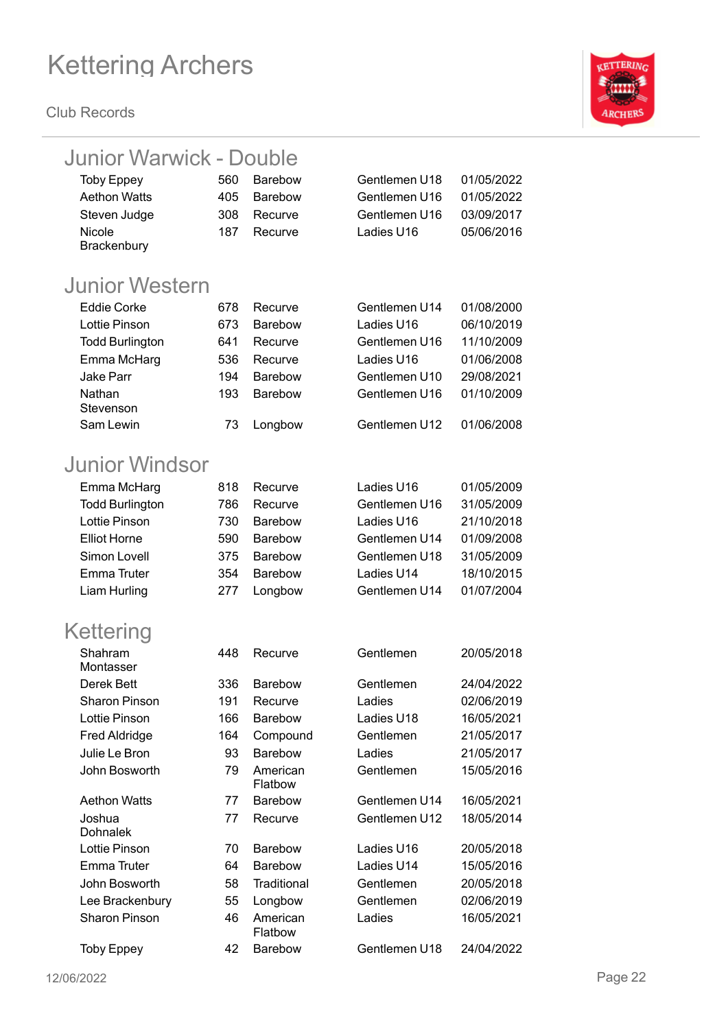

| <b>Junior Warwick - Double</b> |     |                     |               |            |
|--------------------------------|-----|---------------------|---------------|------------|
| <b>Toby Eppey</b>              | 560 | <b>Barebow</b>      | Gentlemen U18 | 01/05/2022 |
| <b>Aethon Watts</b>            | 405 | <b>Barebow</b>      | Gentlemen U16 | 01/05/2022 |
| Steven Judge                   | 308 | Recurve             | Gentlemen U16 | 03/09/2017 |
| Nicole                         | 187 | Recurve             | Ladies U16    | 05/06/2016 |
| Brackenbury                    |     |                     |               |            |
| <b>Junior Western</b>          |     |                     |               |            |
| <b>Eddie Corke</b>             | 678 | Recurve             | Gentlemen U14 | 01/08/2000 |
| Lottie Pinson                  | 673 | <b>Barebow</b>      | Ladies U16    | 06/10/2019 |
| <b>Todd Burlington</b>         | 641 | Recurve             | Gentlemen U16 | 11/10/2009 |
| Emma McHarg                    | 536 | Recurve             | Ladies U16    | 01/06/2008 |
| Jake Parr                      | 194 | <b>Barebow</b>      | Gentlemen U10 | 29/08/2021 |
| Nathan                         | 193 | Barebow             | Gentlemen U16 | 01/10/2009 |
| Stevenson                      |     |                     |               |            |
| Sam Lewin                      | 73  | Longbow             | Gentlemen U12 | 01/06/2008 |
| Junior Windsor                 |     |                     |               |            |
| Emma McHarg                    | 818 | Recurve             | Ladies U16    | 01/05/2009 |
| <b>Todd Burlington</b>         | 786 | Recurve             | Gentlemen U16 | 31/05/2009 |
| Lottie Pinson                  | 730 | <b>Barebow</b>      | Ladies U16    | 21/10/2018 |
| <b>Elliot Horne</b>            | 590 | Barebow             | Gentlemen U14 | 01/09/2008 |
| Simon Lovell                   | 375 | <b>Barebow</b>      | Gentlemen U18 | 31/05/2009 |
| <b>Emma Truter</b>             | 354 | <b>Barebow</b>      | Ladies U14    | 18/10/2015 |
| Liam Hurling                   | 277 | Longbow             | Gentlemen U14 | 01/07/2004 |
| Kettering                      |     |                     |               |            |
| Shahram                        | 448 | Recurve             | Gentlemen     | 20/05/2018 |
| Montasser                      |     |                     |               |            |
| Derek Bett                     | 336 | Barebow             | Gentlemen     | 24/04/2022 |
| <b>Sharon Pinson</b>           | 191 | Recurve             | Ladies        | 02/06/2019 |
| Lottie Pinson                  | 166 | <b>Barebow</b>      | Ladies U18    | 16/05/2021 |
| <b>Fred Aldridge</b>           | 164 | Compound            | Gentlemen     | 21/05/2017 |
| Julie Le Bron                  | 93  | Barebow             | Ladies        | 21/05/2017 |
| John Bosworth                  | 79  | American<br>Flatbow | Gentlemen     | 15/05/2016 |
| <b>Aethon Watts</b>            | 77  | Barebow             | Gentlemen U14 | 16/05/2021 |
| Joshua                         | 77  | Recurve             | Gentlemen U12 | 18/05/2014 |
| <b>Dohnalek</b>                |     |                     |               |            |
| Lottie Pinson                  | 70  | <b>Barebow</b>      | Ladies U16    | 20/05/2018 |
| Emma Truter                    | 64  | Barebow             | Ladies U14    | 15/05/2016 |
| John Bosworth                  | 58  | Traditional         | Gentlemen     | 20/05/2018 |
| Lee Brackenbury                | 55  | Longbow             | Gentlemen     | 02/06/2019 |
| <b>Sharon Pinson</b>           | 46  | American<br>Flatbow | Ladies        | 16/05/2021 |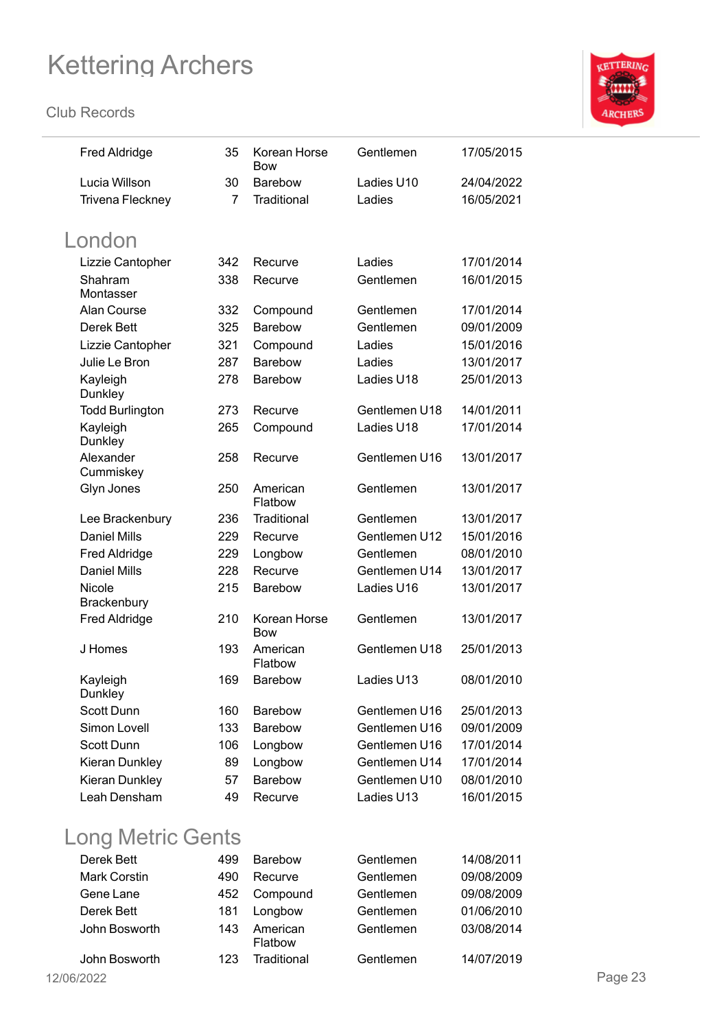**Club Records**



| <b>Fred Aldridge</b>    | 35  | Korean Horse<br><b>Bow</b> | Gentlemen     | 17/05/2015 |
|-------------------------|-----|----------------------------|---------------|------------|
| Lucia Willson           | 30  | Barebow                    | Ladies U10    | 24/04/2022 |
| <b>Trivena Fleckney</b> | 7   | Traditional                | Ladies        | 16/05/2021 |
| London                  |     |                            |               |            |
| Lizzie Cantopher        | 342 | Recurve                    | Ladies        | 17/01/2014 |
| Shahram<br>Montasser    | 338 | Recurve                    | Gentlemen     | 16/01/2015 |
| Alan Course             | 332 | Compound                   | Gentlemen     | 17/01/2014 |
| Derek Bett              | 325 | <b>Barebow</b>             | Gentlemen     | 09/01/2009 |
| Lizzie Cantopher        | 321 | Compound                   | Ladies        | 15/01/2016 |
| Julie Le Bron           | 287 | <b>Barebow</b>             | Ladies        | 13/01/2017 |
| Kayleigh<br>Dunkley     | 278 | Barebow                    | Ladies U18    | 25/01/2013 |
| <b>Todd Burlington</b>  | 273 | Recurve                    | Gentlemen U18 | 14/01/2011 |
| Kayleigh<br>Dunkley     | 265 | Compound                   | Ladies U18    | 17/01/2014 |
| Alexander<br>Cummiskey  | 258 | Recurve                    | Gentlemen U16 | 13/01/2017 |
| Glyn Jones              | 250 | American<br>Flatbow        | Gentlemen     | 13/01/2017 |
| Lee Brackenbury         | 236 | Traditional                | Gentlemen     | 13/01/2017 |
| <b>Daniel Mills</b>     | 229 | Recurve                    | Gentlemen U12 | 15/01/2016 |
| <b>Fred Aldridge</b>    | 229 | Longbow                    | Gentlemen     | 08/01/2010 |
| <b>Daniel Mills</b>     | 228 | Recurve                    | Gentlemen U14 | 13/01/2017 |
| Nicole<br>Brackenbury   | 215 | Barebow                    | Ladies U16    | 13/01/2017 |
| <b>Fred Aldridge</b>    | 210 | Korean Horse<br><b>Bow</b> | Gentlemen     | 13/01/2017 |
| J Homes                 | 193 | American<br>Flatbow        | Gentlemen U18 | 25/01/2013 |
| Kayleigh<br>Dunkley     | 169 | <b>Barebow</b>             | Ladies U13    | 08/01/2010 |
| Scott Dunn              | 160 | Barebow                    | Gentlemen U16 | 25/01/2013 |
| Simon Lovell            | 133 | Barebow                    | Gentlemen U16 | 09/01/2009 |
| Scott Dunn              | 106 | Longbow                    | Gentlemen U16 | 17/01/2014 |
| Kieran Dunkley          | 89  | Longbow                    | Gentlemen U14 | 17/01/2014 |
| Kieran Dunkley          | 57  | Barebow                    | Gentlemen U10 | 08/01/2010 |
| Leah Densham            | 49  | Recurve                    | Ladies U13    | 16/01/2015 |

### Long Metric Gents

| Derek Bett          | 499 | Barebow             | Gentlemen | 14/08/2011 |
|---------------------|-----|---------------------|-----------|------------|
| <b>Mark Corstin</b> | 490 | Recurve             | Gentlemen | 09/08/2009 |
| Gene Lane           | 452 | Compound            | Gentlemen | 09/08/2009 |
| Derek Bett          | 181 | Longbow             | Gentlemen | 01/06/2010 |
| John Bosworth       | 143 | American<br>Flatbow | Gentlemen | 03/08/2014 |
| John Bosworth       | 123 | Traditional         | Gentlemen | 14/07/2019 |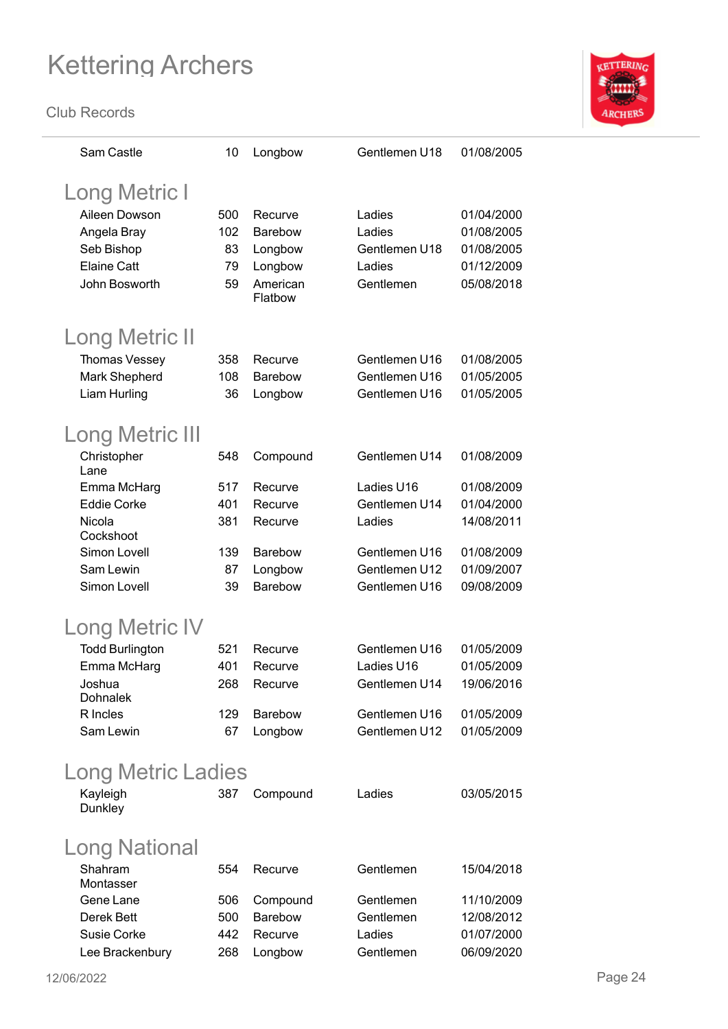

| Sam Castle             | 10  | Longbow        | Gentlemen U18 | 01/08/2005 |
|------------------------|-----|----------------|---------------|------------|
| <b>Long Metric I</b>   |     |                |               |            |
| Aileen Dowson          | 500 | Recurve        | Ladies        | 01/04/2000 |
| Angela Bray            | 102 | Barebow        | Ladies        | 01/08/2005 |
| Seb Bishop             | 83  | Longbow        | Gentlemen U18 | 01/08/2005 |
| <b>Elaine Catt</b>     | 79  | Longbow        | Ladies        | 01/12/2009 |
| John Bosworth          | 59  | American       | Gentlemen     | 05/08/2018 |
|                        |     | Flatbow        |               |            |
| <b>Long Metric II</b>  |     |                |               |            |
| Thomas Vessey          | 358 | Recurve        | Gentlemen U16 | 01/08/2005 |
| Mark Shepherd          | 108 | <b>Barebow</b> | Gentlemen U16 | 01/05/2005 |
| Liam Hurling           | 36  | Longbow        | Gentlemen U16 | 01/05/2005 |
|                        |     |                |               |            |
| <b>Long Metric III</b> |     |                |               |            |
| Christopher<br>Lane    | 548 | Compound       | Gentlemen U14 | 01/08/2009 |
| Emma McHarg            | 517 | Recurve        | Ladies U16    | 01/08/2009 |
| <b>Eddie Corke</b>     | 401 | Recurve        | Gentlemen U14 | 01/04/2000 |
| Nicola                 | 381 | Recurve        | Ladies        | 14/08/2011 |
| Cockshoot              |     |                |               |            |
| Simon Lovell           | 139 | <b>Barebow</b> | Gentlemen U16 | 01/08/2009 |
| Sam Lewin              | 87  | Longbow        | Gentlemen U12 | 01/09/2007 |
| Simon Lovell           | 39  | <b>Barebow</b> | Gentlemen U16 | 09/08/2009 |
| Long Metric IV         |     |                |               |            |
| <b>Todd Burlington</b> | 521 | Recurve        | Gentlemen U16 | 01/05/2009 |
| Emma McHarg            | 401 | Recurve        | Ladies U16    | 01/05/2009 |
| Joshua                 | 268 | Recurve        | Gentlemen U14 | 19/06/2016 |
| <b>Dohnalek</b>        |     |                |               |            |
| R Incles               | 129 | <b>Barebow</b> | Gentlemen U16 | 01/05/2009 |
| Sam Lewin              | 67  | Longbow        | Gentlemen U12 | 01/05/2009 |
| Long Metric Ladies     |     |                |               |            |
| Kayleigh               | 387 | Compound       | Ladies        | 03/05/2015 |
| Dunkley                |     |                |               |            |
| Long National          |     |                |               |            |
| Shahram<br>Montasser   | 554 | Recurve        | Gentlemen     | 15/04/2018 |
| Gene Lane              | 506 | Compound       | Gentlemen     | 11/10/2009 |
| Derek Bett             | 500 | <b>Barebow</b> | Gentlemen     | 12/08/2012 |
| Susie Corke            | 442 | Recurve        | Ladies        | 01/07/2000 |
| Lee Brackenbury        | 268 | Longbow        | Gentlemen     | 06/09/2020 |
|                        |     |                |               |            |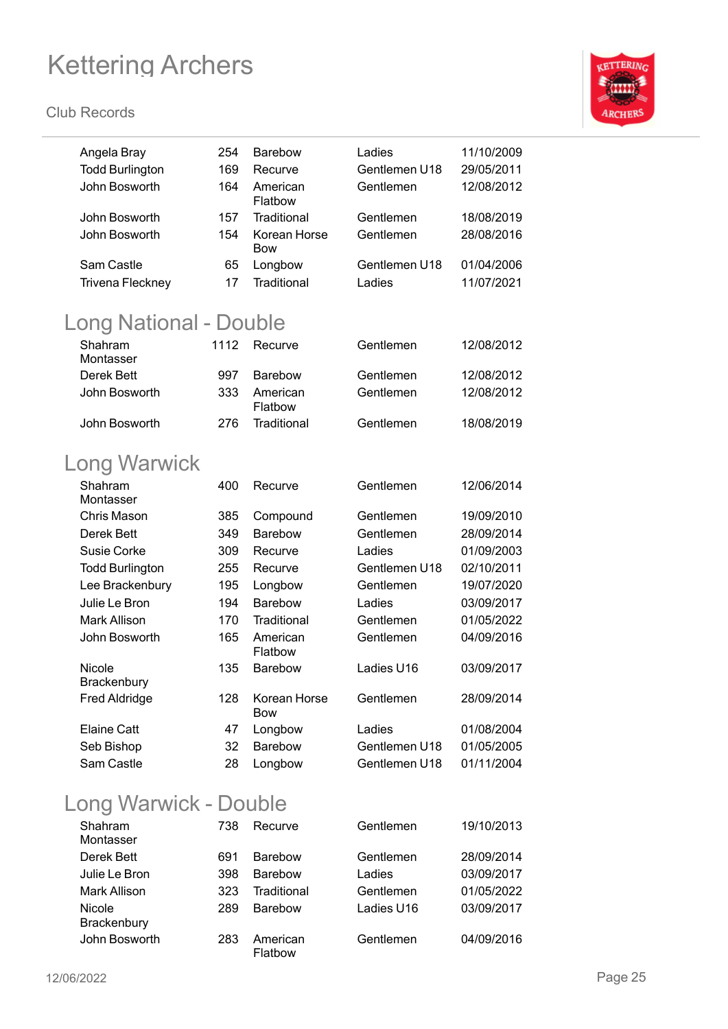#### **Club Records**



| Angela Bray<br><b>Todd Burlington</b><br>John Bosworth | 254<br>169<br>164 | <b>Barebow</b><br>Recurve<br>American<br>Flatbow | Ladies<br>Gentlemen U18<br>Gentlemen | 11/10/2009<br>29/05/2011<br>12/08/2012 |
|--------------------------------------------------------|-------------------|--------------------------------------------------|--------------------------------------|----------------------------------------|
| John Bosworth<br>John Bosworth                         | 157<br>154        | Traditional<br>Korean Horse<br>Bow               | Gentlemen<br>Gentlemen               | 18/08/2019<br>28/08/2016               |
| Sam Castle                                             | 65                | Longbow                                          | Gentlemen U18                        | 01/04/2006                             |
| <b>Trivena Fleckney</b>                                | 17                | Traditional                                      | Ladies                               | 11/07/2021                             |
| Long National - Double                                 |                   |                                                  |                                      |                                        |
| Shahram<br>Montasser                                   | 1112              | Recurve                                          | Gentlemen                            | 12/08/2012                             |
| Derek Bett                                             | 997               | <b>Barebow</b>                                   | Gentlemen                            | 12/08/2012                             |
| John Bosworth                                          | 333               | American<br>Flatbow                              | Gentlemen                            | 12/08/2012                             |
| John Bosworth                                          | 276               | Traditional                                      | Gentlemen                            | 18/08/2019                             |
| <b>Long Warwick</b>                                    |                   |                                                  |                                      |                                        |
| Shahram<br>Montasser                                   | 400               | Recurve                                          | Gentlemen                            | 12/06/2014                             |
| Chris Mason                                            | 385               | Compound                                         | Gentlemen                            | 19/09/2010                             |
| Derek Bett                                             | 349               | <b>Barebow</b>                                   | Gentlemen                            | 28/09/2014                             |
| <b>Susie Corke</b>                                     | 309               | Recurve                                          | Ladies                               | 01/09/2003                             |
| <b>Todd Burlington</b>                                 | 255               | Recurve                                          | Gentlemen U18                        | 02/10/2011                             |
| Lee Brackenbury                                        | 195               | Longbow                                          | Gentlemen                            | 19/07/2020                             |
| Julie Le Bron                                          | 194               | <b>Barebow</b>                                   | Ladies                               | 03/09/2017                             |
| <b>Mark Allison</b>                                    | 170               | Traditional                                      | Gentlemen                            | 01/05/2022                             |
| John Bosworth                                          | 165               | American<br>Flatbow                              | Gentlemen                            | 04/09/2016                             |
| Nicole<br>Brackenburv                                  | 135               | Barebow                                          | Ladies U16                           | 03/09/2017                             |
| <b>Fred Aldridge</b>                                   | 128               | Korean Horse<br><b>Bow</b>                       | Gentlemen                            | 28/09/2014                             |
| <b>Elaine Catt</b>                                     | 47                | Longbow                                          | Ladies                               | 01/08/2004                             |
| Seb Bishop                                             | 32                | Barebow                                          | Gentlemen U18                        | 01/05/2005                             |
| Sam Castle                                             | 28                | Longbow                                          | Gentlemen U18                        | 01/11/2004                             |
|                                                        |                   |                                                  |                                      |                                        |

### Long Warwick - Double

| Shahram<br>Montasser         | 738 | Recurve             | Gentlemen  | 19/10/2013 |
|------------------------------|-----|---------------------|------------|------------|
| Derek Bett                   | 691 | <b>Barebow</b>      | Gentlemen  | 28/09/2014 |
| Julie Le Bron                | 398 | <b>Barebow</b>      | Ladies     | 03/09/2017 |
| <b>Mark Allison</b>          | 323 | Traditional         | Gentlemen  | 01/05/2022 |
| Nicole<br><b>Brackenbury</b> | 289 | <b>Barebow</b>      | Ladies U16 | 03/09/2017 |
| John Bosworth                | 283 | American<br>Flatbow | Gentlemen  | 04/09/2016 |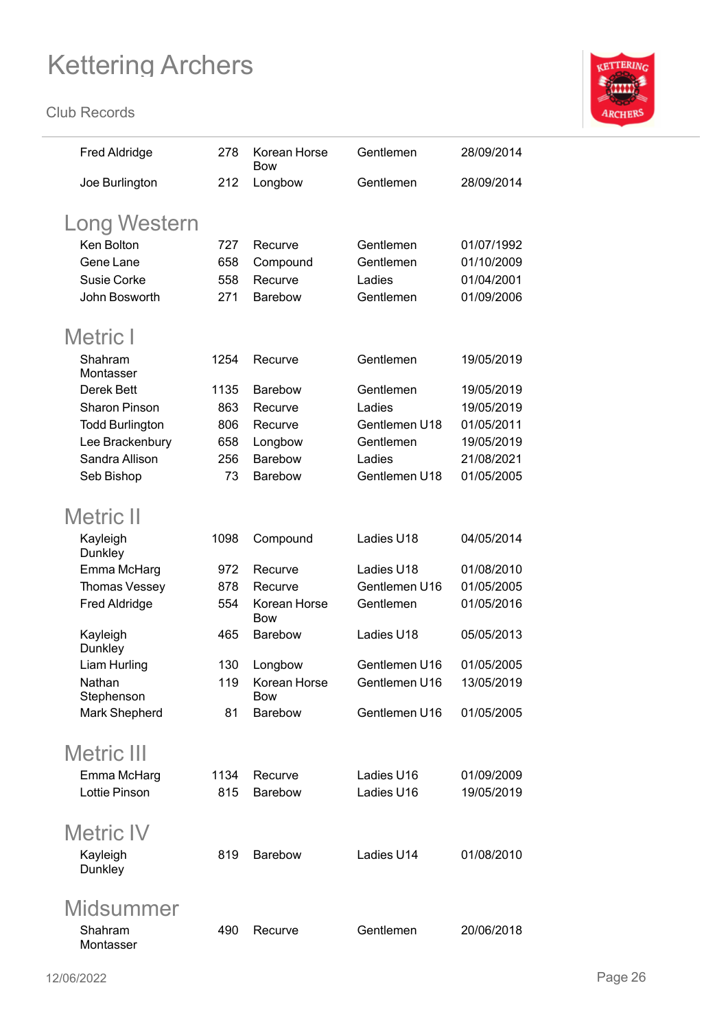

| <b>Fred Aldridge</b>   | 278  | Korean Horse<br>Bow        | Gentlemen     | 28/09/2014 |
|------------------------|------|----------------------------|---------------|------------|
| Joe Burlington         | 212  | Longbow                    | Gentlemen     | 28/09/2014 |
| Long Western           |      |                            |               |            |
| Ken Bolton             | 727  | Recurve                    | Gentlemen     | 01/07/1992 |
| Gene Lane              | 658  | Compound                   | Gentlemen     | 01/10/2009 |
| <b>Susie Corke</b>     | 558  | Recurve                    | Ladies        | 01/04/2001 |
| John Bosworth          | 271  | <b>Barebow</b>             | Gentlemen     | 01/09/2006 |
| Metric I               |      |                            |               |            |
| Shahram<br>Montasser   | 1254 | Recurve                    | Gentlemen     | 19/05/2019 |
| Derek Bett             | 1135 | <b>Barebow</b>             | Gentlemen     | 19/05/2019 |
| <b>Sharon Pinson</b>   | 863  | Recurve                    | Ladies        | 19/05/2019 |
| <b>Todd Burlington</b> | 806  | Recurve                    | Gentlemen U18 | 01/05/2011 |
| Lee Brackenbury        | 658  | Longbow                    | Gentlemen     | 19/05/2019 |
| Sandra Allison         | 256  | Barebow                    | Ladies        | 21/08/2021 |
| Seb Bishop             | 73   | <b>Barebow</b>             | Gentlemen U18 | 01/05/2005 |
| <b>Metric II</b>       |      |                            |               |            |
| Kayleigh<br>Dunkley    | 1098 | Compound                   | Ladies U18    | 04/05/2014 |
| Emma McHarg            | 972  | Recurve                    | Ladies U18    | 01/08/2010 |
| Thomas Vessey          | 878  | Recurve                    | Gentlemen U16 | 01/05/2005 |
| <b>Fred Aldridge</b>   | 554  | Korean Horse<br><b>Bow</b> | Gentlemen     | 01/05/2016 |
| Kayleigh<br>Dunkley    | 465  | Barebow                    | Ladies U18    | 05/05/2013 |
| Liam Hurling           | 130  | Longbow                    | Gentlemen U16 | 01/05/2005 |
| Nathan<br>Stephenson   | 119  | Korean Horse<br>Bow        | Gentlemen U16 | 13/05/2019 |
| Mark Shepherd          | 81   | <b>Barebow</b>             | Gentlemen U16 | 01/05/2005 |
| <b>Metric III</b>      |      |                            |               |            |
| Emma McHarg            | 1134 | Recurve                    | Ladies U16    | 01/09/2009 |
| <b>Lottie Pinson</b>   | 815  | Barebow                    | Ladies U16    | 19/05/2019 |
| <b>Metric IV</b>       |      |                            |               |            |
| Kayleigh               | 819  | <b>Barebow</b>             | Ladies U14    | 01/08/2010 |
| Dunkley                |      |                            |               |            |
| Midsummer              |      |                            |               |            |
| Shahram<br>Montasser   | 490  | Recurve                    | Gentlemen     | 20/06/2018 |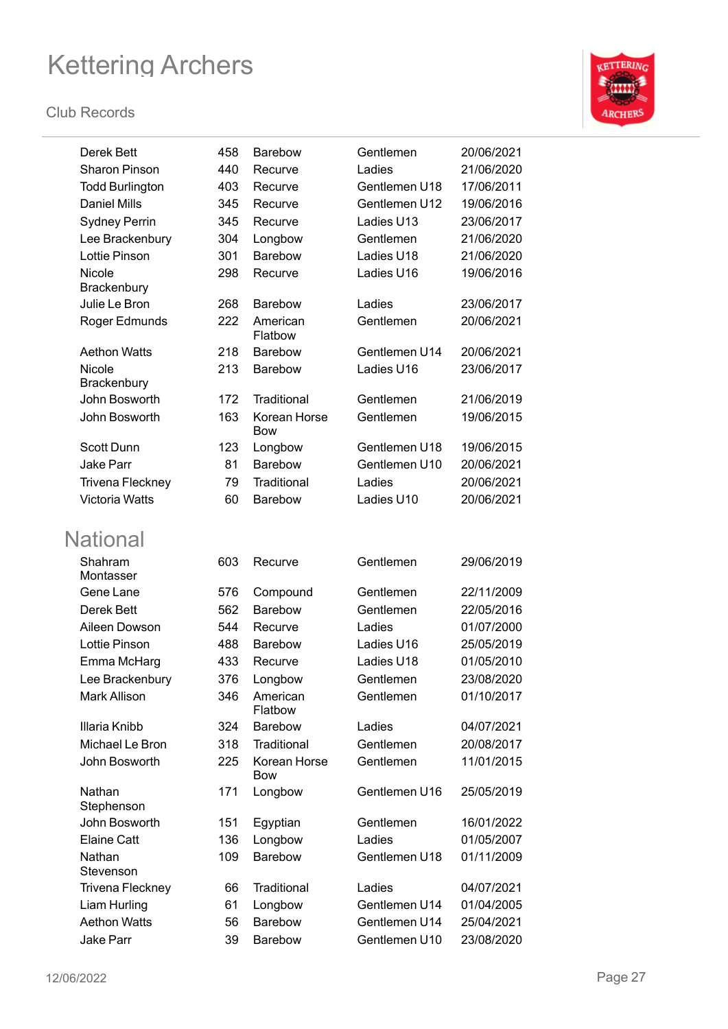

| Derek Bett              | 458 | <b>Barebow</b>             | Gentlemen     | 20/06/2021 |
|-------------------------|-----|----------------------------|---------------|------------|
| <b>Sharon Pinson</b>    | 440 | Recurve                    | Ladies        | 21/06/2020 |
| <b>Todd Burlington</b>  | 403 | Recurve                    | Gentlemen U18 | 17/06/2011 |
| <b>Daniel Mills</b>     | 345 | Recurve                    | Gentlemen U12 | 19/06/2016 |
| <b>Sydney Perrin</b>    | 345 | Recurve                    | Ladies U13    | 23/06/2017 |
| Lee Brackenbury         | 304 | Longbow                    | Gentlemen     | 21/06/2020 |
| Lottie Pinson           | 301 | <b>Barebow</b>             | Ladies U18    | 21/06/2020 |
| Nicole                  | 298 | Recurve                    | Ladies U16    | 19/06/2016 |
| Brackenbury             |     |                            |               |            |
| Julie Le Bron           | 268 | <b>Barebow</b>             | Ladies        | 23/06/2017 |
| Roger Edmunds           | 222 | American<br>Flatbow        | Gentlemen     | 20/06/2021 |
| <b>Aethon Watts</b>     | 218 | <b>Barebow</b>             | Gentlemen U14 | 20/06/2021 |
| Nicole<br>Brackenbury   | 213 | <b>Barebow</b>             | Ladies U16    | 23/06/2017 |
| John Bosworth           | 172 | Traditional                | Gentlemen     | 21/06/2019 |
| John Bosworth           | 163 | Korean Horse<br><b>Bow</b> | Gentlemen     | 19/06/2015 |
| <b>Scott Dunn</b>       | 123 | Longbow                    | Gentlemen U18 | 19/06/2015 |
| <b>Jake Parr</b>        | 81  | <b>Barebow</b>             | Gentlemen U10 | 20/06/2021 |
| <b>Trivena Fleckney</b> | 79  | Traditional                | Ladies        | 20/06/2021 |
| <b>Victoria Watts</b>   | 60  | <b>Barebow</b>             | Ladies U10    | 20/06/2021 |
| <b>National</b>         |     |                            |               |            |
| Shahram<br>Montasser    | 603 | Recurve                    | Gentlemen     | 29/06/2019 |
| Gene Lane               | 576 | Compound                   | Gentlemen     | 22/11/2009 |
| Derek Bett              | 562 | <b>Barebow</b>             | Gentlemen     | 22/05/2016 |
| Aileen Dowson           | 544 | Recurve                    | Ladies        | 01/07/2000 |
| <b>Lottie Pinson</b>    | 488 | Barebow                    | Ladies U16    | 25/05/2019 |
| Emma McHarg             | 433 | Recurve                    | Ladies U18    | 01/05/2010 |
| Lee Brackenbury         | 376 | Longbow                    | Gentlemen     | 23/08/2020 |
| Mark Allison            | 346 | American<br>Flatbow        | Gentlemen     | 01/10/2017 |
| Illaria Knibb           | 324 | Barebow                    | Ladies        | 04/07/2021 |
| Michael Le Bron         | 318 | Traditional                | Gentlemen     | 20/08/2017 |
| John Bosworth           | 225 | Korean Horse<br>Bow        | Gentlemen     | 11/01/2015 |
| Nathan<br>Stephenson    | 171 | Longbow                    | Gentlemen U16 | 25/05/2019 |
| John Bosworth           | 151 | Egyptian                   | Gentlemen     | 16/01/2022 |
| <b>Elaine Catt</b>      | 136 | Longbow                    | Ladies        | 01/05/2007 |
| Nathan<br>Stevenson     | 109 | Barebow                    | Gentlemen U18 | 01/11/2009 |
| <b>Trivena Fleckney</b> | 66  | Traditional                | Ladies        | 04/07/2021 |
| Liam Hurling            | 61  | Longbow                    | Gentlemen U14 | 01/04/2005 |
| <b>Aethon Watts</b>     | 56  | Barebow                    | Gentlemen U14 | 25/04/2021 |
| <b>Jake Parr</b>        | 39  | Barebow                    | Gentlemen U10 | 23/08/2020 |
|                         |     |                            |               |            |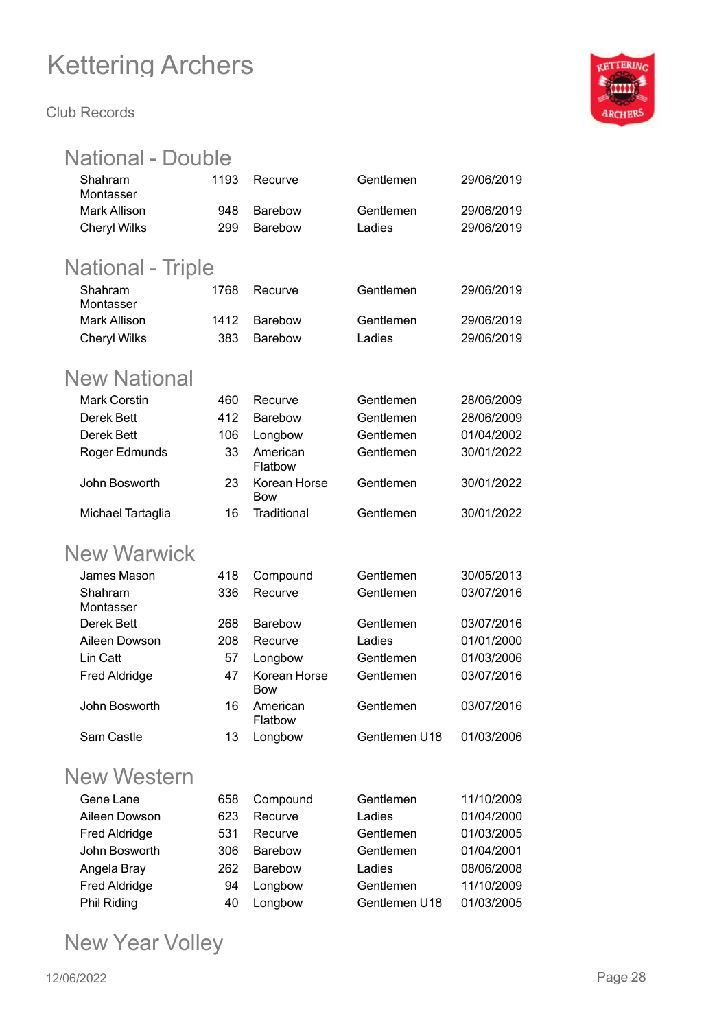**Club Records**



| National - Double        |      |                            |               |            |
|--------------------------|------|----------------------------|---------------|------------|
| Shahram                  | 1193 | Recurve                    | Gentlemen     | 29/06/2019 |
| Montasser                |      |                            |               |            |
| <b>Mark Allison</b>      | 948  | <b>Barebow</b>             | Gentlemen     | 29/06/2019 |
| <b>Cheryl Wilks</b>      | 299  | <b>Barebow</b>             | Ladies        | 29/06/2019 |
| <b>National - Triple</b> |      |                            |               |            |
| Shahram<br>Montasser     | 1768 | Recurve                    | Gentlemen     | 29/06/2019 |
| <b>Mark Allison</b>      | 1412 | <b>Barebow</b>             | Gentlemen     | 29/06/2019 |
| <b>Cheryl Wilks</b>      | 383  | <b>Barebow</b>             | Ladies        | 29/06/2019 |
| <b>New National</b>      |      |                            |               |            |
| <b>Mark Corstin</b>      | 460  | Recurve                    | Gentlemen     | 28/06/2009 |
| Derek Bett               | 412  | <b>Barebow</b>             | Gentlemen     | 28/06/2009 |
| Derek Bett               | 106  | Longbow                    | Gentlemen     | 01/04/2002 |
| Roger Edmunds            | 33   | American<br>Flatbow        | Gentlemen     | 30/01/2022 |
| John Bosworth            | 23   | Korean Horse<br><b>Bow</b> | Gentlemen     | 30/01/2022 |
| Michael Tartaglia        | 16   | Traditional                | Gentlemen     | 30/01/2022 |
| <b>New Warwick</b>       |      |                            |               |            |
| James Mason              | 418  | Compound                   | Gentlemen     | 30/05/2013 |
| Shahram<br>Montasser     | 336  | Recurve                    | Gentlemen     | 03/07/2016 |
| Derek Bett               | 268  | <b>Barebow</b>             | Gentlemen     | 03/07/2016 |
| Aileen Dowson            | 208  | Recurve                    | Ladies        | 01/01/2000 |
| Lin Catt                 | 57   | Longbow                    | Gentlemen     | 01/03/2006 |
| <b>Fred Aldridge</b>     | 47   | Korean Horse<br><b>Bow</b> | Gentlemen     | 03/07/2016 |
| John Bosworth            | 16   | American<br>Flatbow        | Gentlemen     | 03/07/2016 |
| Sam Castle               | 13   | Longbow                    | Gentlemen U18 | 01/03/2006 |
| <b>New Western</b>       |      |                            |               |            |
| Gene Lane                | 658  | Compound                   | Gentlemen     | 11/10/2009 |
| Aileen Dowson            | 623  | Recurve                    | Ladies        | 01/04/2000 |
| <b>Fred Aldridge</b>     | 531  | Recurve                    | Gentlemen     | 01/03/2005 |
| John Bosworth            | 306  | Barebow                    | Gentlemen     | 01/04/2001 |
| Angela Bray              | 262  | <b>Barebow</b>             | Ladies        | 08/06/2008 |
| Fred Aldridge            | 94   | Longbow                    | Gentlemen     | 11/10/2009 |

Phil Riding 40 Longbow Gentlemen U18 01/03/2005

### New Year Volley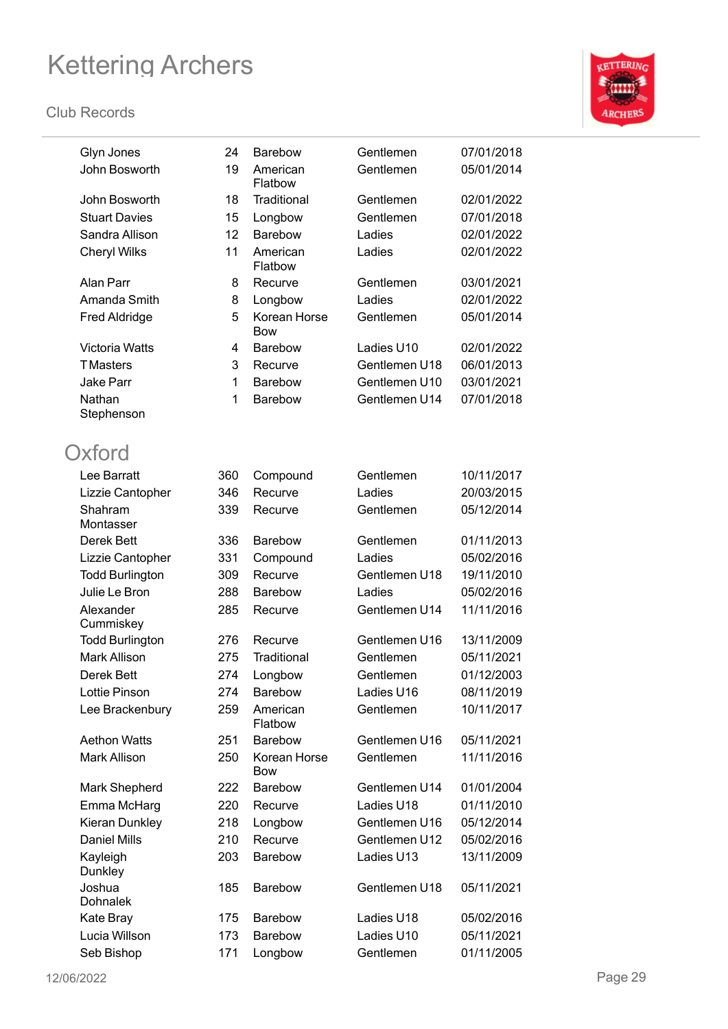

| Glyn Jones                | 24  | <b>Barebow</b>             | Gentlemen     | 07/01/2018 |
|---------------------------|-----|----------------------------|---------------|------------|
| John Bosworth             | 19  | American<br>Flatbow        | Gentlemen     | 05/01/2014 |
| John Bosworth             | 18  | Traditional                | Gentlemen     | 02/01/2022 |
| <b>Stuart Davies</b>      | 15  | Longbow                    | Gentlemen     | 07/01/2018 |
| Sandra Allison            | 12  | <b>Barebow</b>             | Ladies        | 02/01/2022 |
| <b>Cheryl Wilks</b>       | 11  | American<br>Flatbow        | Ladies        | 02/01/2022 |
| Alan Parr                 | 8   | Recurve                    | Gentlemen     | 03/01/2021 |
| Amanda Smith              | 8   | Longbow                    | Ladies        | 02/01/2022 |
| <b>Fred Aldridge</b>      | 5   | Korean Horse<br><b>Bow</b> | Gentlemen     | 05/01/2014 |
| <b>Victoria Watts</b>     | 4   | <b>Barebow</b>             | Ladies U10    | 02/01/2022 |
| <b>TMasters</b>           | 3   | Recurve                    | Gentlemen U18 | 06/01/2013 |
| <b>Jake Parr</b>          | 1   | <b>Barebow</b>             | Gentlemen U10 | 03/01/2021 |
| Nathan                    | 1   | <b>Barebow</b>             | Gentlemen U14 | 07/01/2018 |
| Stephenson                |     |                            |               |            |
| Oxford                    |     |                            |               |            |
| Lee Barratt               | 360 | Compound                   | Gentlemen     | 10/11/2017 |
| Lizzie Cantopher          | 346 | Recurve                    | Ladies        | 20/03/2015 |
| Shahram<br>Montasser      | 339 | Recurve                    | Gentlemen     | 05/12/2014 |
| Derek Bett                | 336 | <b>Barebow</b>             | Gentlemen     | 01/11/2013 |
| Lizzie Cantopher          | 331 | Compound                   | Ladies        | 05/02/2016 |
| <b>Todd Burlington</b>    | 309 | Recurve                    | Gentlemen U18 | 19/11/2010 |
| Julie Le Bron             | 288 | <b>Barebow</b>             | Ladies        | 05/02/2016 |
| Alexander<br>Cummiskey    | 285 | Recurve                    | Gentlemen U14 | 11/11/2016 |
| <b>Todd Burlington</b>    | 276 | Recurve                    | Gentlemen U16 | 13/11/2009 |
| <b>Mark Allison</b>       | 275 | Traditional                | Gentlemen     | 05/11/2021 |
| Derek Bett                | 274 | Longbow                    | Gentlemen     | 01/12/2003 |
| <b>Lottie Pinson</b>      | 274 | Barebow                    | Ladies U16    | 08/11/2019 |
| Lee Brackenbury           | 259 | American<br>Flatbow        | Gentlemen     | 10/11/2017 |
| <b>Aethon Watts</b>       | 251 | <b>Barebow</b>             | Gentlemen U16 | 05/11/2021 |
| <b>Mark Allison</b>       | 250 | Korean Horse<br><b>Bow</b> | Gentlemen     | 11/11/2016 |
| Mark Shepherd             | 222 | <b>Barebow</b>             | Gentlemen U14 | 01/01/2004 |
| Emma McHarg               | 220 | Recurve                    | Ladies U18    | 01/11/2010 |
| Kieran Dunkley            | 218 | Longbow                    | Gentlemen U16 | 05/12/2014 |
| <b>Daniel Mills</b>       | 210 | Recurve                    | Gentlemen U12 | 05/02/2016 |
| Kayleigh<br>Dunkley       | 203 | <b>Barebow</b>             | Ladies U13    | 13/11/2009 |
| Joshua<br><b>Dohnalek</b> | 185 | <b>Barebow</b>             | Gentlemen U18 | 05/11/2021 |
| Kate Bray                 | 175 | <b>Barebow</b>             | Ladies U18    | 05/02/2016 |
| Lucia Willson             | 173 | Barebow                    | Ladies U10    | 05/11/2021 |
| Seb Bishop                | 171 | Longbow                    | Gentlemen     | 01/11/2005 |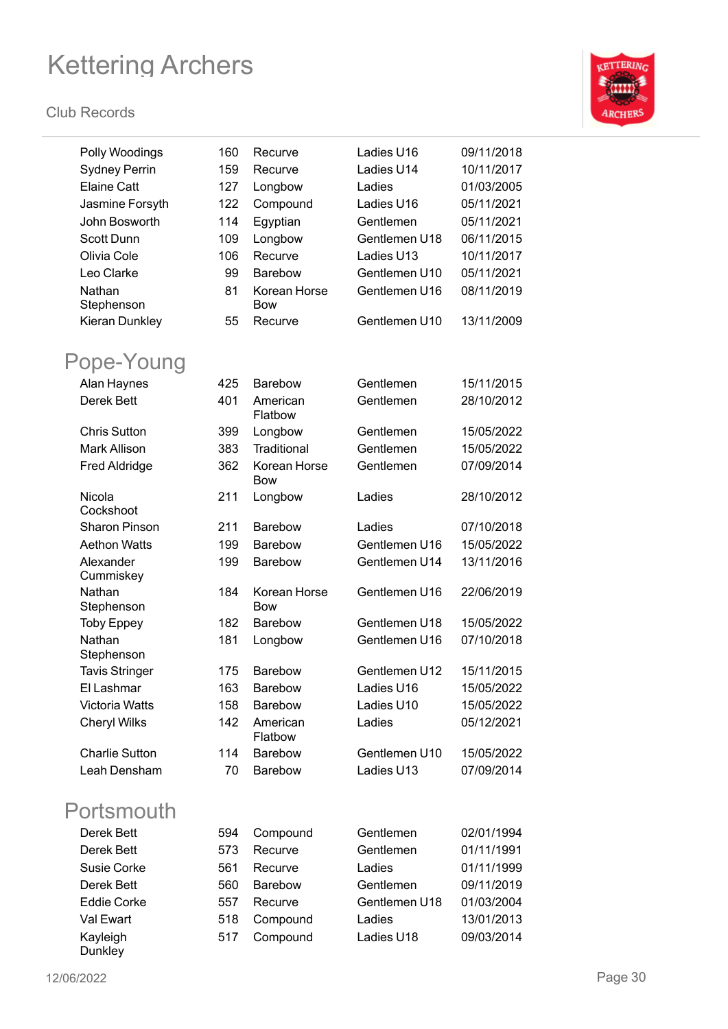

| Polly Woodings         | 160 | Recurve                    | Ladies U16    | 09/11/2018 |
|------------------------|-----|----------------------------|---------------|------------|
| <b>Sydney Perrin</b>   | 159 | Recurve                    | Ladies U14    | 10/11/2017 |
| <b>Elaine Catt</b>     | 127 | Longbow                    | Ladies        | 01/03/2005 |
| Jasmine Forsyth        | 122 | Compound                   | Ladies U16    | 05/11/2021 |
| John Bosworth          | 114 | Egyptian                   | Gentlemen     | 05/11/2021 |
| <b>Scott Dunn</b>      | 109 | Longbow                    | Gentlemen U18 | 06/11/2015 |
| Olivia Cole            | 106 | Recurve                    | Ladies U13    | 10/11/2017 |
| Leo Clarke             | 99  | <b>Barebow</b>             | Gentlemen U10 | 05/11/2021 |
| Nathan                 | 81  | Korean Horse               | Gentlemen U16 | 08/11/2019 |
| Stephenson             |     | <b>Bow</b>                 |               |            |
| Kieran Dunkley         | 55  | Recurve                    | Gentlemen U10 | 13/11/2009 |
| Pope-Young             |     |                            |               |            |
| Alan Haynes            | 425 | <b>Barebow</b>             | Gentlemen     | 15/11/2015 |
| <b>Derek Bett</b>      | 401 | American<br>Flatbow        | Gentlemen     | 28/10/2012 |
| <b>Chris Sutton</b>    | 399 | Longbow                    | Gentlemen     | 15/05/2022 |
| <b>Mark Allison</b>    | 383 | Traditional                | Gentlemen     | 15/05/2022 |
| <b>Fred Aldridge</b>   | 362 | Korean Horse<br>Bow        | Gentlemen     | 07/09/2014 |
| Nicola<br>Cockshoot    | 211 | Longbow                    | Ladies        | 28/10/2012 |
| <b>Sharon Pinson</b>   | 211 | Barebow                    | Ladies        | 07/10/2018 |
| <b>Aethon Watts</b>    | 199 | <b>Barebow</b>             | Gentlemen U16 | 15/05/2022 |
| Alexander<br>Cummiskey | 199 | Barebow                    | Gentlemen U14 | 13/11/2016 |
| Nathan<br>Stephenson   | 184 | Korean Horse<br><b>Bow</b> | Gentlemen U16 | 22/06/2019 |
| <b>Toby Eppey</b>      | 182 | <b>Barebow</b>             | Gentlemen U18 | 15/05/2022 |
| Nathan<br>Stephenson   | 181 | Longbow                    | Gentlemen U16 | 07/10/2018 |
| <b>Tavis Stringer</b>  | 175 | Barebow                    | Gentlemen U12 | 15/11/2015 |
| El Lashmar             | 163 | <b>Barebow</b>             | Ladies U16    | 15/05/2022 |
| <b>Victoria Watts</b>  | 158 | Barebow                    | Ladies U10    | 15/05/2022 |
| Cheryl Wilks           | 142 | American<br>Flatbow        | Ladies        | 05/12/2021 |
| <b>Charlie Sutton</b>  | 114 | Barebow                    | Gentlemen U10 | 15/05/2022 |
| Leah Densham           | 70  | Barebow                    | Ladies U13    | 07/09/2014 |
| Portsmouth             |     |                            |               |            |
| Derek Bett             | 594 | Compound                   | Gentlemen     | 02/01/1994 |
| Derek Bett             | 573 | Recurve                    | Gentlemen     | 01/11/1991 |
| Susie Corke            | 561 | Recurve                    | Ladies        | 01/11/1999 |
| Derek Bett             | 560 | Barebow                    | Gentlemen     | 09/11/2019 |
| <b>Eddie Corke</b>     | 557 | Recurve                    | Gentlemen U18 | 01/03/2004 |
| Val Ewart              | 518 | Compound                   | Ladies        | 13/01/2013 |
| Kayleigh<br>Dunkley    | 517 | Compound                   | Ladies U18    | 09/03/2014 |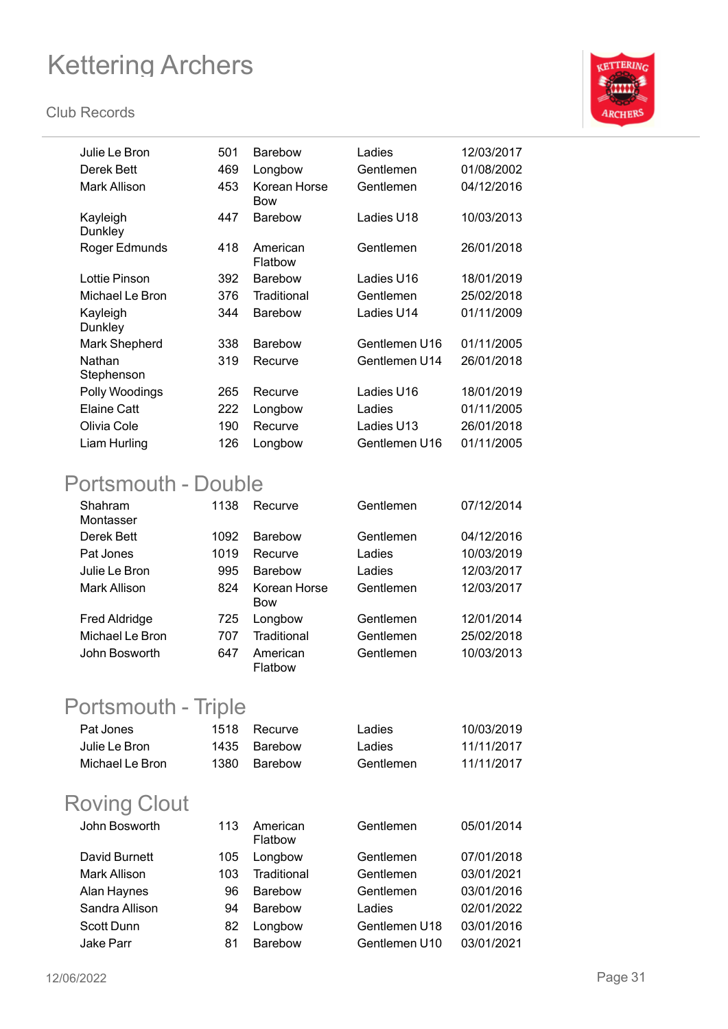#### **Club Records**



| Julie Le Bron        | 501 | <b>Barebow</b>             | Ladies        | 12/03/2017 |
|----------------------|-----|----------------------------|---------------|------------|
| Derek Bett           | 469 | Longbow                    | Gentlemen     | 01/08/2002 |
| Mark Allison         | 453 | Korean Horse<br><b>Bow</b> | Gentlemen     | 04/12/2016 |
| Kayleigh<br>Dunkley  | 447 | <b>Barebow</b>             | Ladies U18    | 10/03/2013 |
| Roger Edmunds        | 418 | American<br>Flatbow        | Gentlemen     | 26/01/2018 |
| Lottie Pinson        | 392 | <b>Barebow</b>             | Ladies U16    | 18/01/2019 |
| Michael Le Bron      | 376 | Traditional                | Gentlemen     | 25/02/2018 |
| Kayleigh<br>Dunkley  | 344 | <b>Barebow</b>             | Ladies U14    | 01/11/2009 |
| Mark Shepherd        | 338 | <b>Barebow</b>             | Gentlemen U16 | 01/11/2005 |
| Nathan<br>Stephenson | 319 | Recurve                    | Gentlemen U14 | 26/01/2018 |
| Polly Woodings       | 265 | Recurve                    | Ladies U16    | 18/01/2019 |
| Elaine Catt          | 222 | Longbow                    | Ladies        | 01/11/2005 |
| Olivia Cole          | 190 | Recurve                    | Ladies U13    | 26/01/2018 |
| Liam Hurling         | 126 | Longbow                    | Gentlemen U16 | 01/11/2005 |
|                      |     |                            |               |            |

### Portsmouth - Double

| Shahram<br>Montasser | 1138 | Recurve                    | Gentlemen | 07/12/2014 |
|----------------------|------|----------------------------|-----------|------------|
| Derek Bett           | 1092 | <b>Barebow</b>             | Gentlemen | 04/12/2016 |
| Pat Jones            | 1019 | Recurve                    | Ladies    | 10/03/2019 |
| Julie Le Bron        | 995  | <b>Barebow</b>             | Ladies    | 12/03/2017 |
| Mark Allison         | 824  | Korean Horse<br><b>Bow</b> | Gentlemen | 12/03/2017 |
| <b>Fred Aldridge</b> | 725  | Longbow                    | Gentlemen | 12/01/2014 |
| Michael Le Bron      | 707  | Traditional                | Gentlemen | 25/02/2018 |
| John Bosworth        | 647  | American<br>Flatbow        | Gentlemen | 10/03/2013 |

### Portsmouth - Triple

| Pat Jones       | 1518 Recurve | Ladies    | 10/03/2019 |
|-----------------|--------------|-----------|------------|
| Julie Le Bron-  | 1435 Barebow | Ladies    | 11/11/2017 |
| Michael Le Bron | 1380 Barebow | Gentlemen | 11/11/2017 |

### Roving Clout

| John Bosworth       | 113 | American<br>Flatbow | Gentlemen     | 05/01/2014 |
|---------------------|-----|---------------------|---------------|------------|
| David Burnett       | 105 | Longbow             | Gentlemen     | 07/01/2018 |
| <b>Mark Allison</b> | 103 | Traditional         | Gentlemen     | 03/01/2021 |
| Alan Haynes         | 96  | <b>Barebow</b>      | Gentlemen     | 03/01/2016 |
| Sandra Allison      | 94  | <b>Barebow</b>      | Ladies        | 02/01/2022 |
| <b>Scott Dunn</b>   | 82  | Longbow             | Gentlemen U18 | 03/01/2016 |
| Jake Parr           | 81  | <b>Barebow</b>      | Gentlemen U10 | 03/01/2021 |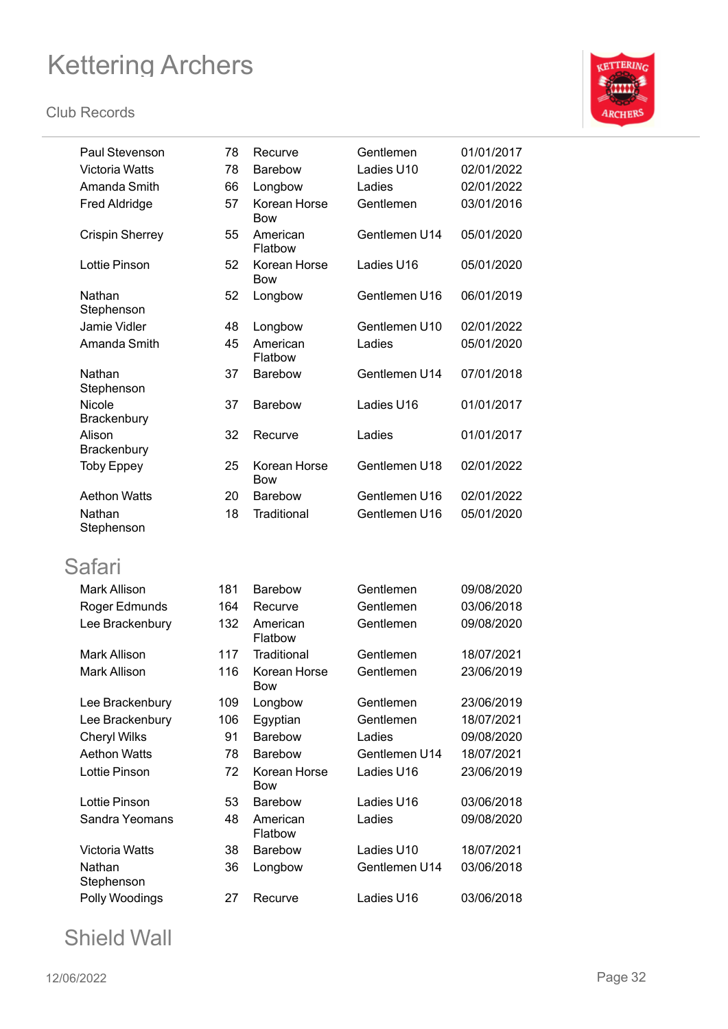

| Paul Stevenson         | 78  | Recurve                    | Gentlemen     | 01/01/2017 |
|------------------------|-----|----------------------------|---------------|------------|
| <b>Victoria Watts</b>  | 78  | <b>Barebow</b>             | Ladies U10    | 02/01/2022 |
| Amanda Smith           | 66  | Longbow                    | Ladies        | 02/01/2022 |
| <b>Fred Aldridge</b>   | 57  | Korean Horse<br>Bow        | Gentlemen     | 03/01/2016 |
| <b>Crispin Sherrey</b> | 55  | American<br>Flatbow        | Gentlemen U14 | 05/01/2020 |
| <b>Lottie Pinson</b>   | 52  | Korean Horse<br><b>Bow</b> | Ladies U16    | 05/01/2020 |
| Nathan<br>Stephenson   | 52  | Longbow                    | Gentlemen U16 | 06/01/2019 |
| Jamie Vidler           | 48  | Longbow                    | Gentlemen U10 | 02/01/2022 |
| Amanda Smith           | 45  | American<br>Flatbow        | Ladies        | 05/01/2020 |
| Nathan<br>Stephenson   | 37  | <b>Barebow</b>             | Gentlemen U14 | 07/01/2018 |
| Nicole<br>Brackenbury  | 37  | <b>Barebow</b>             | Ladies U16    | 01/01/2017 |
| Alison<br>Brackenbury  | 32  | Recurve                    | Ladies        | 01/01/2017 |
| <b>Toby Eppey</b>      | 25  | Korean Horse<br><b>Bow</b> | Gentlemen U18 | 02/01/2022 |
| <b>Aethon Watts</b>    | 20  | <b>Barebow</b>             | Gentlemen U16 | 02/01/2022 |
| Nathan<br>Stephenson   | 18  | Traditional                | Gentlemen U16 | 05/01/2020 |
| Safari                 |     |                            |               |            |
| <b>Mark Allison</b>    | 181 | <b>Barebow</b>             | Gentlemen     | 09/08/2020 |
| Roger Edmunds          | 164 | Recurve                    | Gentlemen     | 03/06/2018 |
| Lee Brackenbury        | 132 | American<br>Flatbow        | Gentlemen     | 09/08/2020 |
| <b>Mark Allison</b>    | 117 | Traditional                | Gentlemen     | 18/07/2021 |
| <b>Mark Allison</b>    | 116 | Korean Horse<br><b>BOW</b> | Gentlemen     | 23/06/2019 |
| Lee Brackenbury        | 109 | Longbow                    | Gentlemen     | 23/06/2019 |
| Lee Brackenbury        | 106 | Egyptian                   | Gentlemen     | 18/07/2021 |
| <b>Cheryl Wilks</b>    | 91  | Barebow                    | Ladies        | 09/08/2020 |
| <b>Aethon Watts</b>    | 78  | <b>Barebow</b>             | Gentlemen U14 | 18/07/2021 |
| Lottie Pinson          | 72  | Korean Horse<br><b>Bow</b> | Ladies U16    | 23/06/2019 |
| Lottie Pinson          | 53  | <b>Barebow</b>             | Ladies U16    | 03/06/2018 |
| Sandra Yeomans         | 48  | American<br>Flatbow        | Ladies        | 09/08/2020 |
| Victoria Watts         | 38  | Barebow                    | Ladies U10    | 18/07/2021 |
| Nathan<br>Stephenson   | 36  | Longbow                    | Gentlemen U14 | 03/06/2018 |
| Polly Woodings         | 27  | Recurve                    | Ladies U16    | 03/06/2018 |

Shield Wall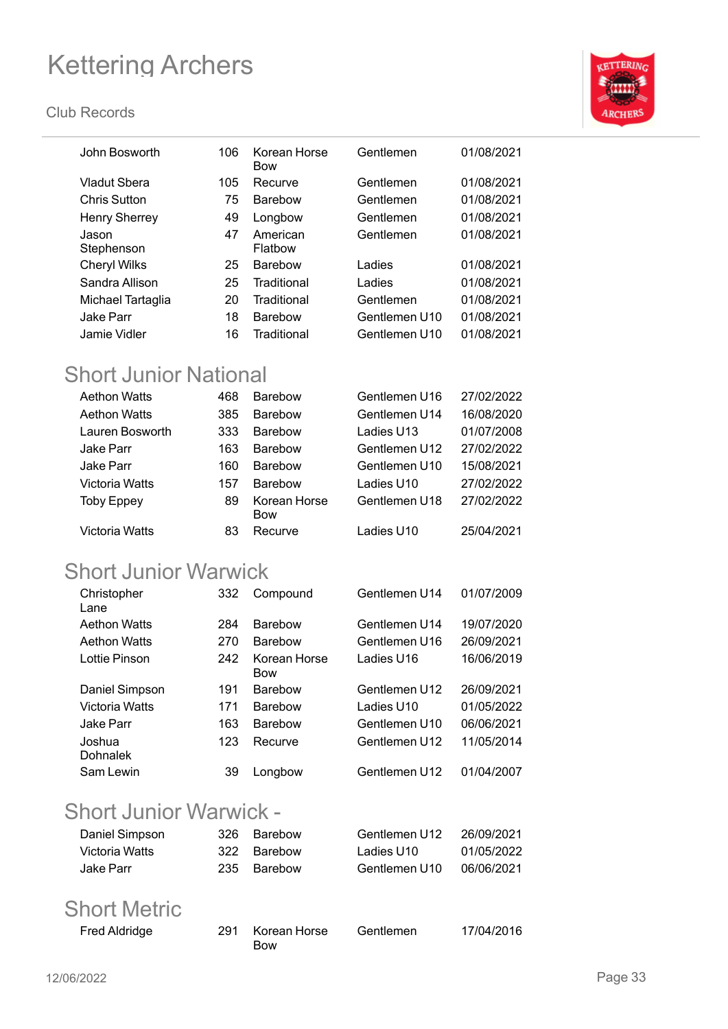#### **Club Records**



| John Bosworth                | 106                                            | Korean Horse<br><b>Bow</b> | Gentlemen     | 01/08/2021 |
|------------------------------|------------------------------------------------|----------------------------|---------------|------------|
| <b>Vladut Sbera</b>          | 105                                            | Recurve                    | Gentlemen     | 01/08/2021 |
| <b>Chris Sutton</b>          | 75                                             | <b>Barebow</b>             | Gentlemen     | 01/08/2021 |
| <b>Henry Sherrey</b>         | 49                                             | Longbow                    | Gentlemen     | 01/08/2021 |
| Jason<br>Stephenson          | 47                                             | American<br>Flatbow        | Gentlemen     | 01/08/2021 |
| <b>Cheryl Wilks</b>          | 25                                             | <b>Barebow</b>             | Ladies        | 01/08/2021 |
| Sandra Allison               | 25                                             | Traditional                | Ladies        | 01/08/2021 |
| Michael Tartaglia            | 20                                             | Traditional                | Gentlemen     | 01/08/2021 |
| <b>Jake Parr</b>             | 18                                             | Barebow                    | Gentlemen U10 | 01/08/2021 |
| <b>Jamie Vidler</b>          | 16                                             | Traditional                | Gentlemen U10 | 01/08/2021 |
| <b>Short Junior National</b> |                                                |                            |               |            |
| <b>Aethon Watts</b>          | 468                                            | <b>Barebow</b>             | Gentlemen U16 | 27/02/2022 |
| <b>Aethon Watts</b>          | 385                                            | <b>Barebow</b>             | Gentlemen U14 | 16/08/2020 |
| Lauren Bosworth              | 333                                            | <b>Barebow</b>             | Ladies U13    | 01/07/2008 |
| Jake Parr                    | 163                                            | Barebow                    | Gentlemen U12 | 27/02/2022 |
| <b>Jake Parr</b>             | 160                                            | <b>Barebow</b>             | Gentlemen U10 | 15/08/2021 |
| <b>Victoria Watts</b>        | 157                                            | <b>Barebow</b>             | Ladies U10    | 27/02/2022 |
| <b>Toby Eppey</b>            | 89                                             | Korean Horse<br><b>Bow</b> | Gentlemen U18 | 27/02/2022 |
| <b>Victoria Watts</b>        | 83                                             | Recurve                    | Ladies U10    | 25/04/2021 |
| <b>Short Junior Warwick</b>  |                                                |                            |               |            |
| Christopher<br>Lane          | 332                                            | Compound                   | Gentlemen U14 | 01/07/2009 |
| <b>Aethon Watts</b>          | 284                                            | <b>Barebow</b>             | Gentlemen U14 | 19/07/2020 |
| <b>Aethon Watts</b>          | 270                                            | Barebow                    | Gentlemen U16 | 26/09/2021 |
| Lottie Pinson                | 242                                            | Korean Horse<br><b>Bow</b> | Ladies U16    | 16/06/2019 |
| Daniel Simpson               | 191                                            | Barebow                    | Gentlemen U12 | 26/09/2021 |
| Victoria Watts               | 171                                            | <b>Barebow</b>             | Ladies U10    | 01/05/2022 |
| <b>Jake Parr</b>             | 163                                            | Barebow                    | Gentlemen U10 | 06/06/2021 |
| Joshua                       | 123                                            | Recurve                    | Gentlemen U12 | 11/05/2014 |
| Dohnalek                     |                                                |                            |               |            |
| Sam Lewin                    | 39                                             | Longbow                    | Gentlemen U12 | 01/04/2007 |
|                              | $\Lambda$ $\Lambda$ $\Lambda$ $\sim$ $\Lambda$ |                            |               |            |

### Short Junior Warwick -

| Daniel Simpson       | 326 | <b>Barebow</b> | Gentlemen U12 | 26/09/2021 |
|----------------------|-----|----------------|---------------|------------|
| Victoria Watts       | 322 | Barebow        | Ladies U10    | 01/05/2022 |
| <b>Jake Parr</b>     | 235 | Barebow        | Gentlemen U10 | 06/06/2021 |
|                      |     |                |               |            |
| <b>Short Metric</b>  |     |                |               |            |
| <b>Fred Aldridge</b> | 291 | Korean Horse   | Gentlemen     | 17/04/2016 |

| '91 Korean Horse | Gentlemen | 17/04/2016 |
|------------------|-----------|------------|
| <b>Bow</b>       |           |            |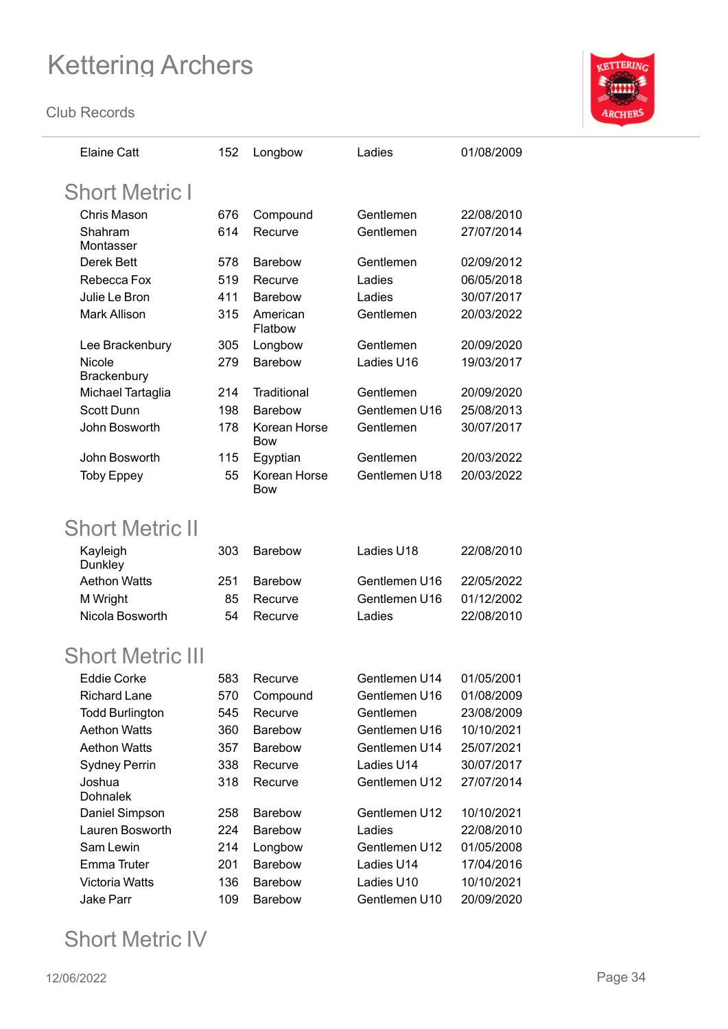**Club Records**



| <b>Elaine Catt</b>        | 152 | Longbow                    | Ladies         | 01/08/2009 |
|---------------------------|-----|----------------------------|----------------|------------|
| <b>Short Metric I</b>     |     |                            |                |            |
| <b>Chris Mason</b>        | 676 | Compound                   | Gentlemen      | 22/08/2010 |
| Shahram                   | 614 | Recurve                    | Gentlemen      | 27/07/2014 |
| Montasser                 |     |                            |                |            |
| Derek Bett                | 578 | <b>Barebow</b>             | Gentlemen      | 02/09/2012 |
| Rebecca Fox               | 519 | Recurve                    | Ladies         | 06/05/2018 |
| Julie Le Bron             | 411 | <b>Barebow</b>             | Ladies         | 30/07/2017 |
| Mark Allison              | 315 | American<br>Flatbow        | Gentlemen      | 20/03/2022 |
| Lee Brackenbury           | 305 | Longbow                    | Gentlemen      | 20/09/2020 |
| Nicole<br>Brackenbury     | 279 | Barebow                    | Ladies U16     | 19/03/2017 |
| Michael Tartaglia         | 214 | Traditional                | Gentlemen      | 20/09/2020 |
| <b>Scott Dunn</b>         | 198 | <b>Barebow</b>             | Gentlemen U16  | 25/08/2013 |
| John Bosworth             | 178 | Korean Horse<br><b>Bow</b> | Gentlemen      | 30/07/2017 |
| John Bosworth             | 115 | Egyptian                   | Gentlemen      | 20/03/2022 |
| <b>Toby Eppey</b>         | 55  | Korean Horse<br><b>Bow</b> | Gentlemen U18  | 20/03/2022 |
| <b>Short Metric II</b>    |     |                            |                |            |
| Kayleigh<br>Dunkley       | 303 | <b>Barebow</b>             | Ladies U18     | 22/08/2010 |
| <b>Aethon Watts</b>       | 251 | <b>Barebow</b>             | Gentlemen U16  | 22/05/2022 |
| M Wright                  | 85  | Recurve                    | Gentlemen U16  | 01/12/2002 |
| Nicola Bosworth           | 54  | Recurve                    | Ladies         | 22/08/2010 |
| <b>Short Metric III</b>   |     |                            |                |            |
| Eddie Corke               | 583 | Recurve                    | Gentlemen lJ14 | 01/05/2001 |
| <b>Richard Lane</b>       | 570 | Compound                   | Gentlemen U16  | 01/08/2009 |
| <b>Todd Burlington</b>    | 545 | Recurve                    | Gentlemen      | 23/08/2009 |
| <b>Aethon Watts</b>       | 360 | Barebow                    | Gentlemen U16  | 10/10/2021 |
| <b>Aethon Watts</b>       | 357 | Barebow                    | Gentlemen U14  | 25/07/2021 |
| <b>Sydney Perrin</b>      | 338 | Recurve                    | Ladies U14     | 30/07/2017 |
| Joshua<br><b>Dohnalek</b> | 318 | Recurve                    | Gentlemen U12  | 27/07/2014 |
| Daniel Simpson            | 258 | Barebow                    | Gentlemen U12  | 10/10/2021 |
| Lauren Bosworth           | 224 | Barebow                    | Ladies         | 22/08/2010 |
| Sam Lewin                 | 214 | Longbow                    | Gentlemen U12  | 01/05/2008 |
| <b>Emma Truter</b>        | 201 | Barebow                    | Ladies U14     | 17/04/2016 |
| Victoria Watts            | 136 | Barebow                    | Ladies U10     | 10/10/2021 |
| Jake Parr                 | 109 | Barebow                    | Gentlemen U10  | 20/09/2020 |

### Short Metric IV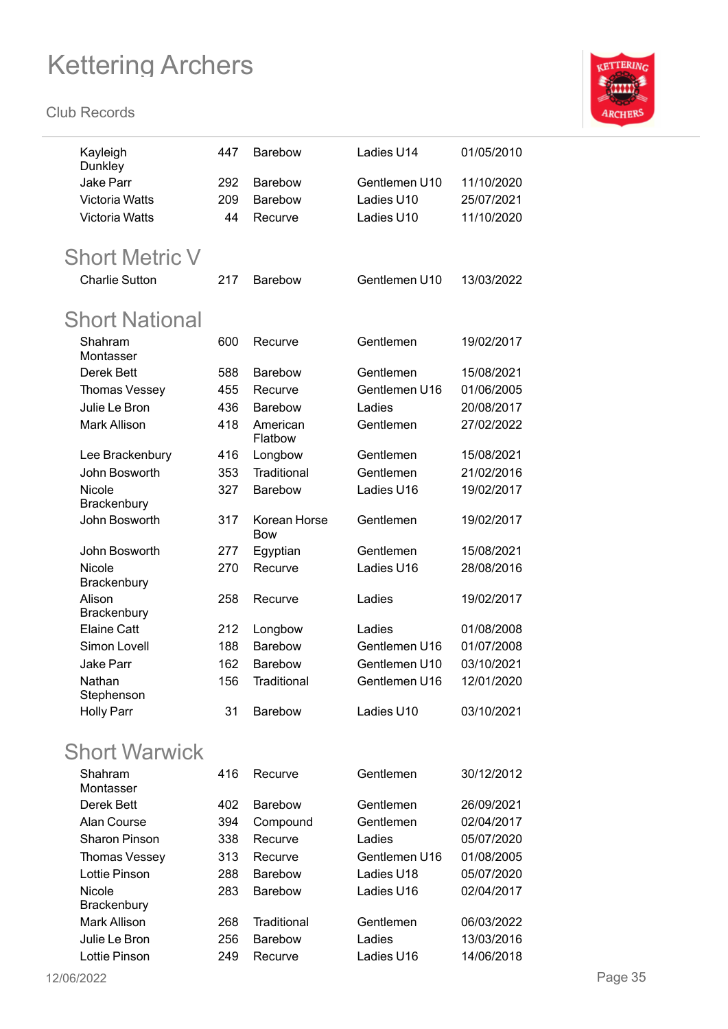

| Kayleigh<br>Dunkley   | 447 | <b>Barebow</b>             | Ladies U14    | 01/05/2010 |
|-----------------------|-----|----------------------------|---------------|------------|
| <b>Jake Parr</b>      | 292 | <b>Barebow</b>             | Gentlemen U10 | 11/10/2020 |
| <b>Victoria Watts</b> | 209 | <b>Barebow</b>             | Ladies U10    | 25/07/2021 |
| Victoria Watts        | 44  | Recurve                    | Ladies U10    | 11/10/2020 |
|                       |     |                            |               |            |
| <b>Short Metric V</b> |     |                            |               |            |
| <b>Charlie Sutton</b> | 217 | <b>Barebow</b>             | Gentlemen U10 | 13/03/2022 |
| <b>Short National</b> |     |                            |               |            |
| Shahram               | 600 | Recurve                    | Gentlemen     | 19/02/2017 |
| Montasser             |     |                            |               |            |
| <b>Derek Bett</b>     | 588 | <b>Barebow</b>             | Gentlemen     | 15/08/2021 |
| Thomas Vessey         | 455 | Recurve                    | Gentlemen U16 | 01/06/2005 |
| Julie Le Bron         | 436 | Barebow                    | Ladies        | 20/08/2017 |
| <b>Mark Allison</b>   | 418 | American<br>Flatbow        | Gentlemen     | 27/02/2022 |
| Lee Brackenbury       | 416 | Longbow                    | Gentlemen     | 15/08/2021 |
| John Bosworth         | 353 | Traditional                | Gentlemen     | 21/02/2016 |
| Nicole<br>Brackenbury | 327 | Barebow                    | Ladies U16    | 19/02/2017 |
| John Bosworth         | 317 | Korean Horse<br><b>Bow</b> | Gentlemen     | 19/02/2017 |
| John Bosworth         | 277 | Egyptian                   | Gentlemen     | 15/08/2021 |
| Nicole<br>Brackenbury | 270 | Recurve                    | Ladies U16    | 28/08/2016 |
| Alison<br>Brackenbury | 258 | Recurve                    | Ladies        | 19/02/2017 |
| <b>Elaine Catt</b>    | 212 | Longbow                    | Ladies        | 01/08/2008 |
| <b>Simon Lovell</b>   | 188 | Barebow                    | Gentlemen U16 | 01/07/2008 |
| <b>Jake Parr</b>      | 162 | Barebow                    | Gentlemen U10 | 03/10/2021 |
| Nathan                | 156 | Traditional                | Gentlemen U16 | 12/01/2020 |
| Stephenson            |     |                            |               |            |
| <b>Holly Parr</b>     | 31  | <b>Barebow</b>             | Ladies U10    | 03/10/2021 |
| <b>Short Warwick</b>  |     |                            |               |            |
| Shahram<br>Montasser  | 416 | Recurve                    | Gentlemen     | 30/12/2012 |
| Derek Bett            | 402 | <b>Barebow</b>             | Gentlemen     | 26/09/2021 |
| Alan Course           | 394 | Compound                   | Gentlemen     | 02/04/2017 |
| Sharon Pinson         | 338 | Recurve                    | Ladies        | 05/07/2020 |
| Thomas Vessey         | 313 | Recurve                    | Gentlemen U16 | 01/08/2005 |
| Lottie Pinson         | 288 | Barebow                    | Ladies U18    | 05/07/2020 |
| Nicole                | 283 | Barebow                    | Ladies U16    | 02/04/2017 |
| Brackenbury           |     |                            |               |            |
| Mark Allison          | 268 | Traditional                | Gentlemen     | 06/03/2022 |
| Julie Le Bron         | 256 | Barebow                    | Ladies        | 13/03/2016 |
| Lottie Pinson         | 249 | Recurve                    | Ladies U16    | 14/06/2018 |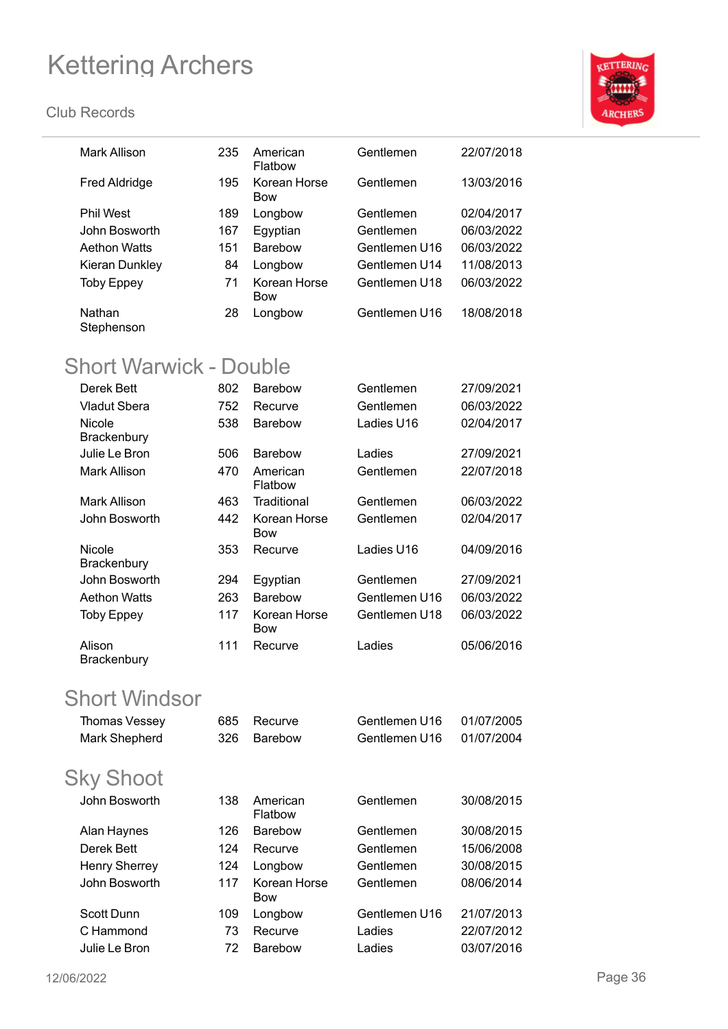

| Mark Allison                  | 235 | American<br>Flatbow        | Gentlemen     | 22/07/2018 |
|-------------------------------|-----|----------------------------|---------------|------------|
| <b>Fred Aldridge</b>          | 195 | Korean Horse<br><b>Bow</b> | Gentlemen     | 13/03/2016 |
| <b>Phil West</b>              | 189 | Longbow                    | Gentlemen     | 02/04/2017 |
| John Bosworth                 | 167 | Egyptian                   | Gentlemen     | 06/03/2022 |
| <b>Aethon Watts</b>           | 151 | <b>Barebow</b>             | Gentlemen U16 | 06/03/2022 |
| Kieran Dunkley                | 84  | Longbow                    | Gentlemen U14 | 11/08/2013 |
| <b>Toby Eppey</b>             | 71  | Korean Horse<br>Bow        | Gentlemen U18 | 06/03/2022 |
| Nathan<br>Stephenson          | 28  | Longbow                    | Gentlemen U16 | 18/08/2018 |
| <b>Short Warwick - Double</b> |     |                            |               |            |
| Derek Bett                    | 802 | Barebow                    | Gentlemen     | 27/09/2021 |
| <b>Vladut Sbera</b>           | 752 | Recurve                    | Gentlemen     | 06/03/2022 |
| Nicole                        | 538 | Barebow                    | Ladies U16    | 02/04/2017 |
| <b>Brackenbury</b>            |     |                            |               |            |
| Julie Le Bron                 | 506 | <b>Barebow</b>             | Ladies        | 27/09/2021 |
| <b>Mark Allison</b>           | 470 | American<br>Flatbow        | Gentlemen     | 22/07/2018 |
| <b>Mark Allison</b>           | 463 | Traditional                | Gentlemen     | 06/03/2022 |
| John Bosworth                 | 442 | Korean Horse<br><b>Bow</b> | Gentlemen     | 02/04/2017 |
| Nicole<br>Brackenbury         | 353 | Recurve                    | Ladies U16    | 04/09/2016 |
| John Bosworth                 | 294 | Egyptian                   | Gentlemen     | 27/09/2021 |
| <b>Aethon Watts</b>           | 263 | <b>Barebow</b>             | Gentlemen U16 | 06/03/2022 |
| <b>Toby Eppey</b>             | 117 | Korean Horse<br><b>Bow</b> | Gentlemen U18 | 06/03/2022 |
| Alison<br>Brackenbury         | 111 | Recurve                    | Ladies        | 05/06/2016 |
| <b>Short Windsor</b>          |     |                            |               |            |
| Thomas Vessey                 | 685 | Recurve                    | Gentlemen U16 | 01/07/2005 |
| Mark Shepherd                 | 326 | Barebow                    | Gentlemen U16 | 01/07/2004 |
| <b>Sky Shoot</b>              |     |                            |               |            |
| John Bosworth                 | 138 | American<br>Flatbow        | Gentlemen     | 30/08/2015 |
| Alan Haynes                   | 126 | Barebow                    | Gentlemen     | 30/08/2015 |
| Derek Bett                    | 124 | Recurve                    | Gentlemen     | 15/06/2008 |
| <b>Henry Sherrey</b>          | 124 | Longbow                    | Gentlemen     | 30/08/2015 |
| John Bosworth                 | 117 | Korean Horse<br>Bow        | Gentlemen     | 08/06/2014 |
| Scott Dunn                    | 109 | Longbow                    | Gentlemen U16 | 21/07/2013 |
| C Hammond                     | 73  | Recurve                    | Ladies        | 22/07/2012 |
| Julie Le Bron                 | 72  | Barebow                    | Ladies        | 03/07/2016 |
|                               |     |                            |               |            |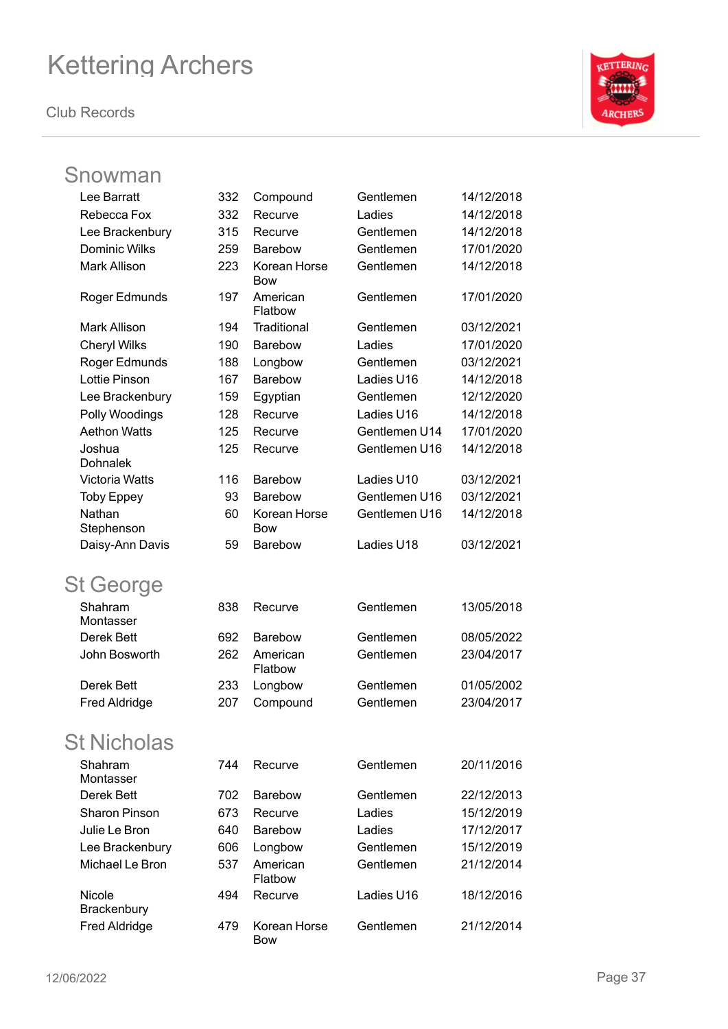**Club Records**



### Snowman

| Lee Barratt           | 332 | Compound                   | Gentlemen     | 14/12/2018 |
|-----------------------|-----|----------------------------|---------------|------------|
| Rebecca Fox           | 332 | Recurve                    | Ladies        | 14/12/2018 |
| Lee Brackenbury       | 315 | Recurve                    | Gentlemen     | 14/12/2018 |
| Dominic Wilks         | 259 | Barebow                    | Gentlemen     | 17/01/2020 |
| <b>Mark Allison</b>   | 223 | Korean Horse<br><b>Bow</b> | Gentlemen     | 14/12/2018 |
| Roger Edmunds         | 197 | American<br>Flatbow        | Gentlemen     | 17/01/2020 |
| <b>Mark Allison</b>   | 194 | Traditional                | Gentlemen     | 03/12/2021 |
| <b>Cheryl Wilks</b>   | 190 | Barebow                    | Ladies        | 17/01/2020 |
| Roger Edmunds         | 188 | Longbow                    | Gentlemen     | 03/12/2021 |
| Lottie Pinson         | 167 | Barebow                    | Ladies U16    | 14/12/2018 |
| Lee Brackenbury       | 159 | Egyptian                   | Gentlemen     | 12/12/2020 |
| Polly Woodings        | 128 | Recurve                    | Ladies U16    | 14/12/2018 |
| <b>Aethon Watts</b>   | 125 | Recurve                    | Gentlemen U14 | 17/01/2020 |
| Joshua<br>Dohnalek    | 125 | Recurve                    | Gentlemen U16 | 14/12/2018 |
| Victoria Watts        | 116 | <b>Barebow</b>             | Ladies U10    | 03/12/2021 |
| <b>Toby Eppey</b>     | 93  | Barebow                    | Gentlemen U16 | 03/12/2021 |
| Nathan<br>Stephenson  | 60  | Korean Horse<br><b>Bow</b> | Gentlemen U16 | 14/12/2018 |
| Daisy-Ann Davis       | 59  | Barebow                    | Ladies U18    | 03/12/2021 |
| <b>St George</b>      |     |                            |               |            |
| Shahram<br>Montasser  | 838 | Recurve                    | Gentlemen     | 13/05/2018 |
| Derek Bett            | 692 | <b>Barebow</b>             | Gentlemen     | 08/05/2022 |
| John Bosworth         | 262 | American<br>Flatbow        | Gentlemen     | 23/04/2017 |
| Derek Bett            | 233 | Longbow                    | Gentlemen     | 01/05/2002 |
| <b>Fred Aldridge</b>  | 207 | Compound                   | Gentlemen     | 23/04/2017 |
| <b>St Nicholas</b>    |     |                            |               |            |
| Shahram<br>Montasser  | 744 | Recurve                    | Gentlemen     | 20/11/2016 |
| Derek Bett            | 702 | <b>Barebow</b>             | Gentlemen     | 22/12/2013 |
| <b>Sharon Pinson</b>  | 673 | Recurve                    | Ladies        | 15/12/2019 |
| Julie Le Bron         | 640 | Barebow                    | Ladies        | 17/12/2017 |
| Lee Brackenbury       | 606 | Longbow                    | Gentlemen     | 15/12/2019 |
| Michael Le Bron       | 537 | American<br>Flatbow        | Gentlemen     | 21/12/2014 |
| Nicole<br>Brackenbury | 494 | Recurve                    | Ladies U16    | 18/12/2016 |
| <b>Fred Aldridge</b>  | 479 | Korean Horse<br><b>Bow</b> | Gentlemen     | 21/12/2014 |
|                       |     |                            |               |            |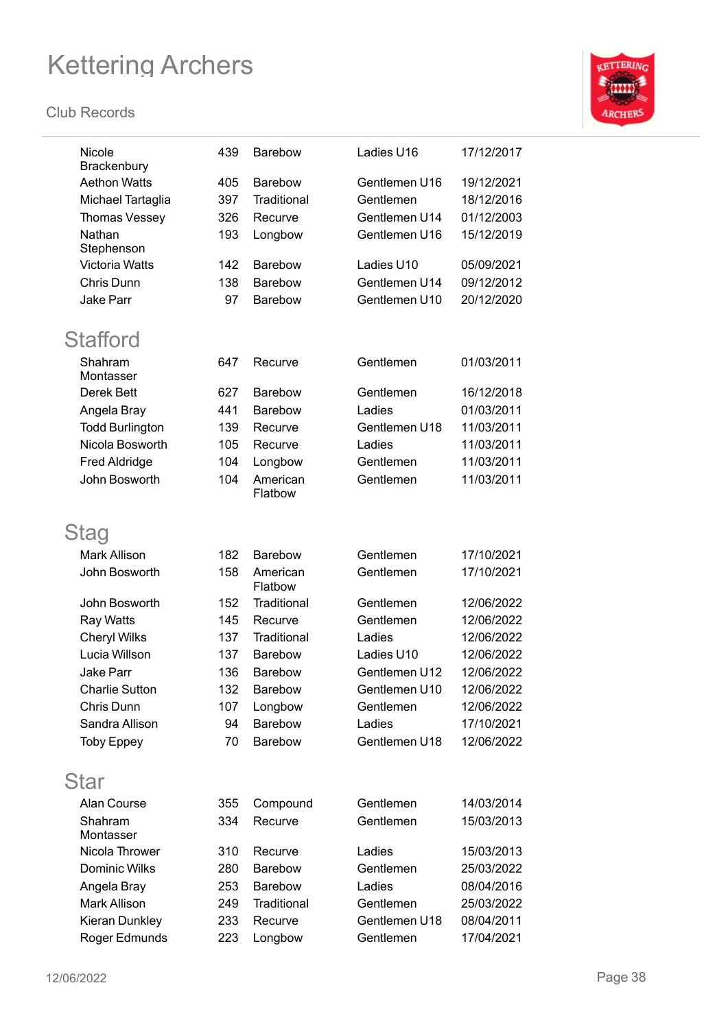

| Nicole<br>Brackenbury  | 439 | <b>Barebow</b>      | Ladies U16    | 17/12/2017 |
|------------------------|-----|---------------------|---------------|------------|
| <b>Aethon Watts</b>    | 405 | <b>Barebow</b>      | Gentlemen U16 | 19/12/2021 |
| Michael Tartaglia      | 397 | Traditional         | Gentlemen     | 18/12/2016 |
| Thomas Vessey          | 326 | Recurve             | Gentlemen U14 | 01/12/2003 |
| Nathan                 | 193 | Longbow             | Gentlemen U16 | 15/12/2019 |
| Stephenson             |     |                     |               |            |
| Victoria Watts         | 142 | <b>Barebow</b>      | Ladies U10    | 05/09/2021 |
| Chris Dunn             | 138 | <b>Barebow</b>      | Gentlemen U14 | 09/12/2012 |
| <b>Jake Parr</b>       | 97  | Barebow             | Gentlemen U10 | 20/12/2020 |
| <b>Stafford</b>        |     |                     |               |            |
| Shahram<br>Montasser   | 647 | Recurve             | Gentlemen     | 01/03/2011 |
| Derek Bett             | 627 | <b>Barebow</b>      | Gentlemen     | 16/12/2018 |
| Angela Bray            | 441 | Barebow             | Ladies        | 01/03/2011 |
| <b>Todd Burlington</b> | 139 | Recurve             | Gentlemen U18 | 11/03/2011 |
| Nicola Bosworth        | 105 | Recurve             | Ladies        | 11/03/2011 |
| <b>Fred Aldridge</b>   | 104 | Longbow             | Gentlemen     | 11/03/2011 |
| John Bosworth          | 104 | American<br>Flatbow | Gentlemen     | 11/03/2011 |
| Stag                   |     |                     |               |            |
| <b>Mark Allison</b>    | 182 | <b>Barebow</b>      | Gentlemen     | 17/10/2021 |
| John Bosworth          | 158 | American<br>Flatbow | Gentlemen     | 17/10/2021 |
| John Bosworth          | 152 | Traditional         | Gentlemen     | 12/06/2022 |
| Ray Watts              | 145 | Recurve             | Gentlemen     | 12/06/2022 |
| <b>Cheryl Wilks</b>    | 137 | Traditional         | Ladies        | 12/06/2022 |
| Lucia Willson          | 137 | Barebow             | Ladies U10    | 12/06/2022 |
| Jake Parr              | 136 | Barebow             | Gentlemen U12 | 12/06/2022 |
| <b>Charlie Sutton</b>  | 132 | <b>Barebow</b>      | Gentlemen U10 | 12/06/2022 |
| Chris Dunn             | 107 | Longbow             | Gentlemen     | 12/06/2022 |
| Sandra Allison         | 94  | Barebow             | Ladies        | 17/10/2021 |
| <b>Toby Eppey</b>      | 70  | Barebow             | Gentlemen U18 | 12/06/2022 |
| Star                   |     |                     |               |            |
| Alan Course            | 355 | Compound            | Gentlemen     | 14/03/2014 |
| Shahram                | 334 | Recurve             | Gentlemen     | 15/03/2013 |
| Montasser              |     |                     |               |            |
| Nicola Thrower         | 310 | Recurve             | Ladies        | 15/03/2013 |
| Dominic Wilks          | 280 | Barebow             | Gentlemen     | 25/03/2022 |
| Angela Bray            | 253 | Barebow             | Ladies        | 08/04/2016 |
| Mark Allison           | 249 | Traditional         | Gentlemen     | 25/03/2022 |
| Kieran Dunkley         | 233 | Recurve             | Gentlemen U18 | 08/04/2011 |
| Roger Edmunds          | 223 | Longbow             | Gentlemen     | 17/04/2021 |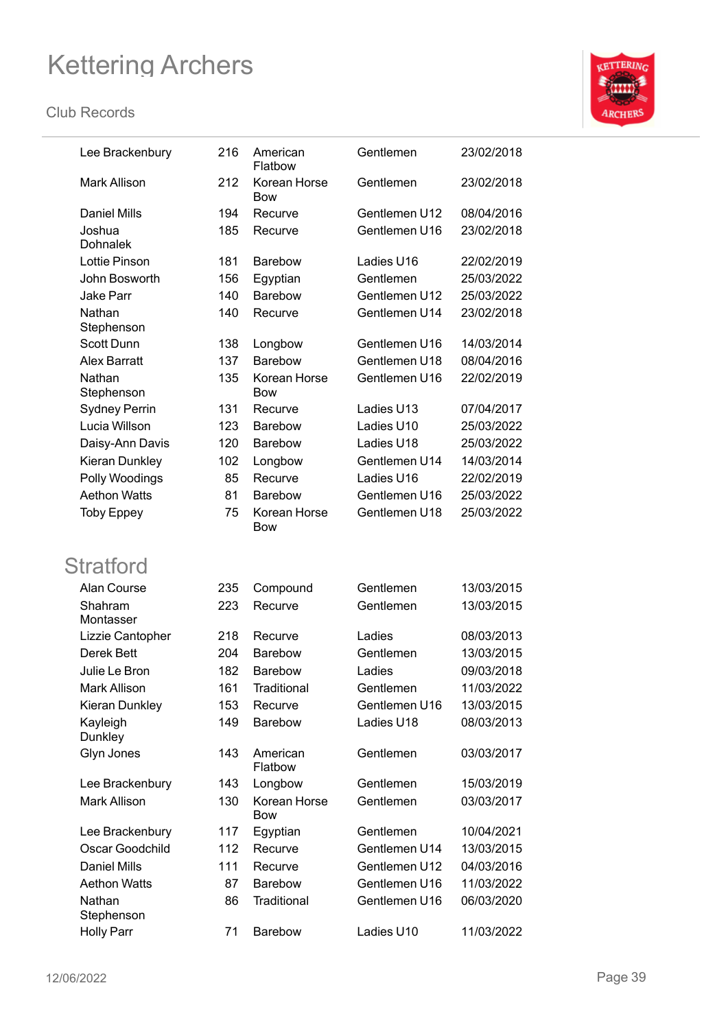

| Lee Brackenbury      | 216 | American<br>Flatbow        | Gentlemen     | 23/02/2018 |
|----------------------|-----|----------------------------|---------------|------------|
| <b>Mark Allison</b>  | 212 | Korean Horse<br>Bow        | Gentlemen     | 23/02/2018 |
| <b>Daniel Mills</b>  | 194 | Recurve                    | Gentlemen U12 | 08/04/2016 |
| Joshua               | 185 | Recurve                    | Gentlemen U16 | 23/02/2018 |
| <b>Dohnalek</b>      |     |                            |               |            |
| Lottie Pinson        | 181 | <b>Barebow</b>             | Ladies U16    | 22/02/2019 |
| John Bosworth        | 156 | Egyptian                   | Gentlemen     | 25/03/2022 |
| <b>Jake Parr</b>     | 140 | <b>Barebow</b>             | Gentlemen U12 | 25/03/2022 |
| Nathan<br>Stephenson | 140 | Recurve                    | Gentlemen U14 | 23/02/2018 |
| <b>Scott Dunn</b>    | 138 | Longbow                    | Gentlemen U16 | 14/03/2014 |
| <b>Alex Barratt</b>  | 137 | <b>Barebow</b>             | Gentlemen U18 | 08/04/2016 |
| Nathan<br>Stephenson | 135 | Korean Horse<br>Bow        | Gentlemen U16 | 22/02/2019 |
| <b>Sydney Perrin</b> | 131 | Recurve                    | Ladies U13    | 07/04/2017 |
| Lucia Willson        | 123 | <b>Barebow</b>             | Ladies U10    | 25/03/2022 |
| Daisy-Ann Davis      | 120 | <b>Barebow</b>             | Ladies U18    | 25/03/2022 |
| Kieran Dunkley       | 102 | Longbow                    | Gentlemen U14 | 14/03/2014 |
| Polly Woodings       | 85  | Recurve                    | Ladies U16    | 22/02/2019 |
| <b>Aethon Watts</b>  | 81  | <b>Barebow</b>             | Gentlemen U16 | 25/03/2022 |
| <b>Toby Eppey</b>    | 75  | Korean Horse<br>Bow        | Gentlemen U18 | 25/03/2022 |
| <b>Stratford</b>     |     |                            |               |            |
| Alan Course          | 235 | Compound                   | Gentlemen     | 13/03/2015 |
| Shahram<br>Montasser | 223 | Recurve                    | Gentlemen     | 13/03/2015 |
| Lizzie Cantopher     | 218 | Recurve                    | Ladies        | 08/03/2013 |
| Derek Bett           | 204 | <b>Barebow</b>             | Gentlemen     | 13/03/2015 |
| Julie Le Bron        | 182 | <b>Barebow</b>             | Ladies        | 09/03/2018 |
| Mark Allison         | 161 | Traditional                | Gentlemen     | 11/03/2022 |
| Kieran Dunkley       | 153 | Recurve                    | Gentlemen U16 | 13/03/2015 |
| Kayleigh<br>Dunkley  | 149 | Barebow                    | Ladies U18    | 08/03/2013 |
| Glyn Jones           | 143 | American<br>Flatbow        | Gentlemen     | 03/03/2017 |
| Lee Brackenbury      | 143 | Longbow                    | Gentlemen     | 15/03/2019 |
| <b>Mark Allison</b>  | 130 | Korean Horse<br><b>Bow</b> | Gentlemen     | 03/03/2017 |
| Lee Brackenbury      | 117 | Egyptian                   | Gentlemen     | 10/04/2021 |
| Oscar Goodchild      | 112 | Recurve                    | Gentlemen U14 | 13/03/2015 |
| <b>Daniel Mills</b>  | 111 | Recurve                    | Gentlemen U12 | 04/03/2016 |
| <b>Aethon Watts</b>  | 87  | Barebow                    | Gentlemen U16 | 11/03/2022 |
| Nathan<br>Stephenson | 86  | Traditional                | Gentlemen U16 | 06/03/2020 |
| <b>Holly Parr</b>    | 71  | Barebow                    | Ladies U10    | 11/03/2022 |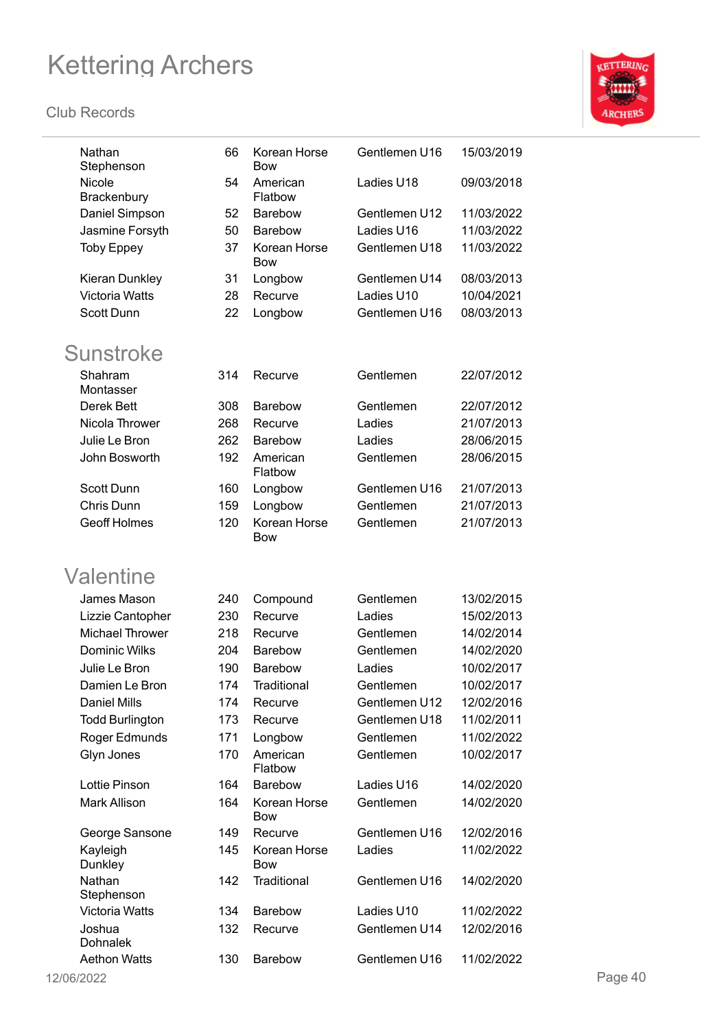

| Nathan<br>Stephenson   | 66  | Korean Horse<br><b>Bow</b> | Gentlemen U16 | 15/03/2019 |         |
|------------------------|-----|----------------------------|---------------|------------|---------|
| Nicole<br>Brackenbury  | 54  | American<br>Flatbow        | Ladies U18    | 09/03/2018 |         |
| Daniel Simpson         | 52  | Barebow                    | Gentlemen U12 | 11/03/2022 |         |
| Jasmine Forsyth        | 50  | Barebow                    | Ladies U16    | 11/03/2022 |         |
| <b>Toby Eppey</b>      | 37  | Korean Horse<br><b>Bow</b> | Gentlemen U18 | 11/03/2022 |         |
| Kieran Dunkley         | 31  | Longbow                    | Gentlemen U14 | 08/03/2013 |         |
| <b>Victoria Watts</b>  | 28  | Recurve                    | Ladies U10    | 10/04/2021 |         |
| Scott Dunn             | 22  | Longbow                    | Gentlemen U16 | 08/03/2013 |         |
| <b>Sunstroke</b>       |     |                            |               |            |         |
| Shahram<br>Montasser   | 314 | Recurve                    | Gentlemen     | 22/07/2012 |         |
| Derek Bett             | 308 | Barebow                    | Gentlemen     | 22/07/2012 |         |
| Nicola Thrower         | 268 | Recurve                    | Ladies        | 21/07/2013 |         |
| Julie Le Bron          | 262 | Barebow                    | Ladies        | 28/06/2015 |         |
| John Bosworth          | 192 | American<br>Flatbow        | Gentlemen     | 28/06/2015 |         |
| <b>Scott Dunn</b>      | 160 | Longbow                    | Gentlemen U16 | 21/07/2013 |         |
| Chris Dunn             | 159 | Longbow                    | Gentlemen     | 21/07/2013 |         |
| <b>Geoff Holmes</b>    | 120 | Korean Horse<br><b>Bow</b> | Gentlemen     | 21/07/2013 |         |
| Valentine              |     |                            |               |            |         |
| James Mason            | 240 | Compound                   | Gentlemen     | 13/02/2015 |         |
| Lizzie Cantopher       | 230 | Recurve                    | Ladies        | 15/02/2013 |         |
| <b>Michael Thrower</b> | 218 | Recurve                    | Gentlemen     | 14/02/2014 |         |
| Dominic Wilks          | 204 | <b>Barebow</b>             | Gentlemen     | 14/02/2020 |         |
| Julie Le Bron          | 190 | Barebow                    | Ladies        | 10/02/2017 |         |
| Damien Le Bron         | 174 | Traditional                | Gentlemen     | 10/02/2017 |         |
| <b>Daniel Mills</b>    | 174 | Recurve                    | Gentlemen U12 | 12/02/2016 |         |
| <b>Todd Burlington</b> | 173 | Recurve                    | Gentlemen U18 | 11/02/2011 |         |
| Roger Edmunds          | 171 | Longbow                    | Gentlemen     | 11/02/2022 |         |
| Glyn Jones             | 170 | American<br>Flatbow        | Gentlemen     | 10/02/2017 |         |
| Lottie Pinson          | 164 | Barebow                    | Ladies U16    | 14/02/2020 |         |
| Mark Allison           | 164 | Korean Horse<br><b>Bow</b> | Gentlemen     | 14/02/2020 |         |
| George Sansone         | 149 | Recurve                    | Gentlemen U16 | 12/02/2016 |         |
| Kayleigh<br>Dunkley    | 145 | Korean Horse<br><b>Bow</b> | Ladies        | 11/02/2022 |         |
| Nathan<br>Stephenson   | 142 | Traditional                | Gentlemen U16 | 14/02/2020 |         |
| Victoria Watts         | 134 | Barebow                    | Ladies U10    | 11/02/2022 |         |
| Joshua<br>Dohnalek     | 132 | Recurve                    | Gentlemen U14 | 12/02/2016 |         |
| <b>Aethon Watts</b>    | 130 | Barebow                    | Gentlemen U16 | 11/02/2022 |         |
| 12/06/2022             |     |                            |               |            | Page 40 |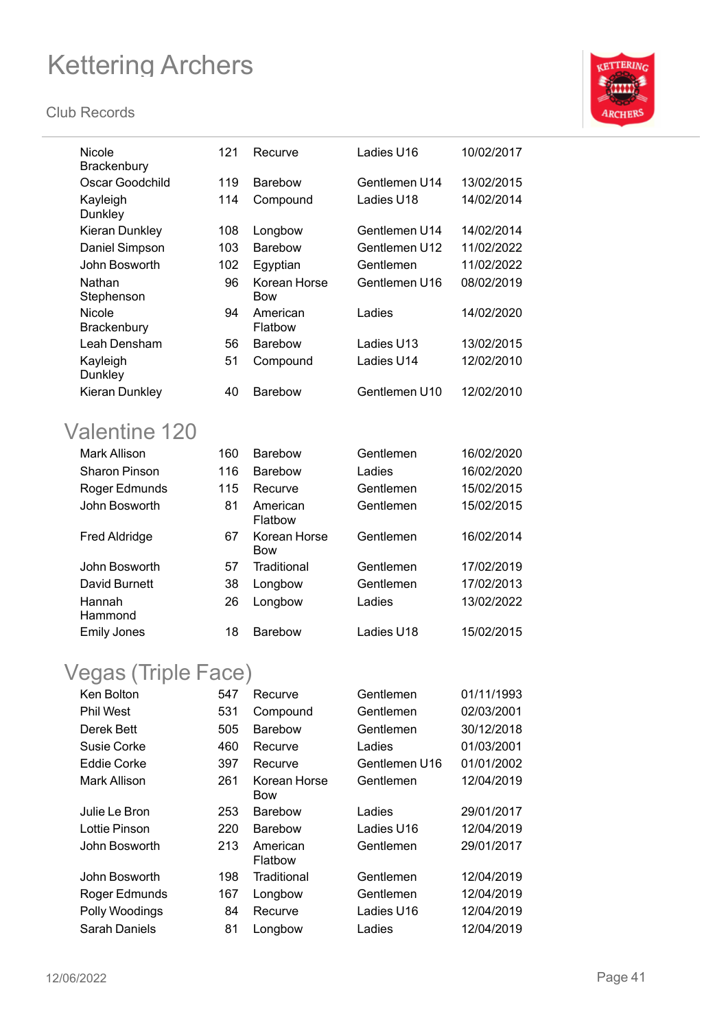#### **Club Records**



| Nicole<br>Brackenbury                                            | 121 | Recurve                    | Ladies U16    | 10/02/2017 |
|------------------------------------------------------------------|-----|----------------------------|---------------|------------|
| Oscar Goodchild                                                  | 119 | <b>Barebow</b>             | Gentlemen U14 | 13/02/2015 |
| Kayleigh<br>Dunkley                                              | 114 | Compound                   | Ladies U18    | 14/02/2014 |
| Kieran Dunkley                                                   | 108 | Longbow                    | Gentlemen U14 | 14/02/2014 |
| Daniel Simpson                                                   | 103 | <b>Barebow</b>             | Gentlemen U12 | 11/02/2022 |
| John Bosworth                                                    | 102 | Egyptian                   | Gentlemen     | 11/02/2022 |
| Nathan<br>Stephenson                                             | 96  | Korean Horse<br><b>Bow</b> | Gentlemen U16 | 08/02/2019 |
| Nicole<br>Brackenbury                                            | 94  | American<br>Flatbow        | Ladies        | 14/02/2020 |
| Leah Densham                                                     | 56  | Barebow                    | Ladies U13    | 13/02/2015 |
| Kayleigh<br>Dunkley                                              | 51  | Compound                   | Ladies U14    | 12/02/2010 |
| Kieran Dunkley                                                   | 40  | <b>Barebow</b>             | Gentlemen U10 | 12/02/2010 |
| Valentine 120                                                    |     |                            |               |            |
| <b>Mark Allison</b>                                              | 160 | <b>Barebow</b>             | Gentlemen     | 16/02/2020 |
| <b>Sharon Pinson</b>                                             | 116 | <b>Barebow</b>             | Ladies        | 16/02/2020 |
| Roger Edmunds                                                    | 115 | Recurve                    | Gentlemen     | 15/02/2015 |
| John Bosworth                                                    | 81  | American<br>Flatbow        | Gentlemen     | 15/02/2015 |
| <b>Fred Aldridge</b>                                             | 67  | Korean Horse<br><b>Bow</b> | Gentlemen     | 16/02/2014 |
| John Bosworth                                                    | 57  | Traditional                | Gentlemen     | 17/02/2019 |
| David Burnett                                                    | 38  | Longbow                    | Gentlemen     | 17/02/2013 |
| Hannah<br>Hammond                                                | 26  | Longbow                    | Ladies        | 13/02/2022 |
| <b>Emily Jones</b>                                               | 18  | <b>Barebow</b>             | Ladies U18    | 15/02/2015 |
| $l_{\text{max}} = \left( \text{Total} \right) \cup \text{Total}$ |     |                            |               |            |

### Vegas (Triple Face)

| Ken Bolton       | 547 | Recurve             | Gentlemen     | 01/11/1993 |
|------------------|-----|---------------------|---------------|------------|
| <b>Phil West</b> | 531 | Compound            | Gentlemen     | 02/03/2001 |
| Derek Bett       | 505 | <b>Barebow</b>      | Gentlemen     | 30/12/2018 |
| Susie Corke      | 460 | Recurve             | Ladies        | 01/03/2001 |
| Eddie Corke      | 397 | Recurve             | Gentlemen U16 | 01/01/2002 |
| Mark Allison     | 261 | Korean Horse<br>Bow | Gentlemen     | 12/04/2019 |
| Julie Le Bron    | 253 | <b>Barebow</b>      | Ladies        | 29/01/2017 |
| Lottie Pinson    | 220 | <b>Barebow</b>      | Ladies U16    | 12/04/2019 |
| John Bosworth    | 213 | American<br>Flatbow | Gentlemen     | 29/01/2017 |
| John Bosworth    | 198 | Traditional         | Gentlemen     | 12/04/2019 |
| Roger Edmunds    | 167 | Longbow             | Gentlemen     | 12/04/2019 |
| Polly Woodings   | 84  | Recurve             | Ladies U16    | 12/04/2019 |
| Sarah Daniels    | 81  | Longbow             | Ladies        | 12/04/2019 |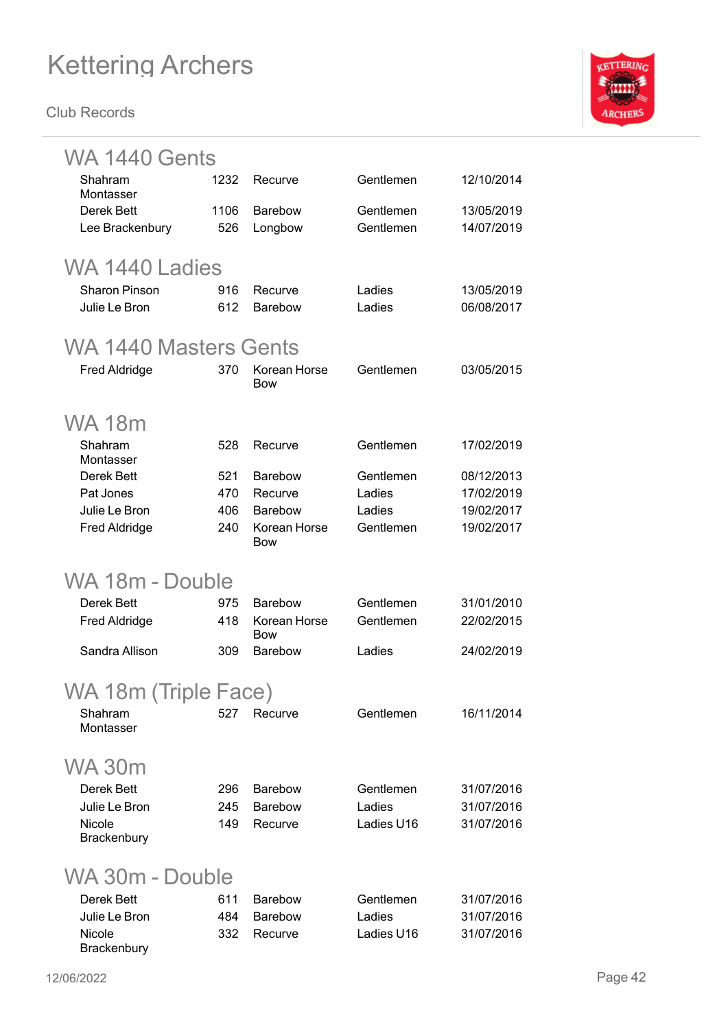

| WA 1440 Gents         |                |                              |                        |                          |  |  |  |  |
|-----------------------|----------------|------------------------------|------------------------|--------------------------|--|--|--|--|
| Shahram               | 1232           | Recurve                      | Gentlemen              | 12/10/2014               |  |  |  |  |
| Montasser             |                |                              |                        |                          |  |  |  |  |
| Derek Bett            | 1106<br>526    | <b>Barebow</b>               | Gentlemen<br>Gentlemen | 13/05/2019<br>14/07/2019 |  |  |  |  |
| Lee Brackenbury       |                | Longbow                      |                        |                          |  |  |  |  |
|                       | WA 1440 Ladies |                              |                        |                          |  |  |  |  |
| <b>Sharon Pinson</b>  | 916            | Recurve                      | Ladies                 | 13/05/2019               |  |  |  |  |
| Julie Le Bron         | 612            | <b>Barebow</b>               | Ladies                 | 06/08/2017               |  |  |  |  |
| WA 1440 Masters Gents |                |                              |                        |                          |  |  |  |  |
| <b>Fred Aldridge</b>  | 370            | Korean Horse<br><b>Bow</b>   | Gentlemen              | 03/05/2015               |  |  |  |  |
| <b>WA18m</b>          |                |                              |                        |                          |  |  |  |  |
| Shahram<br>Montasser  | 528            | Recurve                      | Gentlemen              | 17/02/2019               |  |  |  |  |
| Derek Bett            | 521            | <b>Barebow</b>               | Gentlemen              | 08/12/2013               |  |  |  |  |
| Pat Jones             | 470            | Recurve                      | Ladies                 | 17/02/2019               |  |  |  |  |
| Julie Le Bron         | 406            | <b>Barebow</b>               | Ladies                 | 19/02/2017               |  |  |  |  |
| <b>Fred Aldridge</b>  | 240            | Korean Horse<br><b>Bow</b>   | Gentlemen              | 19/02/2017               |  |  |  |  |
| WA 18m - Double       |                |                              |                        |                          |  |  |  |  |
| Derek Bett            | 975            | <b>Barebow</b>               | Gentlemen              | 31/01/2010               |  |  |  |  |
| <b>Fred Aldridge</b>  | 418            | Korean Horse                 | Gentlemen              | 22/02/2015               |  |  |  |  |
| Sandra Allison        | 309            | <b>Bow</b><br><b>Barebow</b> | Ladies                 | 24/02/2019               |  |  |  |  |
|                       |                |                              |                        |                          |  |  |  |  |
| WA 18m (Triple Face)  |                |                              |                        |                          |  |  |  |  |
| Shahram<br>Montasser  | 527            | Recurve                      | Gentlemen              | 16/11/2014               |  |  |  |  |
|                       |                |                              |                        |                          |  |  |  |  |
| <b>WA 30m</b>         |                |                              |                        |                          |  |  |  |  |
| Derek Bett            | 296            | <b>Barebow</b>               | Gentlemen              | 31/07/2016               |  |  |  |  |
| Julie Le Bron         | 245            | <b>Barebow</b>               | Ladies                 | 31/07/2016               |  |  |  |  |
| Nicole                | 149            | Recurve                      | Ladies U16             | 31/07/2016               |  |  |  |  |
| Brackenbury           |                |                              |                        |                          |  |  |  |  |
| WA 30m - Double       |                |                              |                        |                          |  |  |  |  |
| Derek Bett            | 611            | <b>Barebow</b>               | Gentlemen              | 31/07/2016               |  |  |  |  |
| Julie Le Bron         | 484            | <b>Barebow</b>               | Ladies                 | 31/07/2016               |  |  |  |  |
| <b>Nicole</b>         | 332            | Recurve                      | Ladies U16             | 31/07/2016               |  |  |  |  |
| Brackenbury           |                |                              |                        |                          |  |  |  |  |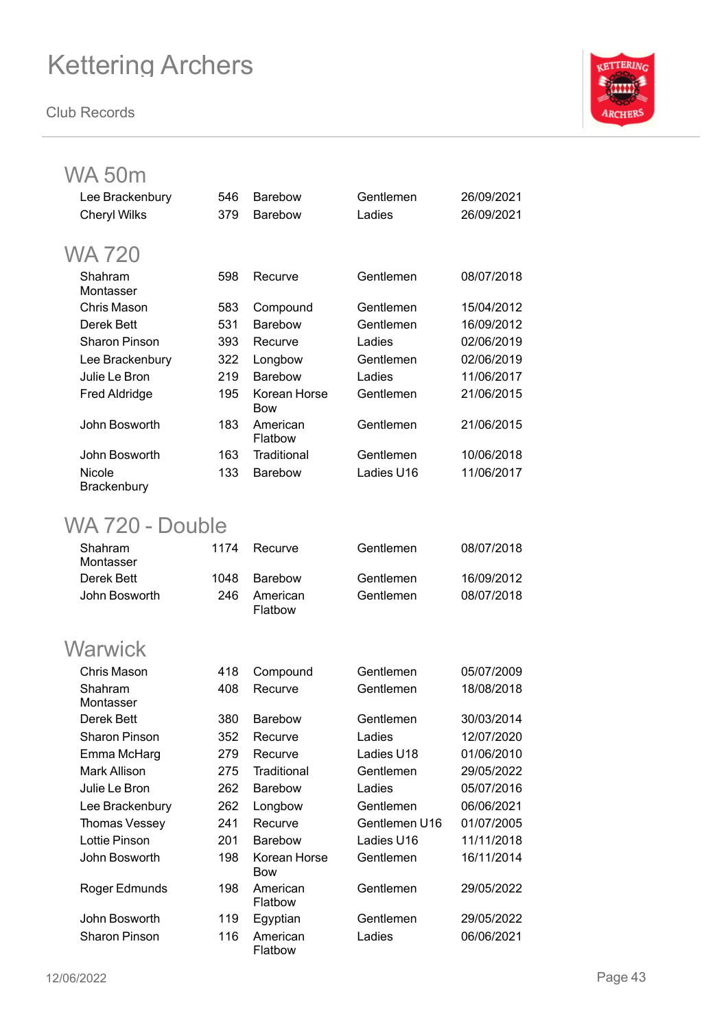**Club Records**



### WA 50m

| Lee Brackenbury       | 546 | <b>Barebow</b>             | Gentlemen  | 26/09/2021 |
|-----------------------|-----|----------------------------|------------|------------|
| <b>Cheryl Wilks</b>   | 379 | <b>Barebow</b>             | Ladies     | 26/09/2021 |
| WA 720                |     |                            |            |            |
| Shahram<br>Montasser  | 598 | Recurve                    | Gentlemen  | 08/07/2018 |
| Chris Mason           | 583 | Compound                   | Gentlemen  | 15/04/2012 |
| Derek Bett            | 531 | <b>Barebow</b>             | Gentlemen  | 16/09/2012 |
| <b>Sharon Pinson</b>  | 393 | Recurve                    | Ladies     | 02/06/2019 |
| Lee Brackenbury       | 322 | Longbow                    | Gentlemen  | 02/06/2019 |
| Julie Le Bron         | 219 | <b>Barebow</b>             | Ladies     | 11/06/2017 |
| <b>Fred Aldridge</b>  | 195 | Korean Horse<br><b>Bow</b> | Gentlemen  | 21/06/2015 |
| John Bosworth         | 183 | American<br>Flatbow        | Gentlemen  | 21/06/2015 |
| John Bosworth         | 163 | Traditional                | Gentlemen  | 10/06/2018 |
| Nicole<br>Brackenbury | 133 | <b>Barebow</b>             | Ladies U16 | 11/06/2017 |

### WA 720 - Double

| Shahram<br>Montasser | 1174 | Recurve             | Gentlemen | 08/07/2018 |
|----------------------|------|---------------------|-----------|------------|
| Derek Bett           | 1048 | Barebow             | Gentlemen | 16/09/2012 |
| John Bosworth        | 246  | American<br>Flatbow | Gentlemen | 08/07/2018 |

### **Warwick**

| Chris Mason          | 418 | Compound                   | Gentlemen     | 05/07/2009 |
|----------------------|-----|----------------------------|---------------|------------|
| Shahram              | 408 | Recurve                    | Gentlemen     | 18/08/2018 |
| Montasser            |     |                            |               |            |
| Derek Bett           | 380 | <b>Barebow</b>             | Gentlemen     | 30/03/2014 |
| Sharon Pinson        | 352 | Recurve                    | Ladies        | 12/07/2020 |
| Emma McHarg          | 279 | Recurve                    | Ladies U18    | 01/06/2010 |
| Mark Allison         | 275 | Traditional                | Gentlemen     | 29/05/2022 |
| Julie Le Bron        | 262 | <b>Barebow</b>             | Ladies        | 05/07/2016 |
| Lee Brackenbury      | 262 | Longbow                    | Gentlemen     | 06/06/2021 |
| Thomas Vessey        | 241 | Recurve                    | Gentlemen U16 | 01/07/2005 |
| <b>Lottie Pinson</b> | 201 | <b>Barebow</b>             | Ladies U16    | 11/11/2018 |
| John Bosworth        | 198 | Korean Horse<br><b>Bow</b> | Gentlemen     | 16/11/2014 |
| Roger Edmunds        | 198 | American<br>Flatbow        | Gentlemen     | 29/05/2022 |
| John Bosworth        | 119 | Egyptian                   | Gentlemen     | 29/05/2022 |
| <b>Sharon Pinson</b> | 116 | American<br>Flatbow        | Ladies        | 06/06/2021 |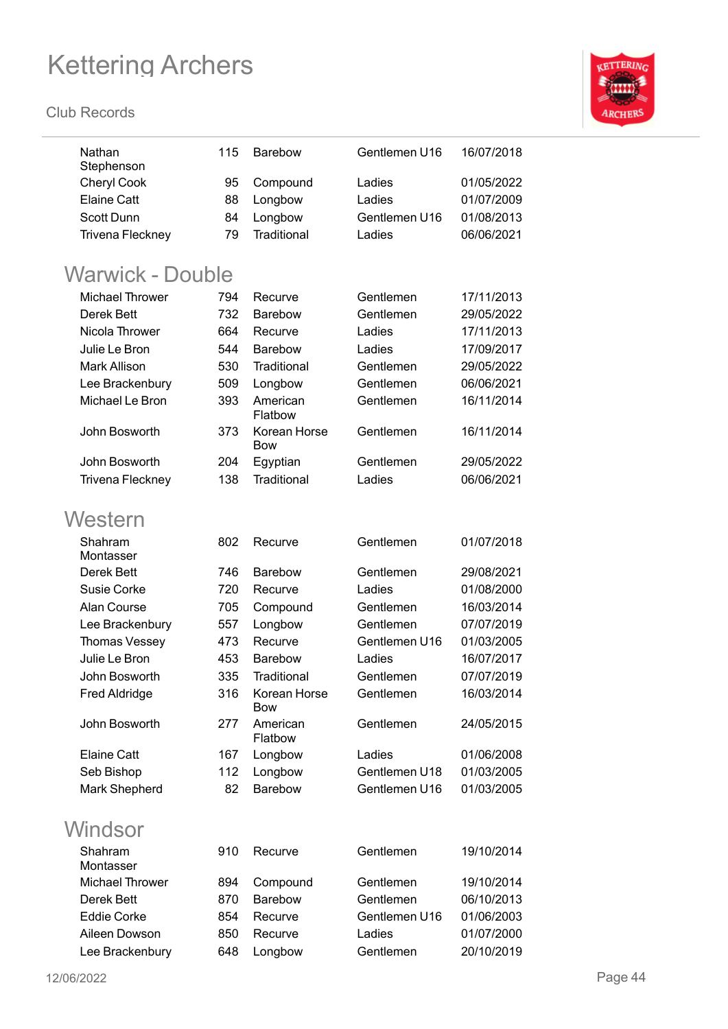

| Nathan<br>Stephenson    | 115 | <b>Barebow</b>      | Gentlemen U16 | 16/07/2018 |
|-------------------------|-----|---------------------|---------------|------------|
| <b>Cheryl Cook</b>      | 95  | Compound            | Ladies        | 01/05/2022 |
| <b>Elaine Catt</b>      | 88  | Longbow             | Ladies        | 01/07/2009 |
| <b>Scott Dunn</b>       | 84  | Longbow             | Gentlemen U16 | 01/08/2013 |
| <b>Trivena Fleckney</b> | 79  | Traditional         | Ladies        | 06/06/2021 |
|                         |     |                     |               |            |
| Warwick - Double        |     |                     |               |            |
| <b>Michael Thrower</b>  | 794 | Recurve             | Gentlemen     | 17/11/2013 |
| Derek Bett              | 732 | Barebow             | Gentlemen     | 29/05/2022 |
| Nicola Thrower          | 664 | Recurve             | Ladies        | 17/11/2013 |
| Julie Le Bron           | 544 | <b>Barebow</b>      | Ladies        | 17/09/2017 |
| <b>Mark Allison</b>     | 530 | Traditional         | Gentlemen     | 29/05/2022 |
| Lee Brackenbury         | 509 | Longbow             | Gentlemen     | 06/06/2021 |
| Michael Le Bron         | 393 | American            | Gentlemen     | 16/11/2014 |
|                         |     | Flatbow             |               |            |
| John Bosworth           | 373 | Korean Horse<br>Bow | Gentlemen     | 16/11/2014 |
| John Bosworth           | 204 | Egyptian            | Gentlemen     | 29/05/2022 |
| <b>Trivena Fleckney</b> | 138 | Traditional         | Ladies        | 06/06/2021 |
|                         |     |                     |               |            |
| Western                 |     |                     |               |            |
| Shahram                 | 802 | Recurve             | Gentlemen     | 01/07/2018 |
| Montasser               |     |                     |               |            |
| Derek Bett              | 746 | <b>Barebow</b>      | Gentlemen     | 29/08/2021 |
| Susie Corke             | 720 | Recurve             | Ladies        | 01/08/2000 |
| Alan Course             | 705 | Compound            | Gentlemen     | 16/03/2014 |
| Lee Brackenbury         | 557 | Longbow             | Gentlemen     | 07/07/2019 |
| Thomas Vessey           | 473 | Recurve             | Gentlemen U16 | 01/03/2005 |
| Julie Le Bron           | 453 | Barebow             | Ladies        | 16/07/2017 |
| John Bosworth           | 335 | Traditional         | Gentlemen     | 07/07/2019 |
| <b>Fred Aldridge</b>    | 316 | Korean Horse<br>Bow | Gentlemen     | 16/03/2014 |
| John Bosworth           | 277 | American<br>Flatbow | Gentlemen     | 24/05/2015 |
| <b>Elaine Catt</b>      | 167 | Longbow             | Ladies        | 01/06/2008 |
| Seb Bishop              | 112 | Longbow             | Gentlemen U18 | 01/03/2005 |
| Mark Shepherd           | 82  | <b>Barebow</b>      | Gentlemen U16 | 01/03/2005 |
|                         |     |                     |               |            |
| Windsor                 |     |                     |               |            |
| Shahram<br>Montasser    | 910 | Recurve             | Gentlemen     | 19/10/2014 |
| <b>Michael Thrower</b>  | 894 | Compound            | Gentlemen     | 19/10/2014 |
| Derek Bett              | 870 | Barebow             | Gentlemen     | 06/10/2013 |
| <b>Eddie Corke</b>      | 854 | Recurve             | Gentlemen U16 | 01/06/2003 |
| Aileen Dowson           | 850 | Recurve             | Ladies        | 01/07/2000 |
| Lee Brackenbury         | 648 | Longbow             | Gentlemen     | 20/10/2019 |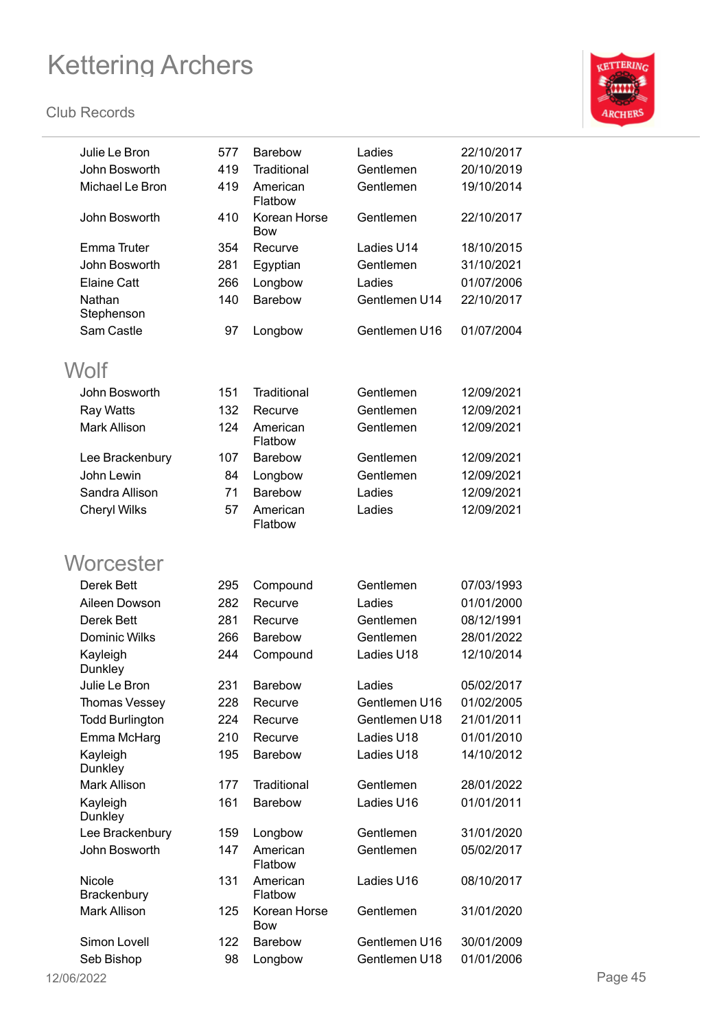

| Julie Le Bron          | 577 | <b>Barebow</b>             | Ladies        | 22/10/2017 |         |
|------------------------|-----|----------------------------|---------------|------------|---------|
| John Bosworth          | 419 | Traditional                | Gentlemen     | 20/10/2019 |         |
| Michael Le Bron        | 419 | American<br>Flatbow        | Gentlemen     | 19/10/2014 |         |
| John Bosworth          | 410 | Korean Horse<br><b>Bow</b> | Gentlemen     | 22/10/2017 |         |
| <b>Emma Truter</b>     | 354 | Recurve                    | Ladies U14    | 18/10/2015 |         |
| John Bosworth          | 281 | Egyptian                   | Gentlemen     | 31/10/2021 |         |
| <b>Elaine Catt</b>     | 266 | Longbow                    | Ladies        | 01/07/2006 |         |
| Nathan<br>Stephenson   | 140 | Barebow                    | Gentlemen U14 | 22/10/2017 |         |
| Sam Castle             | 97  | Longbow                    | Gentlemen U16 | 01/07/2004 |         |
| Wolf                   |     |                            |               |            |         |
| John Bosworth          | 151 | Traditional                | Gentlemen     | 12/09/2021 |         |
| <b>Ray Watts</b>       | 132 | Recurve                    | Gentlemen     | 12/09/2021 |         |
| Mark Allison           | 124 | American<br>Flatbow        | Gentlemen     | 12/09/2021 |         |
| Lee Brackenbury        | 107 | <b>Barebow</b>             | Gentlemen     | 12/09/2021 |         |
| John Lewin             | 84  | Longbow                    | Gentlemen     | 12/09/2021 |         |
| Sandra Allison         | 71  | Barebow                    | Ladies        | 12/09/2021 |         |
| <b>Cheryl Wilks</b>    | 57  | American<br>Flatbow        | Ladies        | 12/09/2021 |         |
| Worcester              |     |                            |               |            |         |
| Derek Bett             | 295 | Compound                   | Gentlemen     | 07/03/1993 |         |
| Aileen Dowson          | 282 | Recurve                    | Ladies        | 01/01/2000 |         |
| Derek Bett             | 281 | Recurve                    | Gentlemen     | 08/12/1991 |         |
| Dominic Wilks          | 266 | Barebow                    | Gentlemen     | 28/01/2022 |         |
| Kayleigh<br>Dunkley    | 244 | Compound                   | Ladies U18    | 12/10/2014 |         |
| Julie Le Bron          | 231 | Barebow                    | Ladies        | 05/02/2017 |         |
| Thomas Vessey          | 228 | Recurve                    | Gentlemen U16 | 01/02/2005 |         |
| <b>Todd Burlington</b> | 224 | Recurve                    | Gentlemen U18 | 21/01/2011 |         |
| Emma McHarg            | 210 | Recurve                    | Ladies U18    | 01/01/2010 |         |
| Kayleigh<br>Dunkley    | 195 | Barebow                    | Ladies U18    | 14/10/2012 |         |
| Mark Allison           | 177 | Traditional                | Gentlemen     | 28/01/2022 |         |
| Kayleigh<br>Dunkley    | 161 | Barebow                    | Ladies U16    | 01/01/2011 |         |
| Lee Brackenbury        | 159 | Longbow                    | Gentlemen     | 31/01/2020 |         |
| John Bosworth          | 147 | American<br>Flatbow        | Gentlemen     | 05/02/2017 |         |
| Nicole<br>Brackenbury  | 131 | American<br>Flatbow        | Ladies U16    | 08/10/2017 |         |
| Mark Allison           | 125 | Korean Horse<br>Bow        | Gentlemen     | 31/01/2020 |         |
| Simon Lovell           | 122 | Barebow                    | Gentlemen U16 | 30/01/2009 |         |
| Seb Bishop             | 98  | Longbow                    | Gentlemen U18 | 01/01/2006 |         |
| 12/06/2022             |     |                            |               |            | Page 45 |